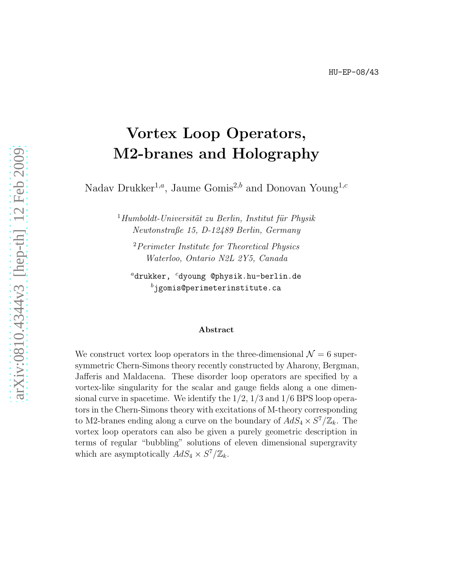# Vortex Loop Operators, M2-branes and Holography

Nadav Drukker<sup>1,a</sup>, Jaume Gomis<sup>2,b</sup> and Donovan Young<sup>1,c</sup>

 $1$ Humboldt-Universität zu Berlin, Institut für Physik Newtonstraße 15, D-12489 Berlin, Germany

<sup>2</sup>Perimeter Institute for Theoretical Physics Waterloo, Ontario N2L 2Y5, Canada

 $a$ drukker,  $c$ dyoung @physik.hu-berlin.de  $<sup>b</sup>$ jgomis@perimeterinstitute.ca</sup>

#### Abstract

We construct vortex loop operators in the three-dimensional  $\mathcal{N}=6$  supersymmetric Chern-Simons theory recently constructed by Aharony, Bergman, Jafferis and Maldacena. These disorder loop operators are specified by a vortex-like singularity for the scalar and gauge fields along a one dimensional curve in spacetime. We identify the  $1/2$ ,  $1/3$  and  $1/6$  BPS loop operators in the Chern-Simons theory with excitations of M-theory corresponding to M2-branes ending along a curve on the boundary of  $AdS_4 \times S^7/\mathbb{Z}_k$ . The vortex loop operators can also be given a purely geometric description in terms of regular "bubbling" solutions of eleven dimensional supergravity which are asymptotically  $AdS_4 \times S^7/\mathbb{Z}_k$ .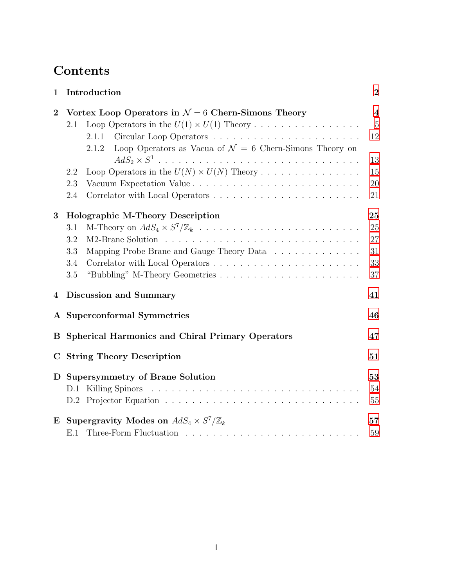# Contents

| $\mathbf{1}$   | Introduction                                                                                                                                                                                                                                                                                  | $\boldsymbol{2}$                                            |
|----------------|-----------------------------------------------------------------------------------------------------------------------------------------------------------------------------------------------------------------------------------------------------------------------------------------------|-------------------------------------------------------------|
| $\overline{2}$ | Vortex Loop Operators in $\mathcal{N}=6$ Chern-Simons Theory<br>Loop Operators in the $U(1) \times U(1)$ Theory<br>2.1<br>2.1.1<br>Loop Operators as Vacua of $\mathcal{N}=6$ Chern-Simons Theory on<br>2.1.2<br>$AdS_2 \times S^1$<br>Loop Operators in the $U(N) \times U(N)$ Theory<br>2.2 | $\overline{\mathbf{4}}$<br>$\overline{5}$<br>12<br>13<br>15 |
|                | 2.3                                                                                                                                                                                                                                                                                           | 20                                                          |
|                | 2.4                                                                                                                                                                                                                                                                                           | 21                                                          |
| 3              | Holographic M-Theory Description                                                                                                                                                                                                                                                              | 25                                                          |
|                | 3.1                                                                                                                                                                                                                                                                                           | 25                                                          |
|                | 3.2                                                                                                                                                                                                                                                                                           | 27                                                          |
|                | Mapping Probe Brane and Gauge Theory Data<br>3.3                                                                                                                                                                                                                                              | 31                                                          |
|                | 3.4                                                                                                                                                                                                                                                                                           | 33                                                          |
|                | 3.5                                                                                                                                                                                                                                                                                           | 37                                                          |
| $\overline{4}$ | <b>Discussion and Summary</b>                                                                                                                                                                                                                                                                 | 41                                                          |
|                | A Superconformal Symmetries                                                                                                                                                                                                                                                                   | 46                                                          |
| B              | <b>Spherical Harmonics and Chiral Primary Operators</b>                                                                                                                                                                                                                                       | 47                                                          |
| $\mathbf C$    | <b>String Theory Description</b>                                                                                                                                                                                                                                                              | 51                                                          |
|                | D Supersymmetry of Brane Solution                                                                                                                                                                                                                                                             | 53                                                          |
|                |                                                                                                                                                                                                                                                                                               | 54                                                          |
|                |                                                                                                                                                                                                                                                                                               | 55                                                          |
|                | <b>E</b> Supergravity Modes on $AdS_4 \times S^7/\mathbb{Z}_k$                                                                                                                                                                                                                                | 57                                                          |
|                |                                                                                                                                                                                                                                                                                               | 59                                                          |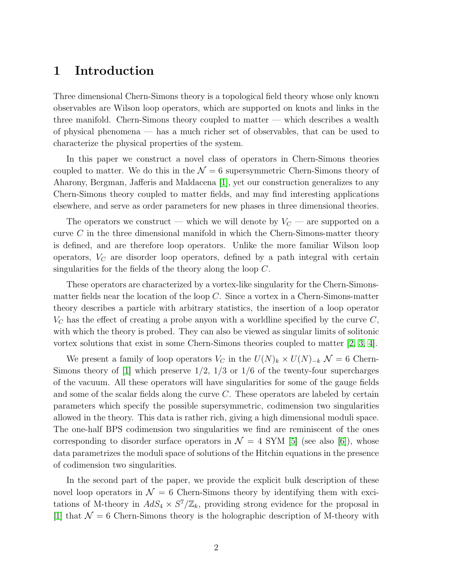## <span id="page-2-0"></span>1 Introduction

Three dimensional Chern-Simons theory is a topological field theory whose only known observables are Wilson loop operators, which are supported on knots and links in the three manifold. Chern-Simons theory coupled to matter — which describes a wealth of physical phenomena — has a much richer set of observables, that can be used to characterize the physical properties of the system.

In this paper we construct a novel class of operators in Chern-Simons theories coupled to matter. We do this in the  $\mathcal{N} = 6$  supersymmetric Chern-Simons theory of Aharony, Bergman, Jafferis and Maldacena [\[1\]](#page-60-0), yet our construction generalizes to any Chern-Simons theory coupled to matter fields, and may find interesting applications elsewhere, and serve as order parameters for new phases in three dimensional theories.

The operators we construct — which we will denote by  $V_C$  — are supported on a curve  $C$  in the three dimensional manifold in which the Chern-Simons-matter theory is defined, and are therefore loop operators. Unlike the more familiar Wilson loop operators,  $V_C$  are disorder loop operators, defined by a path integral with certain singularities for the fields of the theory along the loop C.

These operators are characterized by a vortex-like singularity for the Chern-Simonsmatter fields near the location of the loop  $C$ . Since a vortex in a Chern-Simons-matter theory describes a particle with arbitrary statistics, the insertion of a loop operator  $V_C$  has the effect of creating a probe anyon with a worldline specified by the curve  $C$ , with which the theory is probed. They can also be viewed as singular limits of solitonic vortex solutions that exist in some Chern-Simons theories coupled to matter [\[2,](#page-60-1) [3,](#page-60-2) [4\]](#page-60-3).

We present a family of loop operators  $V_C$  in the  $U(N)_k \times U(N)_{-k}$ ,  $\mathcal{N}=6$  Chern-Simons theory of [\[1\]](#page-60-0) which preserve  $1/2$ ,  $1/3$  or  $1/6$  of the twenty-four supercharges of the vacuum. All these operators will have singularities for some of the gauge fields and some of the scalar fields along the curve C. These operators are labeled by certain parameters which specify the possible supersymmetric, codimension two singularities allowed in the theory. This data is rather rich, giving a high dimensional moduli space. The one-half BPS codimension two singularities we find are reminiscent of the ones corresponding to disorder surface operators in  $\mathcal{N} = 4$  SYM [\[5\]](#page-60-4) (see also [\[6\]](#page-60-5)), whose data parametrizes the moduli space of solutions of the Hitchin equations in the presence of codimension two singularities.

In the second part of the paper, we provide the explicit bulk description of these novel loop operators in  $\mathcal{N} = 6$  Chern-Simons theory by identifying them with excitations of M-theory in  $AdS_4 \times S^7/\mathbb{Z}_k$ , providing strong evidence for the proposal in [\[1\]](#page-60-0) that  $\mathcal{N} = 6$  Chern-Simons theory is the holographic description of M-theory with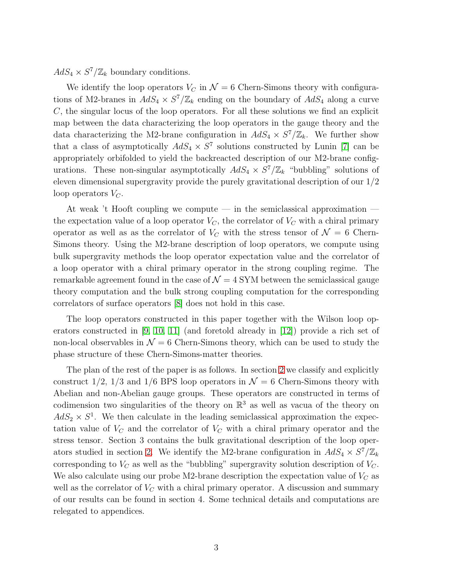$AdS_4 \times S^7/\mathbb{Z}_k$  boundary conditions.

We identify the loop operators  $V_C$  in  $\mathcal{N} = 6$  Chern-Simons theory with configurations of M2-branes in  $AdS_4 \times S^7/\mathbb{Z}_k$  ending on the boundary of  $AdS_4$  along a curve  $C$ , the singular locus of the loop operators. For all these solutions we find an explicit map between the data characterizing the loop operators in the gauge theory and the data characterizing the M2-brane configuration in  $AdS_4 \times S^7/\mathbb{Z}_k$ . We further show that a class of asymptotically  $AdS_4 \times S^7$  solutions constructed by Lunin [\[7\]](#page-61-0) can be appropriately orbifolded to yield the backreacted description of our M2-brane configurations. These non-singular asymptotically  $AdS_4 \times S^7/\mathbb{Z}_k$  "bubbling" solutions of eleven dimensional supergravity provide the purely gravitational description of our 1/2 loop operators  $V_C$ .

At weak 't Hooft coupling we compute — in the semiclassical approximation the expectation value of a loop operator  $V_C$ , the correlator of  $V_C$  with a chiral primary operator as well as as the correlator of  $V_C$  with the stress tensor of  $\mathcal{N} = 6$  Chern-Simons theory. Using the M2-brane description of loop operators, we compute using bulk supergravity methods the loop operator expectation value and the correlator of a loop operator with a chiral primary operator in the strong coupling regime. The remarkable agreement found in the case of  $\mathcal{N} = 4$  SYM between the semiclassical gauge theory computation and the bulk strong coupling computation for the corresponding correlators of surface operators [\[8\]](#page-61-1) does not hold in this case.

The loop operators constructed in this paper together with the Wilson loop operators constructed in [\[9,](#page-61-2) [10,](#page-61-3) [11\]](#page-61-4) (and foretold already in [\[12\]](#page-61-5)) provide a rich set of non-local observables in  $\mathcal{N} = 6$  Chern-Simons theory, which can be used to study the phase structure of these Chern-Simons-matter theories.

The plan of the rest of the paper is as follows. In section [2](#page-4-0) we classify and explicitly construct 1/2, 1/3 and 1/6 BPS loop operators in  $\mathcal{N} = 6$  Chern-Simons theory with Abelian and non-Abelian gauge groups. These operators are constructed in terms of codimension two singularities of the theory on  $\mathbb{R}^3$  as well as vacua of the theory on  $AdS_2 \times S^1$ . We then calculate in the leading semiclassical approximation the expectation value of  $V_C$  and the correlator of  $V_C$  with a chiral primary operator and the stress tensor. Section 3 contains the bulk gravitational description of the loop oper-ators studied in section [2.](#page-4-0) We identify the M2-brane configuration in  $AdS_4 \times S^7/\mathbb{Z}_k$ corresponding to  $V_C$  as well as the "bubbling" supergravity solution description of  $V_C$ . We also calculate using our probe M2-brane description the expectation value of  $V_C$  as well as the correlator of  $V_C$  with a chiral primary operator. A discussion and summary of our results can be found in section 4. Some technical details and computations are relegated to appendices.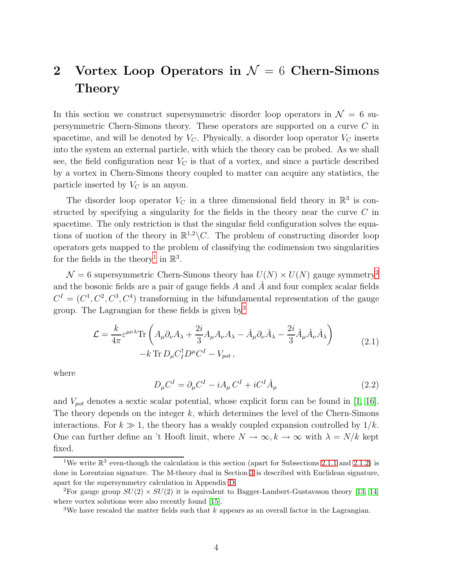# <span id="page-4-0"></span>2 Vortex Loop Operators in  $\mathcal{N}=6$  Chern-Simons Theory

In this section we construct supersymmetric disorder loop operators in  $\mathcal{N} = 6$  supersymmetric Chern-Simons theory. These operators are supported on a curve C in spacetime, and will be denoted by  $V_C$ . Physically, a disorder loop operator  $V_C$  inserts into the system an external particle, with which the theory can be probed. As we shall see, the field configuration near  $V_C$  is that of a vortex, and since a particle described by a vortex in Chern-Simons theory coupled to matter can acquire any statistics, the particle inserted by  $V_C$  is an anyon.

The disorder loop operator  $V_C$  in a three dimensional field theory in  $\mathbb{R}^3$  is constructed by specifying a singularity for the fields in the theory near the curve  $C$  in spacetime. The only restriction is that the singular field configuration solves the equations of motion of the theory in  $\mathbb{R}^{1,2}\backslash C$ . The problem of constructing disorder loop operators gets mapped to the problem of classifying the codimension two singularities for the fields in the theory<sup>[1](#page-4-1)</sup> in  $\mathbb{R}^3$ .

 $\mathcal{N} = 6$  supersymmetric Chern-Simons theory has  $U(N) \times U(N)$  gauge symmetry<sup>[2](#page-4-2)</sup> and the bosonic fields are a pair of gauge fields  $\hat{A}$  and  $\hat{A}$  and four complex scalar fields  $C^{I} = (C^{1}, C^{2}, C^{3}, C^{4})$  transforming in the bifundamental representation of the gauge group. The Lagrangian for these fields is given  $by<sup>3</sup>$  $by<sup>3</sup>$  $by<sup>3</sup>$ 

<span id="page-4-4"></span>
$$
\mathcal{L} = \frac{k}{4\pi} \varepsilon^{\mu\nu\lambda} \text{Tr} \left( A_{\mu} \partial_{\nu} A_{\lambda} + \frac{2i}{3} A_{\mu} A_{\nu} A_{\lambda} - \hat{A}_{\mu} \partial_{\nu} \hat{A}_{\lambda} - \frac{2i}{3} \hat{A}_{\mu} \hat{A}_{\nu} \hat{A}_{\lambda} \right) - k \text{Tr} \, D_{\mu} C_{I}^{\dagger} D^{\mu} C^{I} - V_{pot} \,, \tag{2.1}
$$

where

$$
D_{\mu}C^{I} = \partial_{\mu}C^{I} - iA_{\mu}C^{I} + iC^{I}\hat{A}_{\mu}
$$
\n(2.2)

and  $V_{pot}$  denotes a sextic scalar potential, whose explicit form can be found in [\[1,](#page-60-0) [16\]](#page-61-6). The theory depends on the integer  $k$ , which determines the level of the Chern-Simons interactions. For  $k \gg 1$ , the theory has a weakly coupled expansion controlled by  $1/k$ . One can further define an 't Hooft limit, where  $N \to \infty$ ,  $k \to \infty$  with  $\lambda = N/k$  kept fixed.

<span id="page-4-1"></span><sup>&</sup>lt;sup>1</sup>We write  $\mathbb{R}^3$  even-though the calculation is this section (apart for Subsections [2.1.1](#page-12-0) and [2.1.2\)](#page-13-0) is done in Lorentzian signature. The M-theory dual in Section [3](#page-25-0) is described with Euclidean signature, apart for the supersymmetry calculation in Appendix [D.](#page-53-0)

<sup>&</sup>lt;sup>2</sup>For gauge group  $SU(2) \times SU(2)$  it is equivalent to Bagger-Lambert-Gustavsson theory [\[13,](#page-61-7) [14\]](#page-61-8) where vortex solutions were also recently found [\[15\]](#page-61-9).

<span id="page-4-3"></span><span id="page-4-2"></span><sup>&</sup>lt;sup>3</sup>We have rescaled the matter fields such that  $k$  appears as an overall factor in the Lagrangian.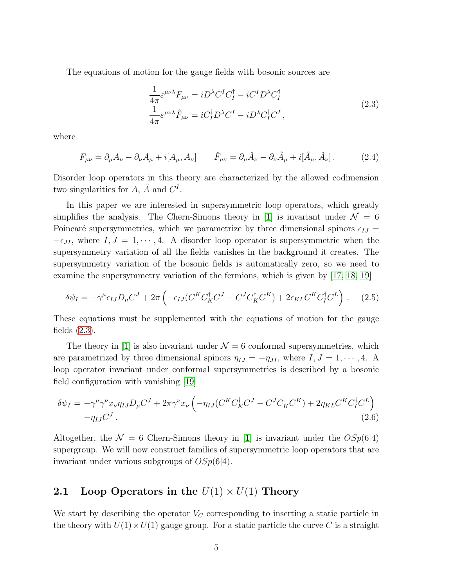The equations of motion for the gauge fields with bosonic sources are

<span id="page-5-1"></span>
$$
\frac{1}{4\pi} \varepsilon^{\mu\nu\lambda} F_{\mu\nu} = iD^{\lambda} C^{I} C_{I}^{\dagger} - iC^{I} D^{\lambda} C_{I}^{\dagger} \n\frac{1}{4\pi} \varepsilon^{\mu\nu\lambda} \hat{F}_{\mu\nu} = iC_{I}^{\dagger} D^{\lambda} C^{I} - iD^{\lambda} C_{I}^{\dagger} C^{I},
$$
\n(2.3)

where

$$
F_{\mu\nu} = \partial_{\mu}A_{\nu} - \partial_{\nu}A_{\mu} + i[A_{\mu}, A_{\nu}] \qquad \hat{F}_{\mu\nu} = \partial_{\mu}\hat{A}_{\nu} - \partial_{\nu}\hat{A}_{\mu} + i[\hat{A}_{\mu}, \hat{A}_{\nu}]. \tag{2.4}
$$

Disorder loop operators in this theory are characterized by the allowed codimension two singularities for  $A$ ,  $\hat{A}$  and  $C^{I}$ .

In this paper we are interested in supersymmetric loop operators, which greatly simplifies the analysis. The Chern-Simons theory in [\[1\]](#page-60-0) is invariant under  $\mathcal{N} = 6$ Poincaré supersymmetries, which we parametrize by three dimensional spinors  $\epsilon_{IJ}$  =  $-\epsilon_{JI}$ , where  $I, J = 1, \dots, 4$ . A disorder loop operator is supersymmetric when the supersymmetry variation of all the fields vanishes in the background it creates. The supersymmetry variation of the bosonic fields is automatically zero, so we need to examine the supersymmetry variation of the fermions, which is given by [\[17,](#page-61-10) [18,](#page-61-11) [19\]](#page-61-12)

<span id="page-5-2"></span>
$$
\delta \psi_I = -\gamma^\mu \epsilon_{IJ} D_\mu C^J + 2\pi \left( -\epsilon_{IJ} (C^K C_K^\dagger C^J - C^J C_K^\dagger C^K) + 2\epsilon_{KL} C^K C_I^\dagger C^L \right). \tag{2.5}
$$

These equations must be supplemented with the equations of motion for the gauge fields [\(2.3\)](#page-5-1).

The theory in [\[1\]](#page-60-0) is also invariant under  $\mathcal{N} = 6$  conformal supersymmetries, which are parametrized by three dimensional spinors  $\eta_{IJ} = -\eta_{JI}$ , where  $I, J = 1, \dots, 4$ . A loop operator invariant under conformal supersymmetries is described by a bosonic field configuration with vanishing [\[19\]](#page-61-12)

<span id="page-5-3"></span>
$$
\delta\psi_I = -\gamma^\mu \gamma^\nu x_\nu \eta_{IJ} D_\mu C^J + 2\pi \gamma^\nu x_\nu \left( -\eta_{IJ} (C^K C_K^\dagger C^J - C^J C_K^\dagger C^K) + 2\eta_{KL} C^K C_I^\dagger C^L \right) - \eta_{IJ} C^J.
$$
\n(2.6)

Altogether, the  $\mathcal{N} = 6$  Chern-Simons theory in [\[1\]](#page-60-0) is invariant under the  $OSp(6|4)$ supergroup. We will now construct families of supersymmetric loop operators that are invariant under various subgroups of  $OSp(6|4)$ .

## <span id="page-5-0"></span>2.1 Loop Operators in the  $U(1) \times U(1)$  Theory

We start by describing the operator  $V_C$  corresponding to inserting a static particle in the theory with  $U(1) \times U(1)$  gauge group. For a static particle the curve C is a straight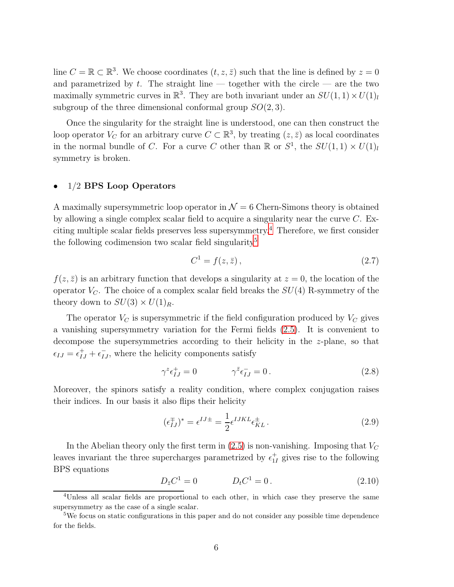line  $C = \mathbb{R} \subset \mathbb{R}^3$ . We choose coordinates  $(t, z, \bar{z})$  such that the line is defined by  $z = 0$ and parametrized by t. The straight line — together with the circle — are the two maximally symmetric curves in  $\mathbb{R}^3$ . They are both invariant under an  $SU(1,1) \times U(1)_l$ subgroup of the three dimensional conformal group  $SO(2,3)$ .

Once the singularity for the straight line is understood, one can then construct the loop operator  $V_C$  for an arbitrary curve  $C \subset \mathbb{R}^3$ , by treating  $(z, \bar{z})$  as local coordinates in the normal bundle of C. For a curve C other than  $\mathbb{R}$  or  $S^1$ , the  $SU(1,1) \times U(1)_l$ symmetry is broken.

### • 1/2 BPS Loop Operators

A maximally supersymmetric loop operator in  $\mathcal{N}=6$  Chern-Simons theory is obtained by allowing a single complex scalar field to acquire a singularity near the curve  $C$ . Exciting multiple scalar fields preserves less supersymmetry. [4](#page-6-0) Therefore, we first consider the following codimension two scalar field singularity<sup>[5](#page-6-1)</sup>

$$
C^1 = f(z, \bar{z}),\tag{2.7}
$$

 $f(z, \overline{z})$  is an arbitrary function that develops a singularity at  $z = 0$ , the location of the operator  $V_C$ . The choice of a complex scalar field breaks the  $SU(4)$  R-symmetry of the theory down to  $SU(3) \times U(1)_R$ .

The operator  $V_C$  is supersymmetric if the field configuration produced by  $V_C$  gives a vanishing supersymmetry variation for the Fermi fields [\(2.5\)](#page-5-2). It is convenient to decompose the supersymmetries according to their helicity in the z-plane, so that  $\epsilon_{IJ} = \epsilon_{IJ}^+ + \epsilon_{IJ}^-$ , where the helicity components satisfy

<span id="page-6-4"></span>
$$
\gamma^z \epsilon_{IJ}^+ = 0 \qquad \qquad \gamma^{\bar{z}} \epsilon_{IJ}^- = 0 \,. \tag{2.8}
$$

Moreover, the spinors satisfy a reality condition, where complex conjugation raises their indices. In our basis it also flips their helicity

<span id="page-6-2"></span>
$$
(\epsilon_{IJ}^{\mp})^* = \epsilon^{IJ \pm} = \frac{1}{2} \epsilon^{IJKL} \epsilon_{KL}^{\pm} . \tag{2.9}
$$

In the Abelian theory only the first term in [\(2.5\)](#page-5-2) is non-vanishing. Imposing that  $V_C$ leaves invariant the three supercharges parametrized by  $\epsilon_{1i}^+$  $_{1I}^+$  gives rise to the following BPS equations

<span id="page-6-3"></span>
$$
D_{\bar{z}}C^1 = 0 \qquad D_t C^1 = 0. \qquad (2.10)
$$

<span id="page-6-0"></span><sup>4</sup>Unless all scalar fields are proportional to each other, in which case they preserve the same supersymmetry as the case of a single scalar.

<span id="page-6-1"></span><sup>&</sup>lt;sup>5</sup>We focus on static configurations in this paper and do not consider any possible time dependence for the fields.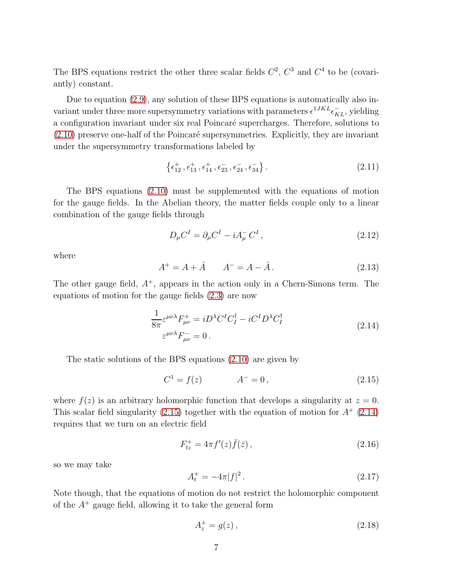The BPS equations restrict the other three scalar fields  $C^2$ ,  $C^3$  and  $C^4$  to be (covariantly) constant.

Due to equation [\(2.9\)](#page-6-2), any solution of these BPS equations is automatically also invariant under three more supersymmetry variations with parameters  $\epsilon^{1JKL}\epsilon_{KL}^-$ , yielding a configuration invariant under six real Poincaré supercharges. Therefore, solutions to  $(2.10)$  preserve one-half of the Poincaré supersymmetries. Explicitly, they are invariant under the supersymmetry transformations labeled by

<span id="page-7-3"></span>
$$
\left\{\epsilon_{12}^+, \epsilon_{13}^+, \epsilon_{14}^+, \epsilon_{23}^-, \epsilon_{24}^-, \epsilon_{34}^-\right\}.
$$
 (2.11)

The BPS equations [\(2.10\)](#page-6-3) must be supplemented with the equations of motion for the gauge fields. In the Abelian theory, the matter fields couple only to a linear combination of the gauge fields through

$$
D_{\mu}C^{I} = \partial_{\mu}C^{I} - iA_{\mu}^{-}C^{I}, \qquad (2.12)
$$

where

$$
A^{+} = A + \hat{A} \qquad A^{-} = A - \hat{A}. \tag{2.13}
$$

The other gauge field,  $A^+$ , appears in the action only in a Chern-Simons term. The equations of motion for the gauge fields [\(2.3\)](#page-5-1) are now

<span id="page-7-1"></span>
$$
\frac{1}{8\pi} \varepsilon^{\mu\nu\lambda} F^{+}_{\mu\nu} = iD^{\lambda} C^{I} C^{{\dagger}}_{I} - iC^{I} D^{\lambda} C^{{\dagger}}_{I}
$$
\n
$$
\varepsilon^{\mu\nu\lambda} F^{-}_{\mu\nu} = 0.
$$
\n(2.14)

The static solutions of the BPS equations [\(2.10\)](#page-6-3) are given by

<span id="page-7-0"></span>
$$
C^1 = f(z) \qquad \qquad A^- = 0 \,, \tag{2.15}
$$

where  $f(z)$  is an arbitrary holomorphic function that develops a singularity at  $z = 0$ . This scalar field singularity [\(2.15\)](#page-7-0) together with the equation of motion for  $A^+$  [\(2.14\)](#page-7-1) requires that we turn on an electric field

$$
F_{tz}^+ = 4\pi f'(z)\bar{f}(\bar{z})\,,\tag{2.16}
$$

so we may take

$$
A_t^+ = -4\pi |f|^2. \tag{2.17}
$$

Note though, that the equations of motion do not restrict the holomorphic component of the  $A^+$  gauge field, allowing it to take the general form

<span id="page-7-2"></span>
$$
A_z^+ = g(z) \,, \tag{2.18}
$$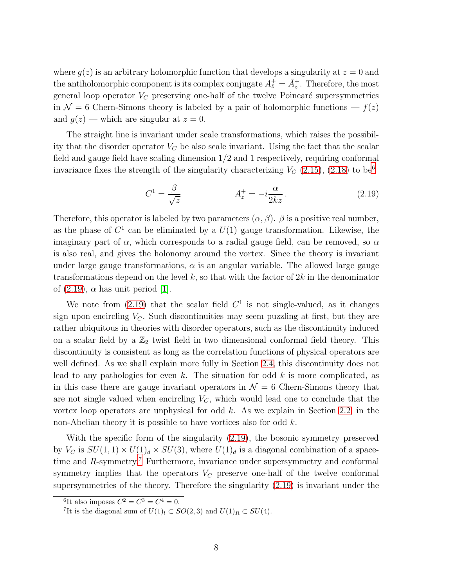where  $g(z)$  is an arbitrary holomorphic function that develops a singularity at  $z = 0$  and the antiholomorphic component is its complex conjugate  $A_{\bar{z}}^{+} = \bar{A}_{z}^{+}$ . Therefore, the most general loop operator  $V_C$  preserving one-half of the twelve Poincaré supersymmetries in  $\mathcal{N} = 6$  Chern-Simons theory is labeled by a pair of holomorphic functions —  $f(z)$ and  $g(z)$  — which are singular at  $z = 0$ .

The straight line is invariant under scale transformations, which raises the possibility that the disorder operator  $V_C$  be also scale invariant. Using the fact that the scalar field and gauge field have scaling dimension 1/2 and 1 respectively, requiring conformal invariance fixes the strength of the singularity characterizing  $V_C$  [\(2.15\)](#page-7-0), [\(2.18\)](#page-7-2) to be<sup>[6](#page-8-0)</sup>

<span id="page-8-1"></span>
$$
C^1 = \frac{\beta}{\sqrt{z}} \qquad A_z^+ = -i \frac{\alpha}{2kz} \,. \tag{2.19}
$$

Therefore, this operator is labeled by two parameters  $(\alpha, \beta)$ .  $\beta$  is a positive real number, as the phase of  $C^1$  can be eliminated by a  $U(1)$  gauge transformation. Likewise, the imaginary part of  $\alpha$ , which corresponds to a radial gauge field, can be removed, so  $\alpha$ is also real, and gives the holonomy around the vortex. Since the theory is invariant under large gauge transformations,  $\alpha$  is an angular variable. The allowed large gauge transformations depend on the level  $k$ , so that with the factor of  $2k$  in the denominator of  $(2.19)$ ,  $\alpha$  has unit period [\[1\]](#page-60-0).

We note from  $(2.19)$  that the scalar field  $C<sup>1</sup>$  is not single-valued, as it changes sign upon encircling  $V_C$ . Such discontinuities may seem puzzling at first, but they are rather ubiquitous in theories with disorder operators, such as the discontinuity induced on a scalar field by a  $\mathbb{Z}_2$  twist field in two dimensional conformal field theory. This discontinuity is consistent as long as the correlation functions of physical operators are well defined. As we shall explain more fully in Section [2.4,](#page-21-0) this discontinuity does not lead to any pathologies for even k. The situation for odd  $k$  is more complicated, as in this case there are gauge invariant operators in  $\mathcal{N} = 6$  Chern-Simons theory that are not single valued when encircling  $V_C$ , which would lead one to conclude that the vortex loop operators are unphysical for odd  $k$ . As we explain in Section [2.2,](#page-15-0) in the non-Abelian theory it is possible to have vortices also for odd  $k$ .

With the specific form of the singularity [\(2.19\)](#page-8-1), the bosonic symmetry preserved by  $V_C$  is  $SU(1,1) \times U(1)_d \times SU(3)$ , where  $U(1)_d$  is a diagonal combination of a spacetime and  $R$ -symmetry.<sup>[7](#page-8-2)</sup> Furthermore, invariance under supersymmetry and conformal symmetry implies that the operators  $V_C$  preserve one-half of the twelve conformal supersymmetries of the theory. Therefore the singularity [\(2.19\)](#page-8-1) is invariant under the

<sup>&</sup>lt;sup>6</sup>It also imposes  $C^2 = C^3 = C^4 = 0$ .

<span id="page-8-2"></span><span id="page-8-0"></span><sup>&</sup>lt;sup>7</sup>It is the diagonal sum of  $U(1)_l \subset SO(2,3)$  and  $U(1)_R \subset SU(4)$ .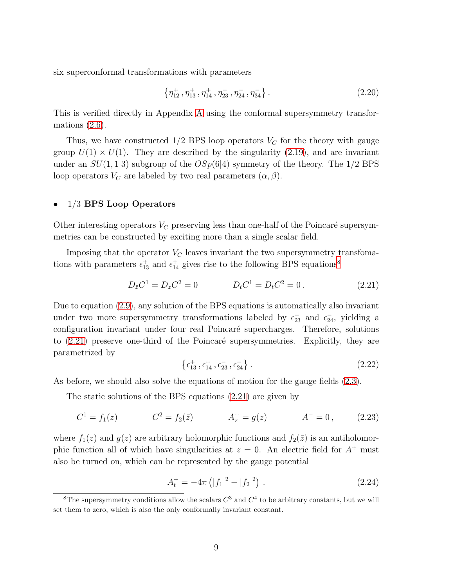six superconformal transformations with parameters

$$
\{\eta_{12}^+, \eta_{13}^+, \eta_{14}^+, \eta_{23}^-, \eta_{24}^-, \eta_{34}^-\}.
$$
 (2.20)

This is verified directly in Appendix [A](#page-46-0) using the conformal supersymmetry transformations  $(2.6)$ .

Thus, we have constructed  $1/2$  BPS loop operators  $V_C$  for the theory with gauge group  $U(1) \times U(1)$ . They are described by the singularity [\(2.19\)](#page-8-1), and are invariant under an  $SU(1,1|3)$  subgroup of the  $OSp(6|4)$  symmetry of the theory. The 1/2 BPS loop operators  $V_C$  are labeled by two real parameters  $(\alpha, \beta)$ .

### • 1/3 BPS Loop Operators

Other interesting operators  $V_C$  preserving less than one-half of the Poincaré supersymmetries can be constructed by exciting more than a single scalar field.

Imposing that the operator  $V_C$  leaves invariant the two supersymmetry transfomations with parameters  $\epsilon_{13}^+$  and  $\epsilon_{14}^+$  gives rise to the following BPS equations<sup>[8](#page-9-0)</sup>

<span id="page-9-1"></span>
$$
D_{\bar{z}}C^1 = D_z C^2 = 0 \qquad D_t C^1 = D_t C^2 = 0. \qquad (2.21)
$$

Due to equation [\(2.9\)](#page-6-2), any solution of the BPS equations is automatically also invariant under two more supersymmetry transformations labeled by  $\epsilon_{23}^-$  and  $\epsilon_{24}^-$ , yielding a configuration invariant under four real Poincaré supercharges. Therefore, solutions to  $(2.21)$  preserve one-third of the Poincaré supersymmetries. Explicitly, they are parametrized by

<span id="page-9-2"></span>
$$
\{\epsilon_{13}^+, \epsilon_{14}^+, \epsilon_{23}^-, \epsilon_{24}^-\}.
$$
\n(2.22)

As before, we should also solve the equations of motion for the gauge fields [\(2.3\)](#page-5-1).

The static solutions of the BPS equations [\(2.21\)](#page-9-1) are given by

$$
C1 = f1(z) \t C2 = f2(\bar{z}) \t A+ = g(z) \t A- = 0, \t (2.23)
$$

where  $f_1(z)$  and  $g(z)$  are arbitrary holomorphic functions and  $f_2(\overline{z})$  is an antiholomorphic function all of which have singularities at  $z = 0$ . An electric field for  $A^+$  must also be turned on, which can be represented by the gauge potential

$$
A_t^+ = -4\pi \left( |f_1|^2 - |f_2|^2 \right) \,. \tag{2.24}
$$

<span id="page-9-0"></span><sup>&</sup>lt;sup>8</sup>The supersymmetry conditions allow the scalars  $C^3$  and  $C^4$  to be arbitrary constants, but we will set them to zero, which is also the only conformally invariant constant.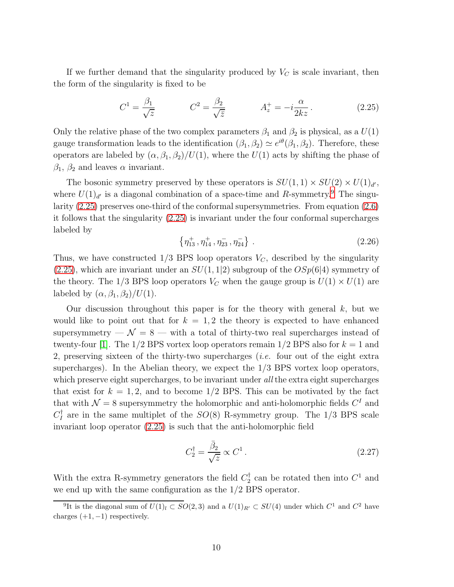If we further demand that the singularity produced by  $V_C$  is scale invariant, then the form of the singularity is fixed to be

<span id="page-10-1"></span>
$$
C^1 = \frac{\beta_1}{\sqrt{z}} \qquad C^2 = \frac{\beta_2}{\sqrt{\bar{z}}} \qquad A_z^+ = -i\frac{\alpha}{2kz} \,. \tag{2.25}
$$

Only the relative phase of the two complex parameters  $\beta_1$  and  $\beta_2$  is physical, as a  $U(1)$ gauge transformation leads to the identification  $(\beta_1, \beta_2) \simeq e^{i\theta}(\beta_1, \beta_2)$ . Therefore, these operators are labeled by  $(\alpha, \beta_1, \beta_2)/U(1)$ , where the  $U(1)$  acts by shifting the phase of  $\beta_1$ ,  $\beta_2$  and leaves  $\alpha$  invariant.

The bosonic symmetry preserved by these operators is  $SU(1,1) \times SU(2) \times U(1)_{d'}$ , where  $U(1)_{d'}$  is a diagonal combination of a space-time and R-symmetry.<sup>[9](#page-10-0)</sup> The singularity [\(2.25\)](#page-10-1) preserves one-third of the conformal supersymmetries. From equation [\(2.6\)](#page-5-3) it follows that the singularity [\(2.25\)](#page-10-1) is invariant under the four conformal supercharges labeled by

$$
\{\eta_{13}^+, \eta_{14}^+, \eta_{23}^-, \eta_{24}^-\} \ . \tag{2.26}
$$

Thus, we have constructed  $1/3$  BPS loop operators  $V_C$ , described by the singularity  $(2.25)$ , which are invariant under an  $SU(1, 1|2)$  subgroup of the  $OSp(6|4)$  symmetry of the theory. The 1/3 BPS loop operators  $V_C$  when the gauge group is  $U(1) \times U(1)$  are labeled by  $(\alpha, \beta_1, \beta_2)/U(1)$ .

Our discussion throughout this paper is for the theory with general  $k$ , but we would like to point out that for  $k = 1, 2$  the theory is expected to have enhanced supersymmetry —  $\mathcal{N} = 8$  — with a total of thirty-two real supercharges instead of twenty-four [\[1\]](#page-60-0). The  $1/2$  BPS vortex loop operators remain  $1/2$  BPS also for  $k = 1$  and 2, preserving sixteen of the thirty-two supercharges (i.e. four out of the eight extra supercharges). In the Abelian theory, we expect the  $1/3$  BPS vortex loop operators, which preserve eight supercharges, to be invariant under *all* the extra eight supercharges that exist for  $k = 1, 2$ , and to become 1/2 BPS. This can be motivated by the fact that with  $\mathcal{N} = 8$  supersymmetry the holomorphic and anti-holomorphic fields  $C^{I}$  and  $C_I^\dagger$ If are in the same multiplet of the  $SO(8)$  R-symmetry group. The  $1/3$  BPS scale invariant loop operator [\(2.25\)](#page-10-1) is such that the anti-holomorphic field

<span id="page-10-2"></span>
$$
C_2^{\dagger} = \frac{\bar{\beta}_2}{\sqrt{z}} \propto C^1. \tag{2.27}
$$

With the extra R-symmetry generators the field  $C_2^{\dagger}$  $C_2^{\dagger}$  can be rotated then into  $C_1^{\dagger}$  and we end up with the same configuration as the 1/2 BPS operator.

<span id="page-10-0"></span><sup>&</sup>lt;sup>9</sup>It is the diagonal sum of  $U(1)_l \subset SO(2,3)$  and a  $U(1)_{R'} \subset SU(4)$  under which  $C^1$  and  $C^2$  have charges  $(+1, -1)$  respectively.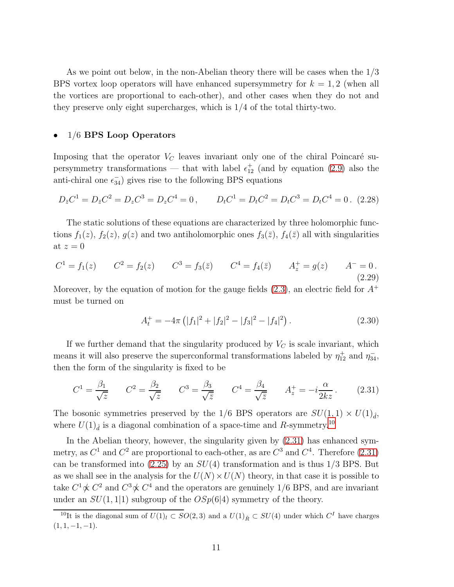As we point out below, in the non-Abelian theory there will be cases when the 1/3 BPS vortex loop operators will have enhanced supersymmetry for  $k = 1, 2$  (when all the vortices are proportional to each-other), and other cases when they do not and they preserve only eight supercharges, which is 1/4 of the total thirty-two.

#### • 1/6 BPS Loop Operators

Imposing that the operator  $V_C$  leaves invariant only one of the chiral Poincaré supersymmetry transformations — that with label  $\epsilon_{12}^+$  (and by equation [\(2.9\)](#page-6-2) also the anti-chiral one  $\epsilon_{34}^-$ ) gives rise to the following BPS equations

$$
D_{\bar{z}}C^1 = D_{\bar{z}}C^2 = D_zC^3 = D_zC^4 = 0, \qquad D_t C^1 = D_t C^2 = D_t C^3 = D_t C^4 = 0. \tag{2.28}
$$

The static solutions of these equations are characterized by three holomorphic functions  $f_1(z)$ ,  $f_2(z)$ ,  $g(z)$  and two antiholomorphic ones  $f_3(\overline{z})$ ,  $f_4(\overline{z})$  all with singularities at  $z=0$ 

$$
C1 = f1(z) \t C2 = f2(z) \t C3 = f3(\bar{z}) \t C4 = f4(\bar{z}) \t A+z = g(z) \t A- = 0.
$$
\t(2.29)

Moreover, by the equation of motion for the gauge fields  $(2.3)$ , an electric field for  $A^+$ must be turned on

$$
A_t^+ = -4\pi \left( |f_1|^2 + |f_2|^2 - |f_3|^2 - |f_4|^2 \right). \tag{2.30}
$$

If we further demand that the singularity produced by  $V_C$  is scale invariant, which means it will also preserve the superconformal transformations labeled by  $\eta_{12}^+$  and  $\eta_{34}^-$ , then the form of the singularity is fixed to be

<span id="page-11-1"></span>
$$
C^{1} = \frac{\beta_{1}}{\sqrt{z}} \qquad C^{2} = \frac{\beta_{2}}{\sqrt{z}} \qquad C^{3} = \frac{\beta_{3}}{\sqrt{\bar{z}}} \qquad C^{4} = \frac{\beta_{4}}{\sqrt{\bar{z}}} \qquad A_{z}^{+} = -i \frac{\alpha}{2kz} \,. \tag{2.31}
$$

The bosonic symmetries preserved by the 1/6 BPS operators are  $SU(1,1) \times U(1)<sub>d</sub>$ , where  $U(1)<sub>\hat{d}</sub>$  is a diagonal combination of a space-time and R-symmetry.<sup>[10](#page-11-0)</sup>

In the Abelian theory, however, the singularity given by [\(2.31\)](#page-11-1) has enhanced symmetry, as  $C^1$  and  $C^2$  are proportional to each-other, as are  $C^3$  and  $C^4$ . Therefore [\(2.31\)](#page-11-1) can be transformed into  $(2.25)$  by an  $SU(4)$  transformation and is thus  $1/3$  BPS. But as we shall see in the analysis for the  $U(N) \times U(N)$  theory, in that case it is possible to take  $C^1 \not\propto C^2$  and  $C^3 \not\propto C^4$  and the operators are genuinely 1/6 BPS, and are invariant under an  $SU(1, 1|1)$  subgroup of the  $OSp(6|4)$  symmetry of the theory.

<span id="page-11-0"></span><sup>&</sup>lt;sup>10</sup>It is the diagonal sum of  $U(1)_l \subset SO(2,3)$  and a  $U(1)_{\hat{R}} \subset SU(4)$  under which  $C^I$  have charges  $(1, 1, -1, -1).$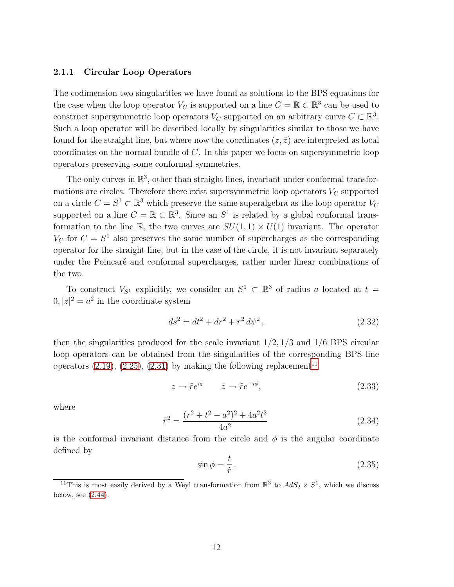#### <span id="page-12-0"></span>2.1.1 Circular Loop Operators

The codimension two singularities we have found as solutions to the BPS equations for the case when the loop operator  $V_C$  is supported on a line  $C = \mathbb{R} \subset \mathbb{R}^3$  can be used to construct supersymmetric loop operators  $V_C$  supported on an arbitrary curve  $C \subset \mathbb{R}^3$ . Such a loop operator will be described locally by singularities similar to those we have found for the straight line, but where now the coordinates  $(z, \bar{z})$  are interpreted as local coordinates on the normal bundle of C. In this paper we focus on supersymmetric loop operators preserving some conformal symmetries.

The only curves in  $\mathbb{R}^3$ , other than straight lines, invariant under conformal transformations are circles. Therefore there exist supersymmetric loop operators  $V_C$  supported on a circle  $C = S^1 \subset \mathbb{R}^3$  which preserve the same superalgebra as the loop operator  $V_C$ supported on a line  $C = \mathbb{R} \subset \mathbb{R}^3$ . Since an  $S^1$  is related by a global conformal transformation to the line R, the two curves are  $SU(1,1) \times U(1)$  invariant. The operator  $V_C$  for  $C = S<sup>1</sup>$  also preserves the same number of supercharges as the corresponding operator for the straight line, but in the case of the circle, it is not invariant separately under the Poincaré and conformal supercharges, rather under linear combinations of the two.

To construct  $V_{S^1}$  explicitly, we consider an  $S^1 \subset \mathbb{R}^3$  of radius a located at  $t =$  $0, |z|^2 = a^2$  in the coordinate system

$$
ds^2 = dt^2 + dr^2 + r^2 d\psi^2,
$$
\n(2.32)

then the singularities produced for the scale invariant  $1/2$ ,  $1/3$  and  $1/6$  BPS circular loop operators can be obtained from the singularities of the corresponding BPS line operators  $(2.19)$ ,  $(2.25)$ ,  $(2.31)$  by making the following replacement<sup>[11](#page-12-1)</sup>

<span id="page-12-2"></span>
$$
z \to \tilde{r}e^{i\phi} \qquad \bar{z} \to \tilde{r}e^{-i\phi}, \tag{2.33}
$$

where

<span id="page-12-3"></span>
$$
\tilde{r}^2 = \frac{(r^2 + t^2 - a^2)^2 + 4a^2t^2}{4a^2} \tag{2.34}
$$

is the conformal invariant distance from the circle and  $\phi$  is the angular coordinate defined by

$$
\sin \phi = \frac{t}{\tilde{r}}.
$$
\n(2.35)

<span id="page-12-1"></span><sup>&</sup>lt;sup>11</sup>This is most easily derived by a Weyl transformation from  $\mathbb{R}^3$  to  $AdS_2 \times S^1$ , which we discuss below, see  $(2.44)$ .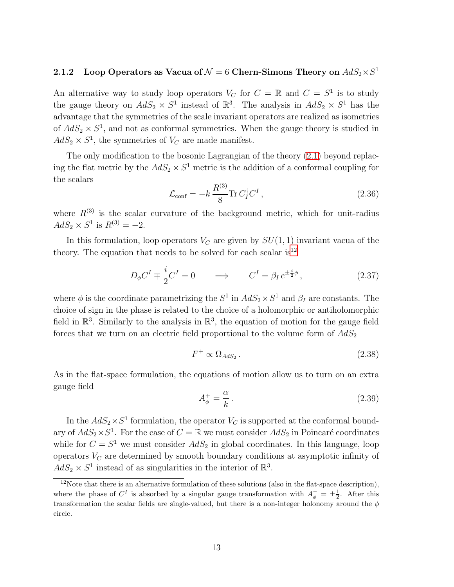## <span id="page-13-0"></span>2.1.2 Loop Operators as Vacua of  $\mathcal{N}=6$  Chern-Simons Theory on  $AdS_2\times S^1$

An alternative way to study loop operators  $V_C$  for  $C = \mathbb{R}$  and  $C = S^1$  is to study the gauge theory on  $AdS_2 \times S^1$  instead of  $\mathbb{R}^3$ . The analysis in  $AdS_2 \times S^1$  has the advantage that the symmetries of the scale invariant operators are realized as isometries of  $AdS_2 \times S^1$ , and not as conformal symmetries. When the gauge theory is studied in  $AdS_2 \times S^1$ , the symmetries of  $V_C$  are made manifest.

The only modification to the bosonic Lagrangian of the theory [\(2.1\)](#page-4-4) beyond replacing the flat metric by the  $AdS_2 \times S^1$  metric is the addition of a conformal coupling for the scalars

$$
\mathcal{L}_{\text{conf}} = -k \frac{R^{(3)}}{8} \text{Tr} C_I^{\dagger} C^I , \qquad (2.36)
$$

where  $R^{(3)}$  is the scalar curvature of the background metric, which for unit-radius  $AdS_2 \times S^1$  is  $R^{(3)} = -2$ .

In this formulation, loop operators  $V_C$  are given by  $SU(1, 1)$  invariant vacua of the theory. The equation that needs to be solved for each scalar is<sup>[12](#page-13-1)</sup>

<span id="page-13-2"></span>
$$
D_{\phi}C^{I} \mp \frac{i}{2}C^{I} = 0 \qquad \Longrightarrow \qquad C^{I} = \beta_{I}e^{\pm \frac{i}{2}\phi}, \tag{2.37}
$$

where  $\phi$  is the coordinate parametrizing the  $S^1$  in  $AdS_2 \times S^1$  and  $\beta_I$  are constants. The choice of sign in the phase is related to the choice of a holomorphic or antiholomorphic field in  $\mathbb{R}^3$ . Similarly to the analysis in  $\mathbb{R}^3$ , the equation of motion for the gauge field forces that we turn on an electric field proportional to the volume form of  $AdS_2$ 

$$
F^+ \propto \Omega_{AdS_2} \,. \tag{2.38}
$$

As in the flat-space formulation, the equations of motion allow us to turn on an extra gauge field

$$
A_{\phi}^{+} = \frac{\alpha}{k} \,. \tag{2.39}
$$

In the  $AdS_2 \times S^1$  formulation, the operator  $V_C$  is supported at the conformal boundary of  $AdS_2 \times S^1$ . For the case of  $C = \mathbb{R}$  we must consider  $AdS_2$  in Poincaré coordinates while for  $C = S^1$  we must consider  $AdS_2$  in global coordinates. In this language, loop operators  $V_C$  are determined by smooth boundary conditions at asymptotic infinity of  $AdS_2 \times S^1$  instead of as singularities in the interior of  $\mathbb{R}^3$ .

<span id="page-13-1"></span> $12$ Note that there is an alternative formulation of these solutions (also in the flat-space description), where the phase of  $C^I$  is absorbed by a singular gauge transformation with  $A_{\phi}^- = \pm \frac{1}{2}$ . After this transformation the scalar fields are single-valued, but there is a non-integer holonomy around the  $\phi$ circle.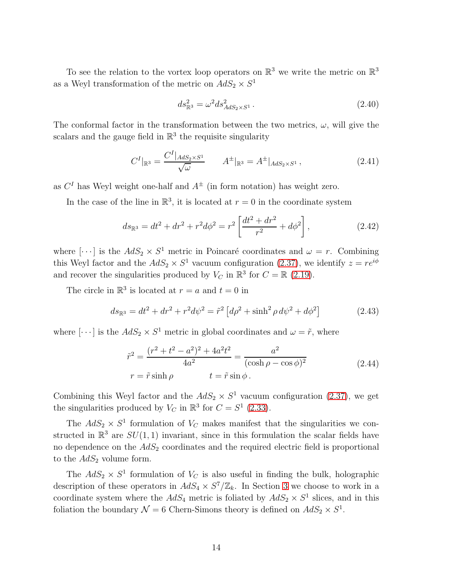To see the relation to the vortex loop operators on  $\mathbb{R}^3$  we write the metric on  $\mathbb{R}^3$ as a Weyl transformation of the metric on  $AdS_2 \times S^1$ 

$$
ds_{\mathbb{R}^3}^2 = \omega^2 ds_{AdS_2 \times S^1}^2.
$$
\n(2.40)

The conformal factor in the transformation between the two metrics,  $\omega$ , will give the scalars and the gauge field in  $\mathbb{R}^3$  the requisite singularity

$$
C^{I}|_{\mathbb{R}^{3}} = \frac{C^{I}|_{AdS_{2} \times S^{1}}}{\sqrt{\omega}} \qquad A^{\pm}|_{\mathbb{R}^{3}} = A^{\pm}|_{AdS_{2} \times S^{1}}, \tag{2.41}
$$

as  $C<sup>I</sup>$  has Weyl weight one-half and  $A<sup>\pm</sup>$  (in form notation) has weight zero.

In the case of the line in  $\mathbb{R}^3$ , it is located at  $r=0$  in the coordinate system

$$
ds_{\mathbb{R}^3} = dt^2 + dr^2 + r^2 d\phi^2 = r^2 \left[ \frac{dt^2 + dr^2}{r^2} + d\phi^2 \right],
$$
 (2.42)

where  $[\cdots]$  is the  $AdS_2 \times S^1$  metric in Poincaré coordinates and  $\omega = r$ . Combining this Weyl factor and the  $AdS_2 \times S^1$  vacuum configuration [\(2.37\)](#page-13-2), we identify  $z = re^{i\phi}$ and recover the singularities produced by  $V_C$  in  $\mathbb{R}^3$  for  $C = \mathbb{R}$  [\(2.19\)](#page-8-1).

The circle in  $\mathbb{R}^3$  is located at  $r = a$  and  $t = 0$  in

$$
ds_{\mathbb{R}^3} = dt^2 + dr^2 + r^2 d\psi^2 = \tilde{r}^2 \left[ d\rho^2 + \sinh^2 \rho \, d\psi^2 + d\phi^2 \right] \tag{2.43}
$$

where  $[\cdots]$  is the  $AdS_2 \times S^1$  metric in global coordinates and  $\omega = \tilde{r}$ , where

<span id="page-14-0"></span>
$$
\tilde{r}^2 = \frac{(r^2 + t^2 - a^2)^2 + 4a^2t^2}{4a^2} = \frac{a^2}{(\cosh \rho - \cos \phi)^2}
$$
\n
$$
r = \tilde{r} \sinh \rho \qquad t = \tilde{r} \sin \phi. \tag{2.44}
$$

Combining this Weyl factor and the  $AdS_2 \times S^1$  vacuum configuration [\(2.37\)](#page-13-2), we get the singularities produced by  $V_C$  in  $\mathbb{R}^3$  for  $C = S^1$  [\(2.33\)](#page-12-2).

The  $AdS_2 \times S^1$  formulation of  $V_C$  makes manifest that the singularities we constructed in  $\mathbb{R}^3$  are  $SU(1,1)$  invariant, since in this formulation the scalar fields have no dependence on the  $AdS_2$  coordinates and the required electric field is proportional to the  $AdS_2$  volume form.

The  $AdS_2 \times S^1$  formulation of  $V_C$  is also useful in finding the bulk, holographic description of these operators in  $AdS_4 \times S^7/\mathbb{Z}_k$ . In Section [3](#page-25-0) we choose to work in a coordinate system where the  $AdS_4$  metric is foliated by  $AdS_2 \times S^1$  slices, and in this foliation the boundary  $\mathcal{N} = 6$  Chern-Simons theory is defined on  $AdS_2 \times S^1$ .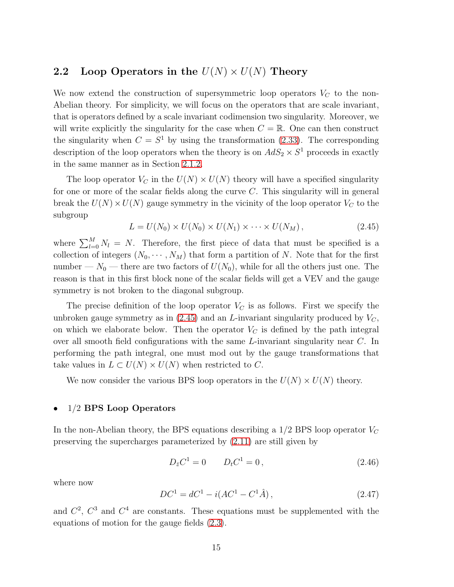## <span id="page-15-0"></span>2.2 Loop Operators in the  $U(N) \times U(N)$  Theory

We now extend the construction of supersymmetric loop operators  $V_C$  to the non-Abelian theory. For simplicity, we will focus on the operators that are scale invariant, that is operators defined by a scale invariant codimension two singularity. Moreover, we will write explicitly the singularity for the case when  $C = \mathbb{R}$ . One can then construct the singularity when  $C = S<sup>1</sup>$  by using the transformation [\(2.33\)](#page-12-2). The corresponding description of the loop operators when the theory is on  $AdS_2 \times S^1$  proceeds in exactly in the same manner as in Section [2.1.2.](#page-13-0)

The loop operator  $V_C$  in the  $U(N) \times U(N)$  theory will have a specified singularity for one or more of the scalar fields along the curve  $C$ . This singularity will in general break the  $U(N) \times U(N)$  gauge symmetry in the vicinity of the loop operator  $V_C$  to the subgroup

<span id="page-15-1"></span>
$$
L = U(N_0) \times U(N_0) \times U(N_1) \times \cdots \times U(N_M), \qquad (2.45)
$$

where  $\sum_{l=0}^{M} N_l = N$ . Therefore, the first piece of data that must be specified is a collection of integers  $(N_0, \dots, N_M)$  that form a partition of N. Note that for the first number —  $N_0$  — there are two factors of  $U(N_0)$ , while for all the others just one. The reason is that in this first block none of the scalar fields will get a VEV and the gauge symmetry is not broken to the diagonal subgroup.

The precise definition of the loop operator  $V_C$  is as follows. First we specify the unbroken gauge symmetry as in  $(2.45)$  and an L-invariant singularity produced by  $V_C$ , on which we elaborate below. Then the operator  $V_C$  is defined by the path integral over all smooth field configurations with the same L-invariant singularity near C. In performing the path integral, one must mod out by the gauge transformations that take values in  $L \subset U(N) \times U(N)$  when restricted to C.

We now consider the various BPS loop operators in the  $U(N) \times U(N)$  theory.

### • 1/2 BPS Loop Operators

In the non-Abelian theory, the BPS equations describing a  $1/2$  BPS loop operator  $V_C$ preserving the supercharges parameterized by [\(2.11\)](#page-7-3) are still given by

$$
D_{\bar{z}}C^1 = 0 \t D_t C^1 = 0, \t (2.46)
$$

where now

$$
DC^{1} = dC^{1} - i(AC^{1} - C^{1}\hat{A}), \qquad (2.47)
$$

and  $C^2$ ,  $C^3$  and  $C^4$  are constants. These equations must be supplemented with the equations of motion for the gauge fields [\(2.3\)](#page-5-1).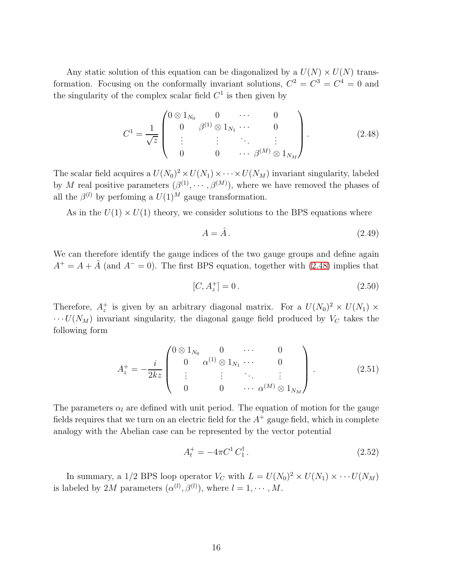Any static solution of this equation can be diagonalized by a  $U(N) \times U(N)$  transformation. Focusing on the conformally invariant solutions,  $C^2 = C^3 = C^4 = 0$  and the singularity of the complex scalar field  $C<sup>1</sup>$  is then given by

<span id="page-16-0"></span>
$$
C^{1} = \frac{1}{\sqrt{z}} \begin{pmatrix} 0 & \otimes 1_{N_{0}} & 0 & \cdots & 0 \\ 0 & \beta^{(1)} \otimes 1_{N_{1}} & \cdots & 0 \\ \vdots & \vdots & \ddots & \vdots \\ 0 & 0 & \cdots & \beta^{(M)} \otimes 1_{N_{M}} \end{pmatrix}.
$$
 (2.48)

The scalar field acquires a  $U(N_0)^2 \times U(N_1) \times \cdots \times U(N_M)$  invariant singularity, labeled by M real positive parameters  $(\beta^{(1)}, \cdots, \beta^{(M)})$ , where we have removed the phases of all the  $\beta^{(l)}$  by perfoming a  $U(1)^M$  gauge transformation.

As in the  $U(1) \times U(1)$  theory, we consider solutions to the BPS equations where

$$
A = \hat{A} \tag{2.49}
$$

We can therefore identify the gauge indices of the two gauge groups and define again  $A^+ = A + \hat{A}$  (and  $A^- = 0$ ). The first BPS equation, together with [\(2.48\)](#page-16-0) implies that

$$
[C, A_z^+] = 0. \t\t(2.50)
$$

Therefore,  $A_z^+$  is given by an arbitrary diagonal matrix. For a  $U(N_0)^2 \times U(N_1) \times$  $\cdots U(N_M)$  invariant singularity, the diagonal gauge field produced by  $V_C$  takes the following form

<span id="page-16-1"></span>
$$
A_z^+ = -\frac{i}{2kz} \begin{pmatrix} 0 & 0 & 0 & \cdots & 0 \\ 0 & \alpha^{(1)} \otimes 1_{N_1} & \cdots & 0 \\ \vdots & \vdots & \ddots & \vdots \\ 0 & 0 & \cdots & \alpha^{(M)} \otimes 1_{N_M} \end{pmatrix} .
$$
 (2.51)

The parameters  $\alpha_l$  are defined with unit period. The equation of motion for the gauge fields requires that we turn on an electric field for the  $A^+$  gauge field, which in complete analogy with the Abelian case can be represented by the vector potential

$$
A_t^+ = -4\pi C^1 C_1^\dagger. \tag{2.52}
$$

In summary, a 1/2 BPS loop operator  $V_C$  with  $L = U(N_0)^2 \times U(N_1) \times \cdots U(N_M)$ is labeled by 2*M* parameters  $(\alpha^{(l)}, \beta^{(l)})$ , where  $l = 1, \dots, M$ .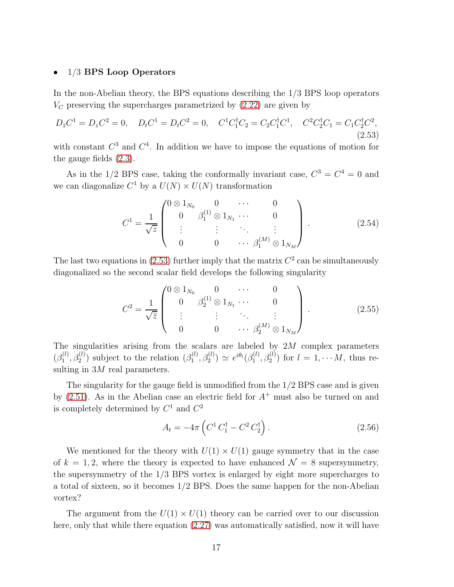#### $1/3$  BPS Loop Operators

In the non-Abelian theory, the BPS equations describing the 1/3 BPS loop operators  $V_C$  preserving the supercharges parametrized by  $(2.22)$  are given by

<span id="page-17-0"></span>
$$
D_{\bar{z}}C^1 = D_zC^2 = 0, \quad D_tC^1 = D_tC^2 = 0, \quad C^1C_1^{\dagger}C_2 = C_2C_1^{\dagger}C^1, \quad C^2C_2^{\dagger}C_1 = C_1C_2^{\dagger}C^2,
$$
\n(2.53)

with constant  $C^3$  and  $C^4$ . In addition we have to impose the equations of motion for the gauge fields [\(2.3\)](#page-5-1).

As in the 1/2 BPS case, taking the conformally invariant case,  $C^3 = C^4 = 0$  and we can diagonalize  $C^1$  by a  $U(N) \times U(N)$  transformation

<span id="page-17-1"></span>
$$
C^{1} = \frac{1}{\sqrt{z}} \begin{pmatrix} 0 & \otimes 1_{N_{0}} & 0 & \cdots & 0 \\ 0 & \beta_{1}^{(1)} \otimes 1_{N_{1}} & \cdots & 0 \\ \vdots & \vdots & \ddots & \vdots \\ 0 & 0 & \cdots & \beta_{1}^{(M)} \otimes 1_{N_{M}} \end{pmatrix} .
$$
 (2.54)

The last two equations in [\(2.53\)](#page-17-0) further imply that the matrix  $C^2$  can be simultaneously diagonalized so the second scalar field develops the following singularity

<span id="page-17-2"></span>
$$
C^{2} = \frac{1}{\sqrt{\bar{z}}} \begin{pmatrix} 0 & 0 & 0 & \cdots & 0 \\ 0 & \beta_{2}^{(1)} \otimes 1_{N_{1}} & \cdots & 0 \\ \vdots & \vdots & \ddots & \vdots \\ 0 & 0 & \cdots & \beta_{2}^{(M)} \otimes 1_{N_{M}} \end{pmatrix} .
$$
 (2.55)

The singularities arising from the scalars are labeled by  $2M$  complex parameters  $(\beta_1^{(l)}$  $(0,1<sup>(l)</sup>, \beta_2<sup>(l)</sup>)$  subject to the relation  $(\beta_1<sup>(l)</sup>)$  $\beta_1^{(l)}, \beta_2^{(l)} \rangle \simeq e^{i\theta_l} (\beta_1^{(l)}$  $(1^{(l)}, \beta_2^{(l)})$  for  $l = 1, \cdots M$ , thus resulting in 3M real parameters.

The singularity for the gauge field is unmodified from the 1/2 BPS case and is given by  $(2.51)$ . As in the Abelian case an electric field for  $A^+$  must also be turned on and is completely determined by  $C^1$  and  $C^2$ 

$$
A_t = -4\pi \left( C^1 C_1^\dagger - C^2 C_2^\dagger \right). \tag{2.56}
$$

We mentioned for the theory with  $U(1) \times U(1)$  gauge symmetry that in the case of  $k = 1, 2$ , where the theory is expected to have enhanced  $\mathcal{N} = 8$  supersymmetry, the supersymmetry of the 1/3 BPS vortex is enlarged by eight more supercharges to a total of sixteen, so it becomes 1/2 BPS. Does the same happen for the non-Abelian vortex?

The argument from the  $U(1) \times U(1)$  theory can be carried over to our discussion here, only that while there equation [\(2.27\)](#page-10-2) was automatically satisfied, now it will have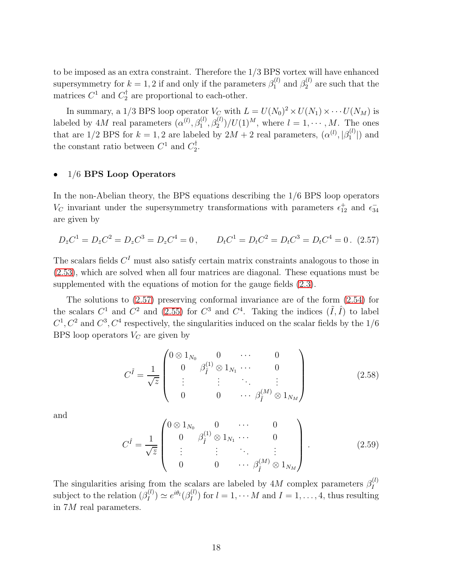to be imposed as an extra constraint. Therefore the 1/3 BPS vortex will have enhanced supersymmetry for  $k = 1, 2$  if and only if the parameters  $\beta_1^{(l)}$  $\beta_1^{(l)}$  and  $\beta_2^{(l)}$  $2^{(1)}$  are such that the matrices  $C^1$  and  $C_2^{\dagger}$  are proportional to each-other.

In summary, a 1/3 BPS loop operator  $V_C$  with  $L = U(N_0)^2 \times U(N_1) \times \cdots U(N_M)$  is labeled by 4M real parameters  $(\alpha^{(l)}, \beta_1^{(l)}, \beta_2^{(l)})/U(1)^M$ , where  $l = 1, \dots, M$ . The ones that are 1/2 BPS for  $k = 1, 2$  are labeled by  $2M + 2$  real parameters,  $(\alpha^{(l)}, |\beta_1^{(l)})$  $\binom{u}{1}$  and the constant ratio between  $C^1$  and  $C_2^{\dagger}$  $\frac{1}{2}$ .

### • 1/6 BPS Loop Operators

In the non-Abelian theory, the BPS equations describing the 1/6 BPS loop operators  $V_C$  invariant under the supersymmetry transformations with parameters  $\epsilon_{12}^+$  and  $\epsilon_{34}^$ are given by

<span id="page-18-0"></span>
$$
D_{\bar{z}}C^1 = D_{\bar{z}}C^2 = D_zC^3 = D_zC^4 = 0, \qquad D_t C^1 = D_t C^2 = D_t C^3 = D_t C^4 = 0. \tag{2.57}
$$

The scalars fields  $C^{I}$  must also satisfy certain matrix constraints analogous to those in [\(2.53\)](#page-17-0), which are solved when all four matrices are diagonal. These equations must be supplemented with the equations of motion for the gauge fields  $(2.3)$ .

The solutions to [\(2.57\)](#page-18-0) preserving conformal invariance are of the form [\(2.54\)](#page-17-1) for the scalars  $C^1$  and  $C^2$  and  $(2.55)$  for  $C^3$  and  $C^4$ . Taking the indices  $(\tilde{I}, \hat{I})$  to label  $C^1$ ,  $C^2$  and  $C^3$ ,  $C^4$  respectively, the singularities induced on the scalar fields by the 1/6 BPS loop operators  $V_C$  are given by

<span id="page-18-1"></span>
$$
C^{\tilde{I}} = \frac{1}{\sqrt{z}} \begin{pmatrix} 0 & \otimes 1_{N_0} & 0 & \cdots & 0 \\ 0 & \beta_{\tilde{I}}^{(1)} \otimes 1_{N_1} & \cdots & 0 \\ \vdots & \vdots & \ddots & \vdots \\ 0 & 0 & \cdots & \beta_{\tilde{I}}^{(M)} \otimes 1_{N_M} \end{pmatrix}
$$
(2.58)

and

<span id="page-18-2"></span>
$$
C^{\hat{I}} = \frac{1}{\sqrt{\bar{z}}} \begin{pmatrix} 0 & \otimes 1_{N_0} & 0 & \cdots & 0 \\ 0 & \beta_{\hat{I}}^{(1)} \otimes 1_{N_1} & \cdots & 0 \\ \vdots & \vdots & \ddots & \vdots \\ 0 & 0 & \cdots & \beta_{\hat{I}}^{(M)} \otimes 1_{N_M} \end{pmatrix} .
$$
 (2.59)

The singularities arising from the scalars are labeled by  $4M$  complex parameters  $\beta_I^{(l)}$ I subject to the relation  $(\beta_I^{(l)})$  $e^{i\theta_l}(\beta_I^{(l)}) \simeq e^{i\theta_l}(\beta_I^{(l)})$  $I_I^{(l)}$  for  $l = 1, \dots, M$  and  $I = 1, \dots, 4$ , thus resulting in 7M real parameters.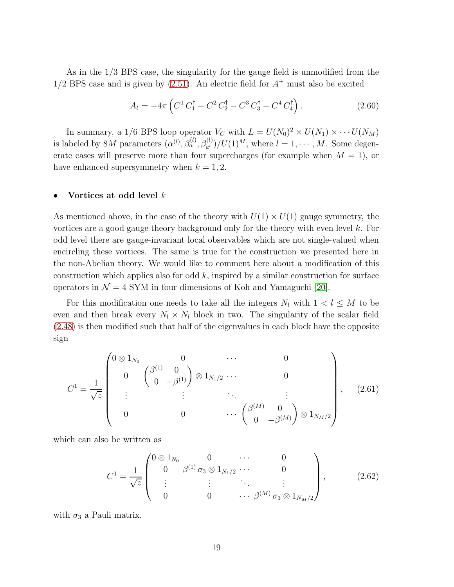As in the 1/3 BPS case, the singularity for the gauge field is unmodified from the  $1/2$  BPS case and is given by [\(2.51\)](#page-16-1). An electric field for  $A^+$  must also be excited

$$
A_t = -4\pi \left( C^1 C_1^{\dagger} + C^2 C_2^{\dagger} - C^3 C_3^{\dagger} - C^4 C_4^{\dagger} \right). \tag{2.60}
$$

In summary, a 1/6 BPS loop operator  $V_C$  with  $L = U(N_0)^2 \times U(N_1) \times \cdots U(N_M)$ is labeled by 8*M* parameters  $(\alpha^{(l)}, \beta^{(l)}_a, \beta^{(l)}_{a'})/U(1)^M$ , where  $l = 1, \dots, M$ . Some degenerate cases will preserve more than four supercharges (for example when  $M = 1$ ), or have enhanced supersymmetry when  $k = 1, 2$ .

#### • Vortices at odd level  $k$

As mentioned above, in the case of the theory with  $U(1) \times U(1)$  gauge symmetry, the vortices are a good gauge theory background only for the theory with even level k. For odd level there are gauge-invariant local observables which are not single-valued when encircling these vortices. The same is true for the construction we presented here in the non-Abelian theory. We would like to comment here about a modification of this construction which applies also for odd  $k$ , inspired by a similar construction for surface operators in  $\mathcal{N} = 4$  SYM in four dimensions of Koh and Yamaguchi [\[20\]](#page-61-13).

For this modification one needs to take all the integers  $N_l$  with  $1 < l \leq M$  to be even and then break every  $N_l \times N_l$  block in two. The singularity of the scalar field [\(2.48\)](#page-16-0) is then modified such that half of the eigenvalues in each block have the opposite sign

$$
C^{1} = \frac{1}{\sqrt{z}} \begin{pmatrix} 0 & 0 & 0 & \cdots & 0 \\ 0 & \begin{pmatrix} \beta^{(1)} & 0 \\ 0 & -\beta^{(1)} \end{pmatrix} \otimes 1_{N_{1}/2} & \cdots & 0 \\ \vdots & \vdots & \ddots & \vdots \\ 0 & 0 & \cdots & \begin{pmatrix} \beta^{(M)} & 0 \\ 0 & -\beta^{(M)} \end{pmatrix} \otimes 1_{N_{M}/2} \end{pmatrix}, \quad (2.61)
$$

which can also be written as

<span id="page-19-0"></span>
$$
C^{1} = \frac{1}{\sqrt{z}} \begin{pmatrix} 0 & \otimes 1_{N_{0}} & 0 & \cdots & 0 \\ 0 & \beta^{(1)} \sigma_{3} \otimes 1_{N_{1}/2} & \cdots & 0 \\ \vdots & \vdots & \ddots & \vdots \\ 0 & 0 & \cdots & \beta^{(M)} \sigma_{3} \otimes 1_{N_{M}/2} \end{pmatrix},
$$
(2.62)

with  $\sigma_3$  a Pauli matrix.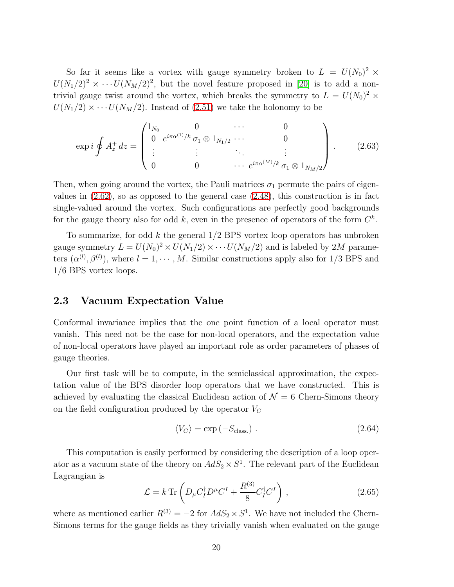So far it seems like a vortex with gauge symmetry broken to  $L = U(N_0)^2 \times$  $U(N_1/2)^2 \times \cdots U(N_M/2)^2$ , but the novel feature proposed in [\[20\]](#page-61-13) is to add a nontrivial gauge twist around the vortex, which breaks the symmetry to  $L = U(N_0)^2 \times$  $U(N_1/2) \times \cdots U(N_M/2)$ . Instead of [\(2.51\)](#page-16-1) we take the holonomy to be

<span id="page-20-1"></span>
$$
\exp i \oint A_z^+ \, dz = \begin{pmatrix} 1_{N_0} & 0 & \cdots & 0 \\ 0 & e^{i \pi \alpha^{(1)}/k} \, \sigma_1 \otimes 1_{N_1/2} & \cdots & 0 \\ \vdots & \vdots & \ddots & \vdots \\ 0 & 0 & \cdots & e^{i \pi \alpha^{(M)}/k} \, \sigma_1 \otimes 1_{N_M/2} \end{pmatrix} . \tag{2.63}
$$

Then, when going around the vortex, the Pauli matrices  $\sigma_1$  permute the pairs of eigenvalues in  $(2.62)$ , so as opposed to the general case  $(2.48)$ , this construction is in fact single-valued around the vortex. Such configurations are perfectly good backgrounds for the gauge theory also for odd  $k$ , even in the presence of operators of the form  $C^k$ .

To summarize, for odd k the general  $1/2$  BPS vortex loop operators has unbroken gauge symmetry  $L = U(N_0)^2 \times U(N_1/2) \times \cdots U(N_M/2)$  and is labeled by 2M parameters  $(\alpha^{(l)}, \beta^{(l)})$ , where  $l = 1, \dots, M$ . Similar constructions apply also for 1/3 BPS and 1/6 BPS vortex loops.

### <span id="page-20-0"></span>2.3 Vacuum Expectation Value

Conformal invariance implies that the one point function of a local operator must vanish. This need not be the case for non-local operators, and the expectation value of non-local operators have played an important role as order parameters of phases of gauge theories.

Our first task will be to compute, in the semiclassical approximation, the expectation value of the BPS disorder loop operators that we have constructed. This is achieved by evaluating the classical Euclidean action of  $\mathcal{N} = 6$  Chern-Simons theory on the field configuration produced by the operator  $V_C$ 

$$
\langle V_C \rangle = \exp(-S_{\text{class.}}) \tag{2.64}
$$

This computation is easily performed by considering the description of a loop operator as a vacuum state of the theory on  $AdS_2 \times S^1$ . The relevant part of the Euclidean Lagrangian is

$$
\mathcal{L} = k \operatorname{Tr} \left( D_{\mu} C_{I}^{\dagger} D^{\mu} C^{I} + \frac{R^{(3)}}{8} C_{I}^{\dagger} C^{I} \right) , \qquad (2.65)
$$

where as mentioned earlier  $R^{(3)} = -2$  for  $AdS_2 \times S^1$ . We have not included the Chern-Simons terms for the gauge fields as they trivially vanish when evaluated on the gauge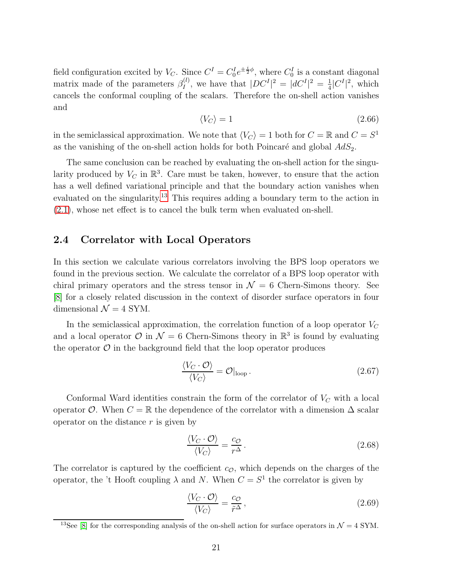field configuration excited by  $V_C$ . Since  $C^I = C_0^I e^{\pm \frac{i}{2}\phi}$ , where  $C_0^I$  is a constant diagonal matrix made of the parameters  $\beta_I^{(l)}$  $I_I^{(l)}$ , we have that  $|DC^I|^2 = |dC^I|^2 = \frac{1}{4}$  $\frac{1}{4}|C^I|^2$ , which cancels the conformal coupling of the scalars. Therefore the on-shell action vanishes and

$$
\langle V_C \rangle = 1 \tag{2.66}
$$

in the semiclassical approximation. We note that  $\langle V_C \rangle = 1$  both for  $C = \mathbb{R}$  and  $C = S^1$ as the vanishing of the on-shell action holds for both Poincaré and global  $AdS_2$ .

The same conclusion can be reached by evaluating the on-shell action for the singularity produced by  $V_C$  in  $\mathbb{R}^3$ . Care must be taken, however, to ensure that the action has a well defined variational principle and that the boundary action vanishes when evaluated on the singularity.<sup>[13](#page-21-1)</sup> This requires adding a boundary term to the action in [\(2.1\)](#page-4-4), whose net effect is to cancel the bulk term when evaluated on-shell.

## <span id="page-21-0"></span>2.4 Correlator with Local Operators

In this section we calculate various correlators involving the BPS loop operators we found in the previous section. We calculate the correlator of a BPS loop operator with chiral primary operators and the stress tensor in  $\mathcal{N} = 6$  Chern-Simons theory. See [\[8\]](#page-61-1) for a closely related discussion in the context of disorder surface operators in four dimensional  $\mathcal{N} = 4$  SYM.

In the semiclassical approximation, the correlation function of a loop operator  $V_C$ and a local operator  $\mathcal O$  in  $\mathcal N = 6$  Chern-Simons theory in  $\mathbb R^3$  is found by evaluating the operator  $\mathcal O$  in the background field that the loop operator produces

$$
\frac{\langle V_C \cdot \mathcal{O} \rangle}{\langle V_C \rangle} = \mathcal{O}|_{\text{loop}}.
$$
\n(2.67)

Conformal Ward identities constrain the form of the correlator of  $V_C$  with a local operator  $\mathcal{O}$ . When  $C = \mathbb{R}$  the dependence of the correlator with a dimension  $\Delta$  scalar operator on the distance  $r$  is given by

$$
\frac{\langle V_C \cdot \mathcal{O} \rangle}{\langle V_C \rangle} = \frac{c_{\mathcal{O}}}{r^{\Delta}}.
$$
\n(2.68)

The correlator is captured by the coefficient  $c_{\mathcal{O}}$ , which depends on the charges of the operator, the 't Hooft coupling  $\lambda$  and N. When  $C = S<sup>1</sup>$  the correlator is given by

$$
\frac{\langle V_C \cdot \mathcal{O} \rangle}{\langle V_C \rangle} = \frac{c_{\mathcal{O}}}{\tilde{r}^{\Delta}},\tag{2.69}
$$

<span id="page-21-1"></span><sup>&</sup>lt;sup>13</sup>See [\[8\]](#page-61-1) for the corresponding analysis of the on-shell action for surface operators in  $\mathcal{N} = 4$  SYM.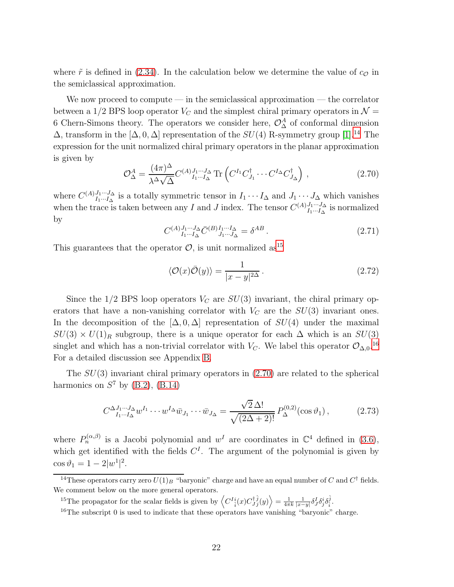where  $\tilde{r}$  is defined in [\(2.34\)](#page-12-3). In the calculation below we determine the value of  $c_{\mathcal{O}}$  in the semiclassical approximation.

We now proceed to compute — in the semiclassical approximation — the correlator between a 1/2 BPS loop operator  $V_C$  and the simplest chiral primary operators in  $\mathcal{N} =$ 6 Chern-Simons theory. The operators we consider here,  $\mathcal{O}_{\Delta}^A$  of conformal dimension  $\Delta$ , transform in the [ $\Delta$ , 0,  $\Delta$ ] representation of the  $SU(4)$  R-symmetry group [\[1\]](#page-60-0).<sup>[14](#page-22-0)</sup> The expression for the unit normalized chiral primary operators in the planar approximation is given by

<span id="page-22-3"></span>
$$
\mathcal{O}_{\Delta}^{A} = \frac{(4\pi)^{\Delta}}{\lambda^{\Delta}\sqrt{\Delta}} C^{(A)}{}_{I_{1}\cdots I_{\Delta}}^{J_{1}\cdots J_{\Delta}} \operatorname{Tr} \left( C^{I_{1}} C^{\dagger}_{J_{1}} \cdots C^{I_{\Delta}} C^{ \dagger}_{J_{\Delta}} \right) , \qquad (2.70)
$$

where  $C^{(A)}{}_{I_1\cdots I_A}^{J_1\cdots J_{\Delta}}$  $I_1 \cdots I_{\Delta}$  is a totally symmetric tensor in  $I_1 \cdots I_{\Delta}$  and  $J_1 \cdots J_{\Delta}$  which vanishes when the trace is taken between any I and J index. The tensor  $C^{(A)}_{I_1...I_A}$  $I_1 \cdots I_{\Delta}$  is normalized by

$$
C^{(A)}{}_{I_1\cdots I_{\Delta}}^{J_1\cdots J_{\Delta}} \bar{C}^{(B)}{}_{J_1\cdots J_{\Delta}}^{I_1\cdots I_{\Delta}} = \delta^{AB} \,. \tag{2.71}
$$

This guarantees that the operator  $\mathcal{O}$ , is unit normalized as<sup>[15](#page-22-1)</sup>

<span id="page-22-4"></span>
$$
\langle \mathcal{O}(x)\bar{\mathcal{O}}(y)\rangle = \frac{1}{|x-y|^{2\Delta}}.\tag{2.72}
$$

Since the  $1/2$  BPS loop operators  $V_C$  are  $SU(3)$  invariant, the chiral primary operators that have a non-vanishing correlator with  $V_C$  are the  $SU(3)$  invariant ones. In the decomposition of the  $[\Delta, 0, \Delta]$  representation of  $SU(4)$  under the maximal  $SU(3) \times U(1)_R$  subgroup, there is a unique operator for each  $\Delta$  which is an  $SU(3)$ singlet and which has a non-trivial correlator with  $V_C$ . We label this operator  $\mathcal{O}_{\Delta,0}$ .<sup>[16](#page-22-2)</sup> For a detailed discussion see Appendix [B.](#page-47-0)

The  $SU(3)$  invariant chiral primary operators in  $(2.70)$  are related to the spherical harmonics on  $S^7$  by [\(B.2\)](#page-47-1), [\(B.14\)](#page-49-0)

$$
C^{\Delta J_1 \cdots J_\Delta}_{I_1 \cdots I_\Delta} w^{I_1} \cdots w^{I_\Delta} \bar{w}_{J_1} \cdots \bar{w}_{J_\Delta} = \frac{\sqrt{2} \,\Delta!}{\sqrt{(2\Delta+2)!}} P^{(0,2)}_{\Delta}(\cos\vartheta_1) ,\tag{2.73}
$$

where  $P_n^{(\alpha,\beta)}$  is a Jacobi polynomial and  $w^I$  are coordinates in  $\mathbb{C}^4$  defined in [\(3.6\)](#page-26-0), which get identified with the fields  $C<sup>I</sup>$ . The argument of the polynomial is given by  $\cos \vartheta_1 = 1 - 2|w^1|^2.$ 

<span id="page-22-0"></span><sup>15</sup>The propagator for the scalar fields is given by  $\left\langle C^{I}{}_{\hat{i}}^{i}(x)C^{{\dagger}}_{Jj}(y)\right\rangle =\frac{1}{4\pi k}\frac{1}{|x-y|}\delta^{I}_{J}\delta^{i}_{j}\delta^{j}_{\hat{i}}$  $\frac{j}{i}$ .

<sup>&</sup>lt;sup>14</sup>These operators carry zero  $U(1)_B$  "baryonic" charge and have an equal number of C and C<sup>†</sup> fields. We comment below on the more general operators.

<span id="page-22-2"></span><span id="page-22-1"></span><sup>&</sup>lt;sup>16</sup>The subscript 0 is used to indicate that these operators have vanishing "baryonic" charge.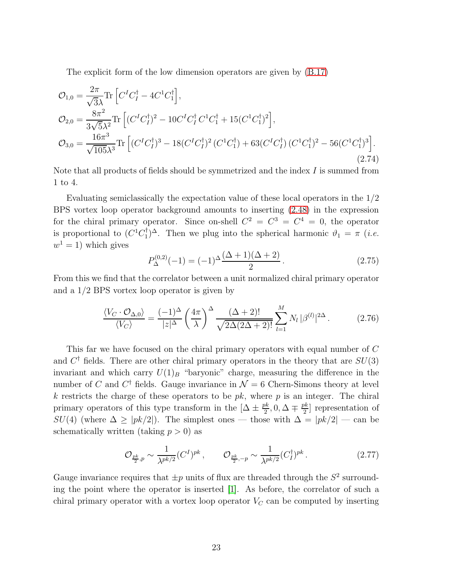The explicit form of the low dimension operators are given by [\(B.17\)](#page-50-0)

$$
\mathcal{O}_{1,0} = \frac{2\pi}{\sqrt{3}\lambda} \text{Tr} \left[ C^{I}C_{I}^{\dagger} - 4C^{1}C_{1}^{\dagger} \right],
$$
\n
$$
\mathcal{O}_{2,0} = \frac{8\pi^{2}}{3\sqrt{5}\lambda^{2}} \text{Tr} \left[ (C^{I}C_{I}^{\dagger})^{2} - 10C^{I}C_{I}^{\dagger}C^{1}C_{1}^{\dagger} + 15(C^{1}C_{1}^{\dagger})^{2} \right],
$$
\n
$$
\mathcal{O}_{3,0} = \frac{16\pi^{3}}{\sqrt{105}\lambda^{3}} \text{Tr} \left[ (C^{I}C_{I}^{\dagger})^{3} - 18(C^{I}C_{I}^{\dagger})^{2} (C^{1}C_{1}^{\dagger}) + 63(C^{I}C_{I}^{\dagger}) (C^{1}C_{1}^{\dagger})^{2} - 56(C^{1}C_{1}^{\dagger})^{3} \right].
$$
\n(2.74)

Note that all products of fields should be symmetrized and the index  $I$  is summed from 1 to 4.

Evaluating semiclassically the expectation value of these local operators in the 1/2 BPS vortex loop operator background amounts to inserting [\(2.48\)](#page-16-0) in the expression for the chiral primary operator. Since on-shell  $C^2 = C^3 = C^4 = 0$ , the operator is proportional to  $(C^1C_1^{\dagger})$  $j_1^{\dagger}$ <sup>1</sup>. Then we plug into the spherical harmonic  $\vartheta_1 = \pi$  (*i.e.*  $w^1 = 1$ ) which gives

$$
P_{\Delta}^{(0,2)}(-1) = (-1)^{\Delta} \frac{(\Delta+1)(\Delta+2)}{2}.
$$
 (2.75)

From this we find that the correlator between a unit normalized chiral primary operator and a 1/2 BPS vortex loop operator is given by

<span id="page-23-1"></span>
$$
\frac{\langle V_C \cdot \mathcal{O}_{\Delta,0} \rangle}{\langle V_C \rangle} = \frac{(-1)^{\Delta}}{|z|^{\Delta}} \left(\frac{4\pi}{\lambda}\right)^{\Delta} \frac{(\Delta+2)!}{\sqrt{2\Delta(2\Delta+2)!}} \sum_{l=1}^{M} N_l |\beta^{(l)}|^{2\Delta}.
$$
 (2.76)

This far we have focused on the chiral primary operators with equal number of C and  $C^{\dagger}$  fields. There are other chiral primary operators in the theory that are  $SU(3)$ invariant and which carry  $U(1)_B$  "baryonic" charge, measuring the difference in the number of C and  $C^{\dagger}$  fields. Gauge invariance in  $\mathcal{N}=6$  Chern-Simons theory at level k restricts the charge of these operators to be  $pk$ , where  $p$  is an integer. The chiral primary operators of this type transform in the  $[\Delta \pm \frac{pk}{2}]$  $\frac{pk}{2}, 0, \Delta \mp \frac{pk}{2}$  $\frac{2}{2}$  representation of  $SU(4)$  (where  $\Delta \ge |pk/2|$ ). The simplest ones — those with  $\Delta = |pk/2|$  — can be schematically written (taking  $p > 0$ ) as

<span id="page-23-0"></span>
$$
\mathcal{O}_{\frac{pk}{2},p} \sim \frac{1}{\lambda^{pk/2}} (C^I)^{pk}, \qquad \mathcal{O}_{\frac{pk}{2},-p} \sim \frac{1}{\lambda^{pk/2}} (C^{\dagger}_I)^{pk}.
$$
 (2.77)

Gauge invariance requires that  $\pm p$  units of flux are threaded through the  $S^2$  surrounding the point where the operator is inserted [\[1\]](#page-60-0). As before, the correlator of such a chiral primary operator with a vortex loop operator  $V_C$  can be computed by inserting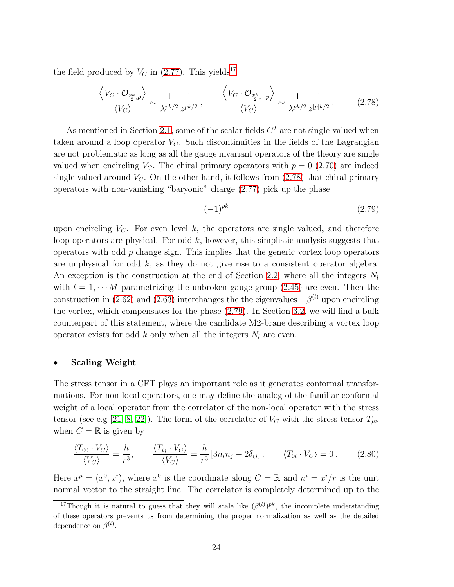the field produced by  $V_C$  in [\(2.77\)](#page-23-0). This yields<sup>[17](#page-24-0)</sup>

<span id="page-24-1"></span>
$$
\frac{\langle V_C \cdot \mathcal{O}_{\frac{pk}{2},p} \rangle}{\langle V_C \rangle} \sim \frac{1}{\lambda^{pk/2}} \frac{1}{z^{pk/2}}, \qquad \frac{\langle V_C \cdot \mathcal{O}_{\frac{pk}{2},-p} \rangle}{\langle V_C \rangle} \sim \frac{1}{\lambda^{pk/2}} \frac{1}{\bar{z}^{|p|k/2}}.
$$
 (2.78)

As mentioned in Section [2.1,](#page-5-0) some of the scalar fields  $C<sup>I</sup>$  are not single-valued when taken around a loop operator  $V_C$ . Such discontinuities in the fields of the Lagrangian are not problematic as long as all the gauge invariant operators of the theory are single valued when encircling  $V_c$ . The chiral primary operators with  $p = 0$  [\(2.70\)](#page-22-3) are indeed single valued around  $V_C$ . On the other hand, it follows from  $(2.78)$  that chiral primary operators with non-vanishing "baryonic" charge [\(2.77\)](#page-23-0) pick up the phase

<span id="page-24-2"></span>
$$
(-1)^{pk} \tag{2.79}
$$

upon encircling  $V_C$ . For even level k, the operators are single valued, and therefore loop operators are physical. For odd  $k$ , however, this simplistic analysis suggests that operators with odd  $p$  change sign. This implies that the generic vortex loop operators are unphysical for odd k, as they do not give rise to a consistent operator algebra. An exception is the construction at the end of Section [2.2,](#page-15-0) where all the integers  $N_l$ with  $l = 1, \dots M$  parametrizing the unbroken gauge group [\(2.45\)](#page-15-1) are even. Then the construction in [\(2.62\)](#page-19-0) and [\(2.63\)](#page-20-1) interchanges the the eigenvalues  $\pm \beta^{(l)}$  upon encircling the vortex, which compensates for the phase [\(2.79\)](#page-24-2). In Section [3.2,](#page-27-0) we will find a bulk counterpart of this statement, where the candidate M2-brane describing a vortex loop operator exists for odd k only when all the integers  $N_l$  are even.

### Scaling Weight

The stress tensor in a CFT plays an important role as it generates conformal transformations. For non-local operators, one may define the analog of the familiar conformal weight of a local operator from the correlator of the non-local operator with the stress tensor (see e.g [\[21,](#page-61-14) [8,](#page-61-1) [22\]](#page-61-15)). The form of the correlator of  $V_C$  with the stress tensor  $T_{\mu\nu}$ when  $C = \mathbb{R}$  is given by

$$
\frac{\langle T_{00} \cdot V_C \rangle}{\langle V_C \rangle} = \frac{h}{r^3}, \qquad \frac{\langle T_{ij} \cdot V_C \rangle}{\langle V_C \rangle} = \frac{h}{r^3} \left[ 3n_i n_j - 2\delta_{ij} \right], \qquad \langle T_{0i} \cdot V_C \rangle = 0. \tag{2.80}
$$

Here  $x^{\mu} = (x^0, x^i)$ , where  $x^0$  is the coordinate along  $C = \mathbb{R}$  and  $n^i = x^i/r$  is the unit normal vector to the straight line. The correlator is completely determined up to the

<span id="page-24-0"></span><sup>&</sup>lt;sup>17</sup>Though it is natural to guess that they will scale like  $(\beta^{(l)})^{pk}$ , the incomplete understanding of these operators prevents us from determining the proper normalization as well as the detailed dependence on  $\beta^{(l)}$ .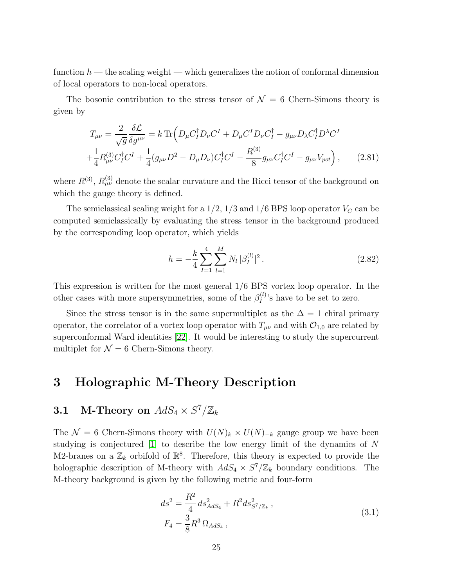function  $h$  — the scaling weight — which generalizes the notion of conformal dimension of local operators to non-local operators.

The bosonic contribution to the stress tensor of  $\mathcal{N} = 6$  Chern-Simons theory is given by

$$
T_{\mu\nu} = \frac{2}{\sqrt{g}} \frac{\delta \mathcal{L}}{\delta g^{\mu\nu}} = k \operatorname{Tr} \left( D_{\mu} C_{I}^{\dagger} D_{\nu} C^{I} + D_{\mu} C^{I} D_{\nu} C_{I}^{\dagger} - g_{\mu\nu} D_{\lambda} C_{I}^{\dagger} D^{\lambda} C^{I} \right)
$$

$$
+ \frac{1}{4} R_{\mu\nu}^{(3)} C_{I}^{\dagger} C^{I} + \frac{1}{4} (g_{\mu\nu} D^{2} - D_{\mu} D_{\nu}) C_{I}^{\dagger} C^{I} - \frac{R^{(3)}}{8} g_{\mu\nu} C_{I}^{\dagger} C^{I} - g_{\mu\nu} V_{pot} \right), \qquad (2.81)
$$

where  $R^{(3)}$ ,  $R^{(3)}_{\mu\nu}$  denote the scalar curvature and the Ricci tensor of the background on which the gauge theory is defined.

The semiclassical scaling weight for a  $1/2$ ,  $1/3$  and  $1/6$  BPS loop operator  $V_C$  can be computed semiclassically by evaluating the stress tensor in the background produced by the corresponding loop operator, which yields

$$
h = -\frac{k}{4} \sum_{I=1}^{4} \sum_{l=1}^{M} N_l |\beta_I^{(l)}|^2.
$$
 (2.82)

This expression is written for the most general 1/6 BPS vortex loop operator. In the other cases with more supersymmetries, some of the  $\beta_I^{(l)}$  $I_I^{(l)}$ 's have to be set to zero.

Since the stress tensor is in the same supermultiplet as the  $\Delta = 1$  chiral primary operator, the correlator of a vortex loop operator with  $T_{\mu\nu}$  and with  $\mathcal{O}_{1,0}$  are related by superconformal Ward identities [\[22\]](#page-61-15). It would be interesting to study the supercurrent multiplet for  $\mathcal{N} = 6$  Chern-Simons theory.

## <span id="page-25-1"></span><span id="page-25-0"></span>3 Holographic M-Theory Description

# **3.1** M-Theory on  $AdS_4 \times S^7/\mathbb{Z}_k$

The  $\mathcal{N} = 6$  Chern-Simons theory with  $U(N)_k \times U(N)_{-k}$  gauge group we have been studying is conjectured [\[1\]](#page-60-0) to describe the low energy limit of the dynamics of N M2-branes on a  $\mathbb{Z}_k$  orbifold of  $\mathbb{R}^8$ . Therefore, this theory is expected to provide the holographic description of M-theory with  $AdS_4 \times S^7/\mathbb{Z}_k$  boundary conditions. The M-theory background is given by the following metric and four-form

<span id="page-25-2"></span>
$$
ds^{2} = \frac{R^{2}}{4} ds^{2}_{AdS_{4}} + R^{2} ds^{2}_{S^{7}/\mathbb{Z}_{k}},
$$
  
\n
$$
F_{4} = \frac{3}{8} R^{3} \Omega_{AdS_{4}},
$$
\n(3.1)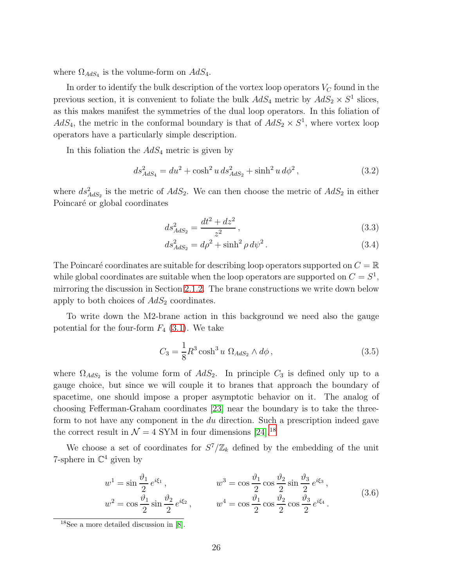where  $\Omega_{AdS_4}$  is the volume-form on  $AdS_4$ .

In order to identify the bulk description of the vortex loop operators  $V_C$  found in the previous section, it is convenient to foliate the bulk  $AdS_4$  metric by  $AdS_2 \times S^1$  slices, as this makes manifest the symmetries of the dual loop operators. In this foliation of  $AdS_4$ , the metric in the conformal boundary is that of  $AdS_2 \times S^1$ , where vortex loop operators have a particularly simple description.

In this foliation the  $AdS_4$  metric is given by

<span id="page-26-2"></span>
$$
ds_{AdS_4}^2 = du^2 + \cosh^2 u \, ds_{AdS_2}^2 + \sinh^2 u \, d\phi^2 \,,\tag{3.2}
$$

where  $ds_{AdS_2}^2$  is the metric of  $AdS_2$ . We can then choose the metric of  $AdS_2$  in either Poincaré or global coordinates

<span id="page-26-3"></span>
$$
ds_{AdS_2}^2 = \frac{dt^2 + dz^2}{z^2},\tag{3.3}
$$

<span id="page-26-4"></span>
$$
ds_{AdS_2}^2 = d\rho^2 + \sinh^2 \rho \, d\psi^2 \,. \tag{3.4}
$$

The Poincaré coordinates are suitable for describing loop operators supported on  $C = \mathbb{R}$ while global coordinates are suitable when the loop operators are supported on  $C = S^1$ , mirroring the discussion in Section [2.1.2.](#page-13-0) The brane constructions we write down below apply to both choices of  $AdS_2$  coordinates.

To write down the M2-brane action in this background we need also the gauge potential for the four-form  $F_4$  [\(3.1\)](#page-25-2). We take

$$
C_3 = \frac{1}{8}R^3 \cosh^3 u \ \Omega_{AdS_2} \wedge d\phi \,,\tag{3.5}
$$

where  $\Omega_{AdS_2}$  is the volume form of  $AdS_2$ . In principle  $C_3$  is defined only up to a gauge choice, but since we will couple it to branes that approach the boundary of spacetime, one should impose a proper asymptotic behavior on it. The analog of choosing Fefferman-Graham coordinates [\[23\]](#page-61-16) near the boundary is to take the threeform to not have any component in the du direction. Such a prescription indeed gave the correct result in  $\mathcal{N} = 4$  SYM in four dimensions [\[24\]](#page-61-17).<sup>[18](#page-26-1)</sup>

We choose a set of coordinates for  $S^7/\mathbb{Z}_k$  defined by the embedding of the unit 7-sphere in  $\mathbb{C}^4$  given by

<span id="page-26-0"></span>
$$
w^{1} = \sin \frac{\vartheta_{1}}{2} e^{i\xi_{1}}, \qquad w^{3} = \cos \frac{\vartheta_{1}}{2} \cos \frac{\vartheta_{2}}{2} \sin \frac{\vartheta_{3}}{2} e^{i\xi_{3}},
$$
  

$$
w^{2} = \cos \frac{\vartheta_{1}}{2} \sin \frac{\vartheta_{2}}{2} e^{i\xi_{2}}, \qquad w^{4} = \cos \frac{\vartheta_{1}}{2} \cos \frac{\vartheta_{2}}{2} \cos \frac{\vartheta_{3}}{2} e^{i\xi_{4}}.
$$
 (3.6)

<span id="page-26-1"></span><sup>18</sup>See a more detailed discussion in [\[8\]](#page-61-1).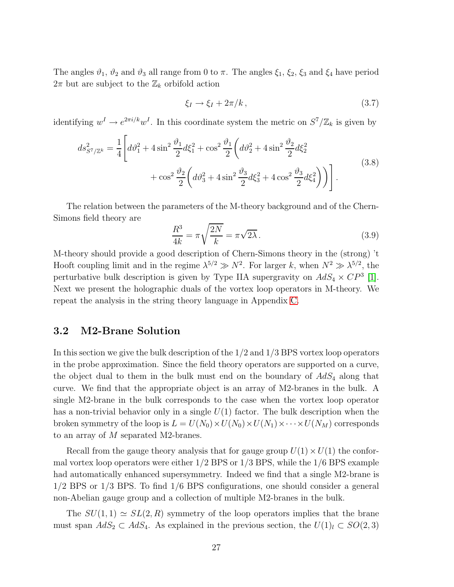The angles  $\vartheta_1$ ,  $\vartheta_2$  and  $\vartheta_3$  all range from 0 to  $\pi$ . The angles  $\xi_1$ ,  $\xi_2$ ,  $\xi_3$  and  $\xi_4$  have period  $2\pi$  but are subject to the  $\mathbb{Z}_k$  orbifold action

$$
\xi_I \to \xi_I + 2\pi/k \,,\tag{3.7}
$$

identifying  $w^I \to e^{2\pi i/k} w^I$ . In this coordinate system the metric on  $S^7/\mathbb{Z}_k$  is given by

<span id="page-27-1"></span>
$$
ds_{S^7/\mathbb{Z}^k}^2 = \frac{1}{4} \left[ d\vartheta_1^2 + 4\sin^2\frac{\vartheta_1}{2} d\xi_1^2 + \cos^2\frac{\vartheta_1}{2} \left( d\vartheta_2^2 + 4\sin^2\frac{\vartheta_2}{2} d\xi_2^2 + \cos^2\frac{\vartheta_2}{2} \left( d\vartheta_3^2 + 4\sin^2\frac{\vartheta_3}{2} d\xi_3^2 + 4\cos^2\frac{\vartheta_3}{2} d\xi_4^2 \right) \right) \right].
$$
\n(3.8)

The relation between the parameters of the M-theory background and of the Chern-Simons field theory are

$$
\frac{R^3}{4k} = \pi \sqrt{\frac{2N}{k}} = \pi \sqrt{2\lambda} \,. \tag{3.9}
$$

M-theory should provide a good description of Chern-Simons theory in the (strong) 't Hooft coupling limit and in the regime  $\lambda^{5/2} \gg N^2$ . For larger k, when  $N^2 \gg \lambda^{5/2}$ , the perturbative bulk description is given by Type IIA supergravity on  $AdS_4 \times CP^3$  [\[1\]](#page-60-0). Next we present the holographic duals of the vortex loop operators in M-theory. We repeat the analysis in the string theory language in Appendix [C.](#page-51-0)

### <span id="page-27-0"></span>3.2 M2-Brane Solution

In this section we give the bulk description of the  $1/2$  and  $1/3$  BPS vortex loop operators in the probe approximation. Since the field theory operators are supported on a curve, the object dual to them in the bulk must end on the boundary of  $AdS_4$  along that curve. We find that the appropriate object is an array of M2-branes in the bulk. A single M2-brane in the bulk corresponds to the case when the vortex loop operator has a non-trivial behavior only in a single  $U(1)$  factor. The bulk description when the broken symmetry of the loop is  $L = U(N_0) \times U(N_0) \times U(N_1) \times \cdots \times U(N_M)$  corresponds to an array of M separated M2-branes.

Recall from the gauge theory analysis that for gauge group  $U(1) \times U(1)$  the conformal vortex loop operators were either  $1/2$  BPS or  $1/3$  BPS, while the  $1/6$  BPS example had automatically enhanced supersymmetry. Indeed we find that a single M2-brane is 1/2 BPS or 1/3 BPS. To find 1/6 BPS configurations, one should consider a general non-Abelian gauge group and a collection of multiple M2-branes in the bulk.

The  $SU(1,1) \simeq SL(2,R)$  symmetry of the loop operators implies that the brane must span  $AdS_2 \subset AdS_4$ . As explained in the previous section, the  $U(1)_l \subset SO(2,3)$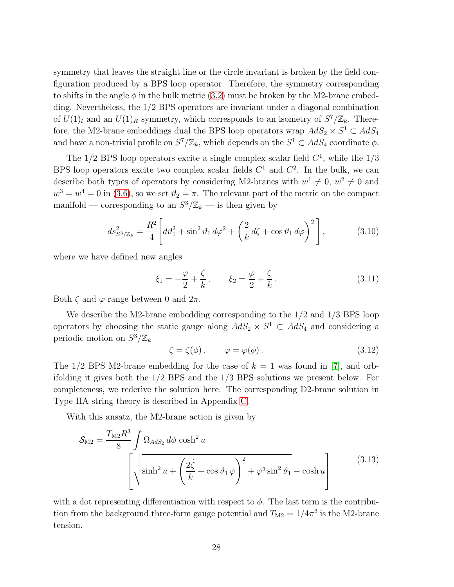symmetry that leaves the straight line or the circle invariant is broken by the field configuration produced by a BPS loop operator. Therefore, the symmetry corresponding to shifts in the angle  $\phi$  in the bulk metric [\(3.2\)](#page-26-2) must be broken by the M2-brane embedding. Nevertheless, the 1/2 BPS operators are invariant under a diagonal combination of  $U(1)_l$  and an  $U(1)_R$  symmetry, which corresponds to an isometry of  $S^7/\mathbb{Z}_k$ . Therefore, the M2-brane embeddings dual the BPS loop operators wrap  $AdS_2 \times S^1 \subset AdS_4$ and have a non-trivial profile on  $S^7/\mathbb{Z}_k$ , which depends on the  $S^1 \subset AdS_4$  coordinate  $\phi$ .

The  $1/2$  BPS loop operators excite a single complex scalar field  $C<sup>1</sup>$ , while the  $1/3$ BPS loop operators excite two complex scalar fields  $C<sup>1</sup>$  and  $C<sup>2</sup>$ . In the bulk, we can describe both types of operators by considering M2-branes with  $w^1 \neq 0$ ,  $w^2 \neq 0$  and  $w^3 = w^4 = 0$  in [\(3.6\)](#page-26-0), so we set  $\vartheta_2 = \pi$ . The relevant part of the metric on the compact manifold — corresponding to an  $S^3/\mathbb{Z}_k$  — is then given by

<span id="page-28-2"></span>
$$
ds_{S^3/\mathbb{Z}_k}^2 = \frac{R^2}{4} \left[ d\vartheta_1^2 + \sin^2 \vartheta_1 \, d\varphi^2 + \left( \frac{2}{k} \, d\zeta + \cos \vartheta_1 \, d\varphi \right)^2 \right],\tag{3.10}
$$

where we have defined new angles

<span id="page-28-0"></span>
$$
\xi_1 = -\frac{\varphi}{2} + \frac{\zeta}{k}, \qquad \xi_2 = \frac{\varphi}{2} + \frac{\zeta}{k}.
$$
\n(3.11)

Both  $\zeta$  and  $\varphi$  range between 0 and  $2\pi$ .

We describe the M2-brane embedding corresponding to the  $1/2$  and  $1/3$  BPS loop operators by choosing the static gauge along  $AdS_2 \times S^1 \subset AdS_4$  and considering a periodic motion on  $S^3/\mathbb{Z}_k$ 

$$
\zeta = \zeta(\phi), \qquad \varphi = \varphi(\phi). \tag{3.12}
$$

The 1/2 BPS M2-brane embedding for the case of  $k = 1$  was found in [\[7\]](#page-61-0), and orbifolding it gives both the 1/2 BPS and the 1/3 BPS solutions we present below. For completeness, we rederive the solution here. The corresponding D2-brane solution in Type IIA string theory is described in Appendix [C.](#page-51-0)

With this ansatz, the M2-brane action is given by

<span id="page-28-1"></span>
$$
S_{\text{M2}} = \frac{T_{\text{M2}}R^3}{8} \int \Omega_{AdS_2} d\phi \cosh^2 u
$$

$$
\left[ \sqrt{\sinh^2 u + \left( \frac{2\dot{\zeta}}{k} + \cos \vartheta_1 \dot{\varphi} \right)^2 + \dot{\varphi}^2 \sin^2 \vartheta_1 - \cosh u} \right]
$$
(3.13)

with a dot representing differentiation with respect to  $\phi$ . The last term is the contribution from the background three-form gauge potential and  $T_{\rm M2} = 1/4\pi^2$  is the M2-brane tension.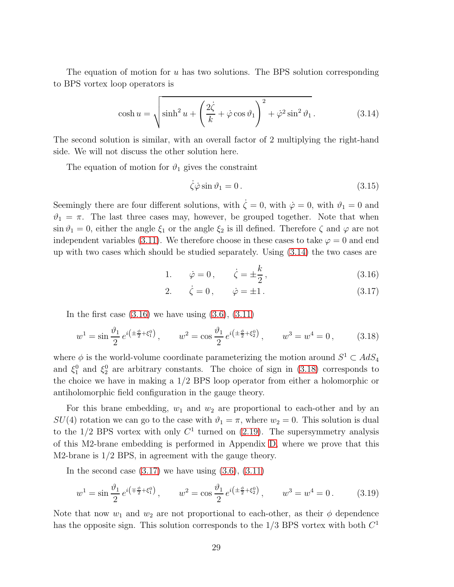The equation of motion for u has two solutions. The BPS solution corresponding to BPS vortex loop operators is

<span id="page-29-0"></span>
$$
\cosh u = \sqrt{\sinh^2 u + \left(\frac{2\dot{\zeta}}{k} + \dot{\varphi}\cos\vartheta_1\right)^2 + \dot{\varphi}^2 \sin^2\vartheta_1}.
$$
 (3.14)

The second solution is similar, with an overall factor of 2 multiplying the right-hand side. We will not discuss the other solution here.

The equation of motion for  $\vartheta_1$  gives the constraint

<span id="page-29-1"></span>
$$
\dot{\zeta}\dot{\varphi}\sin\vartheta_1 = 0.\tag{3.15}
$$

Seemingly there are four different solutions, with  $\dot{\zeta} = 0$ , with  $\dot{\varphi} = 0$ , with  $\vartheta_1 = 0$  and  $\vartheta_1 = \pi$ . The last three cases may, however, be grouped together. Note that when  $\sin \vartheta_1 = 0$ , either the angle  $\xi_1$  or the angle  $\xi_2$  is ill defined. Therefore  $\zeta$  and  $\varphi$  are not independent variables [\(3.11\)](#page-28-0). We therefore choose in these cases to take  $\varphi = 0$  and end up with two cases which should be studied separately. Using [\(3.14\)](#page-29-0) the two cases are

1. 
$$
\dot{\varphi} = 0
$$
,  $\dot{\zeta} = \pm \frac{k}{2}$ , (3.16)

<span id="page-29-3"></span>2. 
$$
\dot{\zeta} = 0
$$
,  $\dot{\varphi} = \pm 1$ . (3.17)

In the first case  $(3.16)$  we have using  $(3.6)$ ,  $(3.11)$ 

<span id="page-29-2"></span>
$$
w^{1} = \sin \frac{\vartheta_{1}}{2} e^{i \left(\pm \frac{\phi}{2} + \xi_{1}^{0}\right)}, \qquad w^{2} = \cos \frac{\vartheta_{1}}{2} e^{i \left(\pm \frac{\phi}{2} + \xi_{2}^{0}\right)}, \qquad w^{3} = w^{4} = 0,
$$
 (3.18)

where  $\phi$  is the world-volume coordinate parameterizing the motion around  $S^1 \subset AdS_4$ and  $\xi_1^0$  and  $\xi_2^0$  are arbitrary constants. The choice of sign in [\(3.18\)](#page-29-2) corresponds to the choice we have in making a 1/2 BPS loop operator from either a holomorphic or antiholomorphic field configuration in the gauge theory.

For this brane embedding,  $w_1$  and  $w_2$  are proportional to each-other and by an  $SU(4)$  rotation we can go to the case with  $\vartheta_1 = \pi$ , where  $w_2 = 0$ . This solution is dual to the  $1/2$  BPS vortex with only  $C<sup>1</sup>$  turned on  $(2.19)$ . The supersymmetry analysis of this M2-brane embedding is performed in Appendix [D,](#page-53-0) where we prove that this M2-brane is  $1/2$  BPS, in agreement with the gauge theory.

In the second case  $(3.17)$  we have using  $(3.6)$ ,  $(3.11)$ 

<span id="page-29-4"></span>
$$
w^{1} = \sin \frac{\vartheta_{1}}{2} e^{i(\mp \frac{\phi}{2} + \xi_{1}^{0})}, \qquad w^{2} = \cos \frac{\vartheta_{1}}{2} e^{i(\pm \frac{\phi}{2} + \xi_{2}^{0})}, \qquad w^{3} = w^{4} = 0.
$$
 (3.19)

Note that now  $w_1$  and  $w_2$  are not proportional to each-other, as their  $\phi$  dependence has the opposite sign. This solution corresponds to the  $1/3$  BPS vortex with both  $C<sup>1</sup>$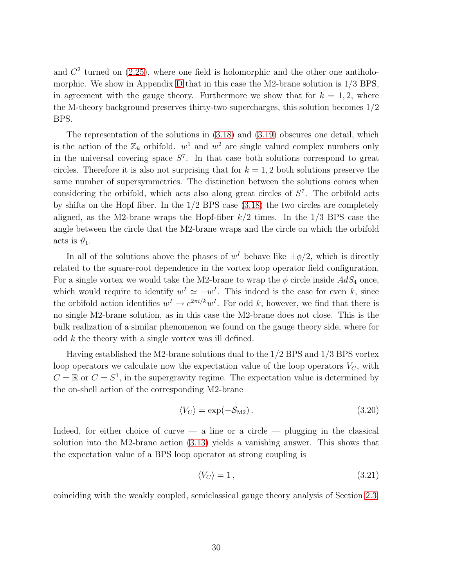and  $C<sup>2</sup>$  turned on  $(2.25)$ , where one field is holomorphic and the other one antiholomorphic. We show in Appendix [D](#page-53-0) that in this case the M2-brane solution is 1/3 BPS, in agreement with the gauge theory. Furthermore we show that for  $k = 1, 2$ , where the M-theory background preserves thirty-two supercharges, this solution becomes 1/2 BPS.

The representation of the solutions in [\(3.18\)](#page-29-2) and [\(3.19\)](#page-29-4) obscures one detail, which is the action of the  $\mathbb{Z}_k$  orbifold.  $w^1$  and  $w^2$  are single valued complex numbers only in the universal covering space  $S^7$ . In that case both solutions correspond to great circles. Therefore it is also not surprising that for  $k = 1, 2$  both solutions preserve the same number of supersymmetries. The distinction between the solutions comes when considering the orbifold, which acts also along great circles of  $S<sup>7</sup>$ . The orbifold acts by shifts on the Hopf fiber. In the 1/2 BPS case [\(3.18\)](#page-29-2) the two circles are completely aligned, as the M2-brane wraps the Hopf-fiber  $k/2$  times. In the  $1/3$  BPS case the angle between the circle that the M2-brane wraps and the circle on which the orbifold acts is  $\vartheta_1$ .

In all of the solutions above the phases of  $w<sup>I</sup>$  behave like  $\pm \phi/2$ , which is directly related to the square-root dependence in the vortex loop operator field configuration. For a single vortex we would take the M2-brane to wrap the  $\phi$  circle inside  $AdS_4$  once, which would require to identify  $w^I \simeq -w^I$ . This indeed is the case for even k, since the orbifold action identifies  $w^I \to e^{2\pi i/k} w^I$ . For odd k, however, we find that there is no single M2-brane solution, as in this case the M2-brane does not close. This is the bulk realization of a similar phenomenon we found on the gauge theory side, where for odd k the theory with a single vortex was ill defined.

Having established the M2-brane solutions dual to the 1/2 BPS and 1/3 BPS vortex loop operators we calculate now the expectation value of the loop operators  $V_C$ , with  $C = \mathbb{R}$  or  $C = S^1$ , in the supergravity regime. The expectation value is determined by the on-shell action of the corresponding M2-brane

$$
\langle V_C \rangle = \exp(-\mathcal{S}_{\text{M2}}). \tag{3.20}
$$

Indeed, for either choice of curve  $-$  a line or a circle  $-$  plugging in the classical solution into the M2-brane action [\(3.13\)](#page-28-1) yields a vanishing answer. This shows that the expectation value of a BPS loop operator at strong coupling is

$$
\langle V_C \rangle = 1, \tag{3.21}
$$

coinciding with the weakly coupled, semiclassical gauge theory analysis of Section [2.3.](#page-20-0)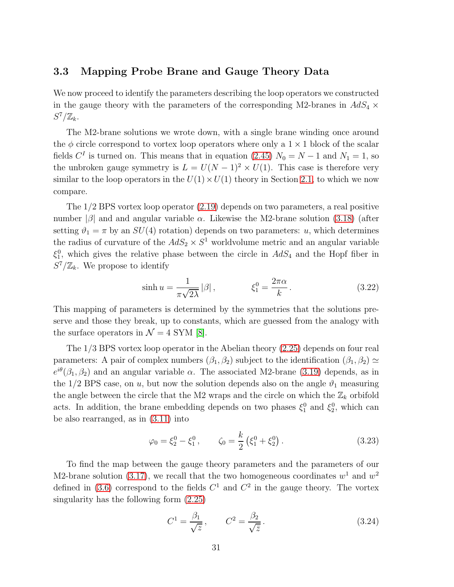### <span id="page-31-0"></span>3.3 Mapping Probe Brane and Gauge Theory Data

We now proceed to identify the parameters describing the loop operators we constructed in the gauge theory with the parameters of the corresponding M2-branes in  $AdS_4 \times$  $S^7/\mathbb{Z}_k$ .

The M2-brane solutions we wrote down, with a single brane winding once around the  $\phi$  circle correspond to vortex loop operators where only a  $1 \times 1$  block of the scalar fields  $C<sup>I</sup>$  is turned on. This means that in equation [\(2.45\)](#page-15-1)  $N_0 = N - 1$  and  $N_1 = 1$ , so the unbroken gauge symmetry is  $L = U(N-1)^2 \times U(1)$ . This case is therefore very similar to the loop operators in the  $U(1) \times U(1)$  theory in Section [2.1,](#page-5-0) to which we now compare.

The 1/2 BPS vortex loop operator [\(2.19\)](#page-8-1) depends on two parameters, a real positive number  $|\beta|$  and angular variable  $\alpha$ . Likewise the M2-brane solution [\(3.18\)](#page-29-2) (after setting  $\vartheta_1 = \pi$  by an  $SU(4)$  rotation) depends on two parameters: u, which determines the radius of curvature of the  $AdS_2 \times S^1$  worldvolume metric and an angular variable  $\xi_1^0$ , which gives the relative phase between the circle in  $AdS_4$  and the Hopf fiber in  $S^7/\mathbb{Z}_k$ . We propose to identify

<span id="page-31-2"></span>
$$
\sinh u = \frac{1}{\pi \sqrt{2\lambda}} |\beta|, \qquad \qquad \xi_1^0 = \frac{2\pi \alpha}{k}. \tag{3.22}
$$

This mapping of parameters is determined by the symmetries that the solutions preserve and those they break, up to constants, which are guessed from the analogy with the surface operators in  $\mathcal{N} = 4$  SYM [\[8\]](#page-61-1).

The 1/3 BPS vortex loop operator in the Abelian theory [\(2.25\)](#page-10-1) depends on four real parameters: A pair of complex numbers  $(\beta_1, \beta_2)$  subject to the identification  $(\beta_1, \beta_2) \simeq$  $e^{i\theta}(\beta_1, \beta_2)$  and an angular variable  $\alpha$ . The associated M2-brane [\(3.19\)](#page-29-4) depends, as in the 1/2 BPS case, on u, but now the solution depends also on the angle  $\vartheta_1$  measuring the angle between the circle that the M2 wraps and the circle on which the  $\mathbb{Z}_k$  orbifold acts. In addition, the brane embedding depends on two phases  $\xi_1^0$  and  $\xi_2^0$ , which can be also rearranged, as in [\(3.11\)](#page-28-0) into

<span id="page-31-1"></span>
$$
\varphi_0 = \xi_2^0 - \xi_1^0, \qquad \zeta_0 = \frac{k}{2} \left( \xi_1^0 + \xi_2^0 \right). \tag{3.23}
$$

To find the map between the gauge theory parameters and the parameters of our M2-brane solution [\(3.17\)](#page-29-3), we recall that the two homogeneous coordinates  $w^1$  and  $w^2$ defined in [\(3.6\)](#page-26-0) correspond to the fields  $C^1$  and  $C^2$  in the gauge theory. The vortex singularity has the following form [\(2.25\)](#page-10-1)

$$
C^1 = \frac{\beta_1}{\sqrt{z}}, \qquad C^2 = \frac{\beta_2}{\sqrt{\overline{z}}}.
$$
\n(3.24)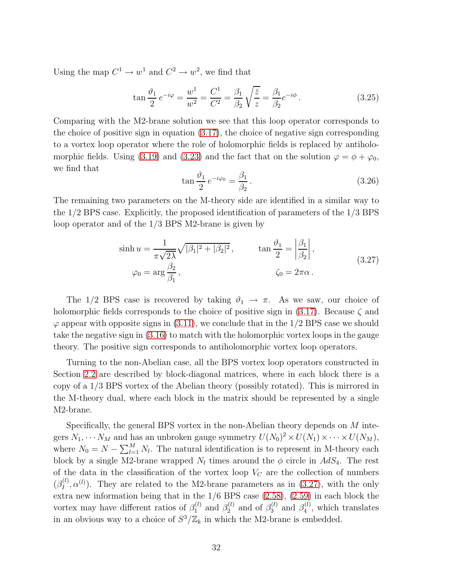Using the map  $C^1 \to w^1$  and  $C^2 \to w^2$ , we find that

$$
\tan\frac{\vartheta_1}{2}e^{-i\varphi} = \frac{w^1}{w^2} = \frac{C^1}{C^2} = \frac{\beta_1}{\beta_2}\sqrt{\frac{z}{z}} = \frac{\beta_1}{\beta_2}e^{-i\phi}.
$$
 (3.25)

Comparing with the M2-brane solution we see that this loop operator corresponds to the choice of positive sign in equation [\(3.17\)](#page-29-3), the choice of negative sign corresponding to a vortex loop operator where the role of holomorphic fields is replaced by antiholo-morphic fields. Using [\(3.19\)](#page-29-4) and [\(3.23\)](#page-31-1) and the fact that on the solution  $\varphi = \phi + \varphi_0$ , we find that

$$
\tan\frac{\vartheta_1}{2}e^{-i\varphi_0} = \frac{\beta_1}{\beta_2}.
$$
\n(3.26)

The remaining two parameters on the M-theory side are identified in a similar way to the 1/2 BPS case. Explicitly, the proposed identification of parameters of the 1/3 BPS loop operator and of the 1/3 BPS M2-brane is given by

<span id="page-32-0"></span>
$$
\sinh u = \frac{1}{\pi \sqrt{2\lambda}} \sqrt{|\beta_1|^2 + |\beta_2|^2}, \qquad \tan \frac{\vartheta_1}{2} = \left| \frac{\beta_1}{\beta_2} \right|,
$$
  

$$
\varphi_0 = \arg \frac{\beta_2}{\beta_1}, \qquad \zeta_0 = 2\pi \alpha.
$$
 (3.27)

The 1/2 BPS case is recovered by taking  $\vartheta_1 \to \pi$ . As we saw, our choice of holomorphic fields corresponds to the choice of positive sign in [\(3.17\)](#page-29-3). Because  $\zeta$  and  $\varphi$  appear with opposite signs in [\(3.11\)](#page-28-0), we conclude that in the 1/2 BPS case we should take the negative sign in [\(3.16\)](#page-29-1) to match with the holomorphic vortex loops in the gauge theory. The positive sign corresponds to antiholomorphic vortex loop operators.

Turning to the non-Abelian case, all the BPS vortex loop operators constructed in Section [2.2](#page-15-0) are described by block-diagonal matrices, where in each block there is a copy of a 1/3 BPS vortex of the Abelian theory (possibly rotated). This is mirrored in the M-theory dual, where each block in the matrix should be represented by a single M2-brane.

Specifically, the general BPS vortex in the non-Abelian theory depends on M integers  $N_1, \dots N_M$  and has an unbroken gauge symmetry  $U(N_0)^2 \times U(N_1) \times \dots \times U(N_M)$ , where  $N_0 = N - \sum_{l=1}^{M} N_l$ . The natural identification is to represent in M-theory each block by a single M2-brane wrapped  $N_l$  times around the  $\phi$  circle in  $AdS_4$ . The rest of the data in the classification of the vortex loop  $V_C$  are the collection of numbers  $(\beta_I^{(l)}$  $I_I^{(l)}$ ,  $\alpha^{(l)}$ ). They are related to the M2-brane parameters as in [\(3.27\)](#page-32-0), with the only extra new information being that in the 1/6 BPS case [\(2.58\)](#page-18-1), [\(2.59\)](#page-18-2) in each block the vortex may have different ratios of  $\beta_1^{(l)}$  $\beta_1^{(l)}$  and  $\beta_2^{(l)}$  $\beta_2^{(l)}$  and of  $\beta_3^{(l)}$  $\beta_3^{(l)}$  and  $\beta_4^{(l)}$  $\mathcal{A}^{(t)}_4$ , which translates in an obvious way to a choice of  $S^3/\mathbb{Z}_k$  in which the M2-brane is embedded.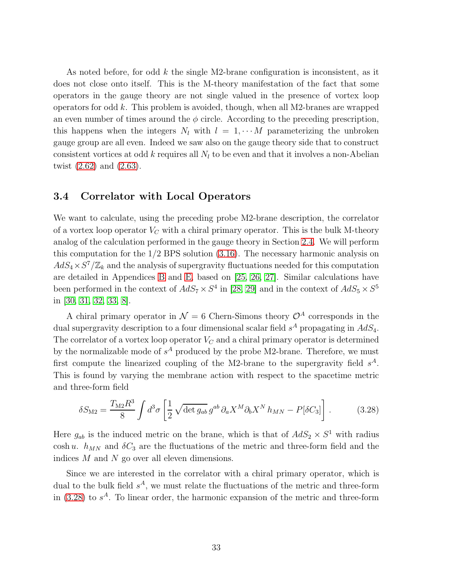As noted before, for odd k the single M2-brane configuration is inconsistent, as it does not close onto itself. This is the M-theory manifestation of the fact that some operators in the gauge theory are not single valued in the presence of vortex loop operators for odd k. This problem is avoided, though, when all M2-branes are wrapped an even number of times around the  $\phi$  circle. According to the preceding prescription, this happens when the integers  $N_l$  with  $l = 1, \cdots M$  parameterizing the unbroken gauge group are all even. Indeed we saw also on the gauge theory side that to construct consistent vortices at odd k requires all  $N_l$  to be even and that it involves a non-Abelian twist [\(2.62\)](#page-19-0) and [\(2.63\)](#page-20-1).

### <span id="page-33-0"></span>3.4 Correlator with Local Operators

We want to calculate, using the preceding probe M2-brane description, the correlator of a vortex loop operator  $V_C$  with a chiral primary operator. This is the bulk M-theory analog of the calculation performed in the gauge theory in Section [2.4.](#page-21-0) We will perform this computation for the 1/2 BPS solution [\(3.16\)](#page-29-1). The necessary harmonic analysis on  $AdS_4 \times S^7/\mathbb{Z}_k$  and the analysis of supergravity fluctuations needed for this computation are detailed in Appendices [B](#page-47-0) and [E,](#page-57-0) based on [\[25,](#page-62-0) [26,](#page-62-1) [27\]](#page-62-2). Similar calculations have been performed in the context of  $AdS_7 \times S^4$  in [\[28,](#page-62-3) [29\]](#page-62-4) and in the context of  $AdS_5 \times S^5$ in [\[30,](#page-62-5) [31,](#page-62-6) [32,](#page-62-7) [33,](#page-62-8) [8\]](#page-61-1).

A chiral primary operator in  $\mathcal{N} = 6$  Chern-Simons theory  $\mathcal{O}^A$  corresponds in the dual supergravity description to a four dimensional scalar field  $s^A$  propagating in  $AdS_4$ . The correlator of a vortex loop operator  $V_C$  and a chiral primary operator is determined by the normalizable mode of  $s^A$  produced by the probe M2-brane. Therefore, we must first compute the linearized coupling of the M2-brane to the supergravity field  $s^A$ . This is found by varying the membrane action with respect to the spacetime metric and three-form field

<span id="page-33-1"></span>
$$
\delta S_{\rm M2} = \frac{T_{\rm M2} R^3}{8} \int d^3 \sigma \left[ \frac{1}{2} \sqrt{\det g_{ab}} \, g^{ab} \, \partial_a X^M \partial_b X^N \, h_{MN} - P[\delta C_3] \right] \,. \tag{3.28}
$$

Here  $g_{ab}$  is the induced metric on the brane, which is that of  $AdS_2 \times S^1$  with radius cosh u.  $h_{MN}$  and  $\delta C_3$  are the fluctuations of the metric and three-form field and the indices  $M$  and  $N$  go over all eleven dimensions.

Since we are interested in the correlator with a chiral primary operator, which is dual to the bulk field  $s^A$ , we must relate the fluctuations of the metric and three-form in  $(3.28)$  to  $s<sup>A</sup>$ . To linear order, the harmonic expansion of the metric and three-form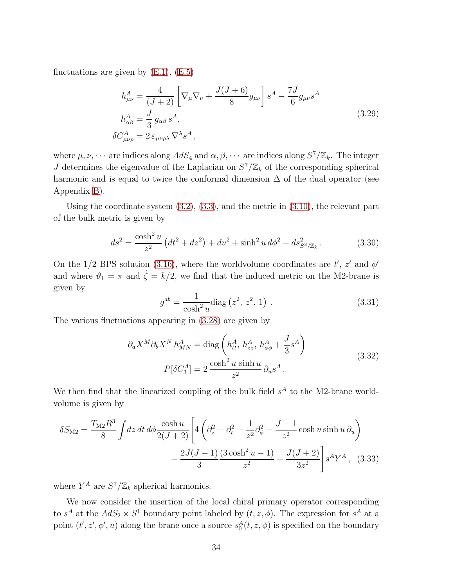fluctuations are given by  $(E.1)$ ,  $(E.5)$ 

$$
h_{\mu\nu}^{A} = \frac{4}{(J+2)} \left[ \nabla_{\mu} \nabla_{\nu} + \frac{J(J+6)}{8} g_{\mu\nu} \right] s^{A} - \frac{7J}{6} g_{\mu\nu} s^{A}
$$
  
\n
$$
h_{\alpha\beta}^{A} = \frac{J}{3} g_{\alpha\beta} s^{A},
$$
  
\n
$$
\delta C_{\mu\nu\rho}^{A} = 2 \varepsilon_{\mu\nu\rho\lambda} \nabla^{\lambda} s^{A},
$$
\n(3.29)

where  $\mu, \nu, \cdots$  are indices along  $AdS_4$  and  $\alpha, \beta, \cdots$  are indices along  $S^7/\mathbb{Z}_k$ . The integer J determines the eigenvalue of the Laplacian on  $S^7/\mathbb{Z}_k$  of the corresponding spherical harmonic and is equal to twice the conformal dimension  $\Delta$  of the dual operator (see Appendix [B\)](#page-47-0).

Using the coordinate system [\(3.2\)](#page-26-2), [\(3.3\)](#page-26-3), and the metric in [\(3.10\)](#page-28-2), the relevant part of the bulk metric is given by

$$
ds^{2} = \frac{\cosh^{2} u}{z^{2}} \left(dt^{2} + dz^{2}\right) + du^{2} + \sinh^{2} u \, d\phi^{2} + ds^{2}_{S^{3}/\mathbb{Z}_{k}}.
$$
 (3.30)

On the 1/2 BPS solution [\(3.16\)](#page-29-1), where the worldvolume coordinates are  $t'$ ,  $z'$  and  $\phi'$ and where  $\vartheta_1 = \pi$  and  $\dot{\zeta} = k/2$ , we find that the induced metric on the M2-brane is given by

$$
g^{ab} = \frac{1}{\cosh^2 u} \text{diag}\left(z^2, z^2, 1\right). \tag{3.31}
$$

The various fluctuations appearing in [\(3.28\)](#page-33-1) are given by

$$
\partial_a X^M \partial_b X^N h_{MN}^A = \text{diag}\left(h_{tt}^A, h_{zz}^A, h_{\phi\phi}^A + \frac{J}{3} s^A\right)
$$
  

$$
P[\delta C_3^A] = 2 \frac{\cosh^2 u \sinh u}{z^2} \partial_u s^A.
$$
 (3.32)

We then find that the linearized coupling of the bulk field  $s<sup>A</sup>$  to the M2-brane worldvolume is given by

$$
\delta S_{\text{M2}} = \frac{T_{\text{M2}} R^3}{8} \int dz \, dt \, d\phi \frac{\cosh u}{2(J+2)} \left[ 4 \left( \partial_z^2 + \partial_t^2 + \frac{1}{z^2} \partial_{\phi}^2 - \frac{J-1}{z^2} \cosh u \sinh u \, \partial_u \right) \right. \\
\left. - \frac{2J(J-1)}{3} \frac{(3 \cosh^2 u - 1)}{z^2} + \frac{J(J+2)}{3z^2} \right] s^A Y^A \,, \tag{3.33}
$$

where  $Y^A$  are  $S^7/\mathbb{Z}_k$  spherical harmonics.

We now consider the insertion of the local chiral primary operator corresponding to  $s^A$  at the  $AdS_2 \times S^1$  boundary point labeled by  $(t, z, \phi)$ . The expression for  $s^A$  at a point  $(t', z', \phi', u)$  along the brane once a source  $s_0^A(t, z, \phi)$  is specified on the boundary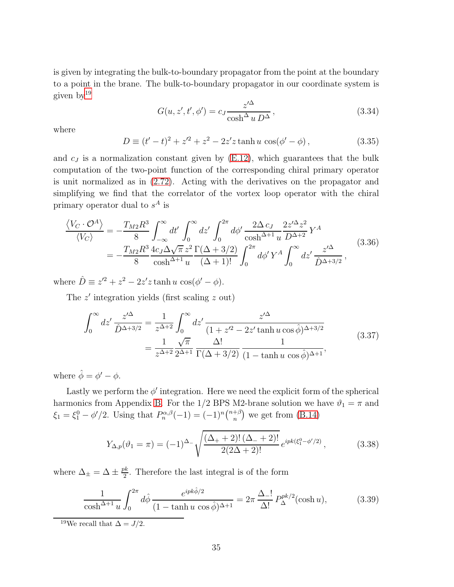is given by integrating the bulk-to-boundary propagator from the point at the boundary to a point in the brane. The bulk-to-boundary propagator in our coordinate system is given  $by^{19}$  $by^{19}$  $by^{19}$ 

<span id="page-35-1"></span>
$$
G(u, z', t', \phi') = c_J \frac{z'^{\Delta}}{\cosh^{\Delta} u \, D^{\Delta}},
$$
\n(3.34)

where

$$
D \equiv (t'-t)^2 + z'^2 + z^2 - 2z'z \tanh u \cos(\phi' - \phi), \qquad (3.35)
$$

and  $c_J$  is a normalization constant given by  $(E.12)$ , which guarantees that the bulk computation of the two-point function of the corresponding chiral primary operator is unit normalized as in [\(2.72\)](#page-22-4). Acting with the derivatives on the propagator and simplifying we find that the correlator of the vortex loop operator with the chiral primary operator dual to  $s^A$  is

$$
\frac{\langle V_C \cdot \mathcal{O}^A \rangle}{\langle V_C \rangle} = -\frac{T_{M2} R^3}{8} \int_{-\infty}^{\infty} dt' \int_0^{\infty} dz' \int_0^{2\pi} d\phi' \frac{2\Delta c_J}{\cosh^{\Delta+1} u} \frac{2z'^{\Delta} z^2}{D^{\Delta+2}} Y^A
$$
  
= 
$$
-\frac{T_{M2} R^3}{8} \frac{4c_J \Delta \sqrt{\pi} z^2}{\cosh^{\Delta+1} u} \frac{\Gamma(\Delta+3/2)}{(\Delta+1)!} \int_0^{2\pi} d\phi' Y^A \int_0^{\infty} dz' \frac{z'^{\Delta}}{\hat{D}^{\Delta+3/2}},
$$
(3.36)

where  $\hat{D} \equiv z'^2 + z^2 - 2z'z \tanh u \cos(\phi' - \phi)$ .

The  $z'$  integration yields (first scaling  $z$  out)

$$
\int_0^\infty dz' \frac{z'^{\Delta}}{\hat{D}^{\Delta+3/2}} = \frac{1}{z^{\Delta+2}} \int_0^\infty dz' \frac{z'^{\Delta}}{(1+z'^2 - 2z'\tanh u \cos \hat{\phi})^{\Delta+3/2}} = \frac{1}{z^{\Delta+2}} \frac{\sqrt{\pi}}{2^{\Delta+1}} \frac{\Delta!}{\Gamma(\Delta+3/2)} \frac{1}{(1-\tanh u \cos \hat{\phi})^{\Delta+1}},
$$
(3.37)

where  $\hat{\phi} = \phi' - \phi$ .

Lastly we perform the  $\phi'$  integration. Here we need the explicit form of the spherical harmonics from Appendix [B.](#page-47-0) For the 1/2 BPS M2-brane solution we have  $\vartheta_1 = \pi$  and  $\xi_1 = \xi_1^0 - \phi'/2$ . Using that  $P_n^{\alpha,\beta}(-1) = (-1)^n \binom{n+\beta}{n}$  $\binom{+\beta}{n}$  we get from [\(B.14\)](#page-49-0)

$$
Y_{\Delta,p}(\vartheta_1 = \pi) = (-1)^{\Delta_-} \sqrt{\frac{(\Delta_+ + 2)!(\Delta_- + 2)!}{2(2\Delta + 2)!}} e^{ipk(\xi_1^0 - \phi'/2)}, \qquad (3.38)
$$

where  $\Delta_{\pm} = \Delta \pm \frac{pk}{2}$  $\frac{2}{2}$ . Therefore the last integral is of the form

$$
\frac{1}{\cosh^{\Delta+1} u} \int_0^{2\pi} d\hat{\phi} \frac{e^{ipk\hat{\phi}/2}}{(1 - \tanh u \cos \hat{\phi})^{\Delta+1}} = 2\pi \frac{\Delta_-!}{\Delta!} P_{\Delta}^{pk/2}(\cosh u),\tag{3.39}
$$

<span id="page-35-0"></span><sup>19</sup>We recall that  $\Delta = J/2$ .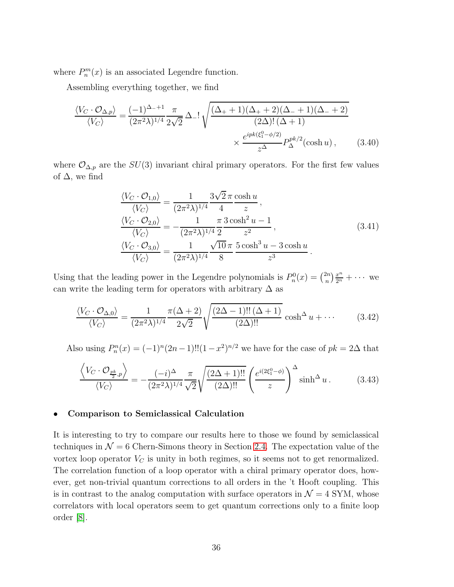where  $P_n^m(x)$  is an associated Legendre function.

Assembling everything together, we find

$$
\frac{\langle V_C \cdot \mathcal{O}_{\Delta, p} \rangle}{\langle V_C \rangle} = \frac{(-1)^{\Delta_- + 1}}{(2\pi^2 \lambda)^{1/4}} \frac{\pi}{2\sqrt{2}} \Delta_-! \sqrt{\frac{(\Delta_+ + 1)(\Delta_+ + 2)(\Delta_- + 1)(\Delta_- + 2)}{(2\Delta)! (\Delta + 1)}}
$$
  
 
$$
\times \frac{e^{ipk(\xi_1^0 - \phi/2)}}{z^{\Delta}} P_{\Delta}^{pk/2}(\cosh u), \qquad (3.40)
$$

where  $\mathcal{O}_{\Delta,p}$  are the  $SU(3)$  invariant chiral primary operators. For the first few values of  $\Delta$ , we find

<span id="page-36-0"></span>
$$
\frac{\langle V_C \cdot \mathcal{O}_{1,0} \rangle}{\langle V_C \rangle} = \frac{1}{(2\pi^2 \lambda)^{1/4}} \frac{3\sqrt{2}\pi \cosh u}{4} ,
$$
\n
$$
\frac{\langle V_C \cdot \mathcal{O}_{2,0} \rangle}{\langle V_C \rangle} = -\frac{1}{(2\pi^2 \lambda)^{1/4}} \frac{\pi}{2} \frac{3\cosh^2 u - 1}{z^2} ,
$$
\n
$$
\frac{\langle V_C \cdot \mathcal{O}_{3,0} \rangle}{\langle V_C \rangle} = \frac{1}{(2\pi^2 \lambda)^{1/4}} \frac{\sqrt{10}\pi}{8} \frac{5\cosh^3 u - 3\cosh u}{z^3} .
$$
\n(3.41)

Using that the leading power in the Legendre polynomials is  $P_n^0(x) = \binom{2n}{n}$  $\binom{2n}{n}\frac{x^n}{2^n}+\cdots$  we can write the leading term for operators with arbitrary  $\Delta$  as

$$
\frac{\langle V_C \cdot \mathcal{O}_{\Delta,0} \rangle}{\langle V_C \rangle} = \frac{1}{(2\pi^2 \lambda)^{1/4}} \frac{\pi(\Delta + 2)}{2\sqrt{2}} \sqrt{\frac{(2\Delta - 1)!! (\Delta + 1)}{(2\Delta)!!}} \cosh^{\Delta} u + \cdots \tag{3.42}
$$

Also using  $P_n^n(x) = (-1)^n (2n-1)!!(1-x^2)^{n/2}$  we have for the case of  $pk = 2\Delta$  that

$$
\frac{\left\langle V_C \cdot \mathcal{O}_{\frac{pk}{2},p} \right\rangle}{\left\langle V_C \right\rangle} = -\frac{(-i)^{\Delta}}{(2\pi^2 \lambda)^{1/4}} \frac{\pi}{\sqrt{2}} \sqrt{\frac{(2\Delta + 1)!!}{(2\Delta)!!}} \left( \frac{e^{i(2\xi_1^0 - \phi)}}{z} \right)^{\Delta} \sinh^{\Delta} u. \tag{3.43}
$$

#### • Comparison to Semiclassical Calculation

It is interesting to try to compare our results here to those we found by semiclassical techniques in  $\mathcal{N} = 6$  Chern-Simons theory in Section [2.4.](#page-21-0) The expectation value of the vortex loop operator  $V_C$  is unity in both regimes, so it seems not to get renormalized. The correlation function of a loop operator with a chiral primary operator does, however, get non-trivial quantum corrections to all orders in the 't Hooft coupling. This is in contrast to the analog computation with surface operators in  $\mathcal{N}=4$  SYM, whose correlators with local operators seem to get quantum corrections only to a finite loop order [\[8\]](#page-61-1).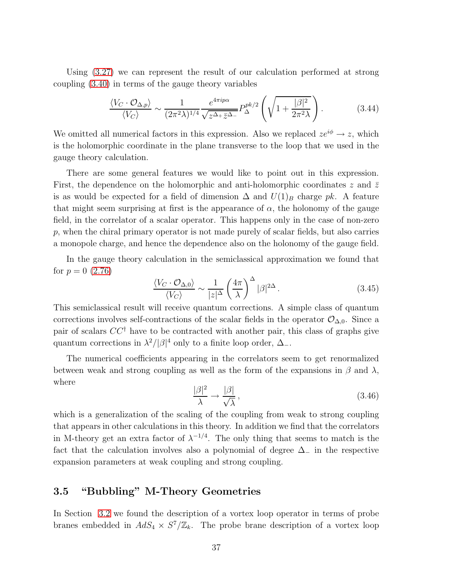Using [\(3.27\)](#page-32-0) we can represent the result of our calculation performed at strong coupling [\(3.40\)](#page-36-0) in terms of the gauge theory variables

$$
\frac{\langle V_C \cdot \mathcal{O}_{\Delta, p} \rangle}{\langle V_C \rangle} \sim \frac{1}{(2\pi^2 \lambda)^{1/4}} \frac{e^{4\pi i p \alpha}}{\sqrt{z^{\Delta_+} \bar{z}^{\Delta_-}}} P_{\Delta}^{pk/2} \left( \sqrt{1 + \frac{|\beta|^2}{2\pi^2 \lambda}} \right). \tag{3.44}
$$

We omitted all numerical factors in this expression. Also we replaced  $ze^{i\phi} \rightarrow z$ , which is the holomorphic coordinate in the plane transverse to the loop that we used in the gauge theory calculation.

There are some general features we would like to point out in this expression. First, the dependence on the holomorphic and anti-holomorphic coordinates z and  $\bar{z}$ is as would be expected for a field of dimension  $\Delta$  and  $U(1)_B$  charge pk. A feature that might seem surprising at first is the appearance of  $\alpha$ , the holonomy of the gauge field, in the correlator of a scalar operator. This happens only in the case of non-zero p, when the chiral primary operator is not made purely of scalar fields, but also carries a monopole charge, and hence the dependence also on the holonomy of the gauge field.

In the gauge theory calculation in the semiclassical approximation we found that for  $p = 0$  [\(2.76\)](#page-23-1)

$$
\frac{\langle V_C \cdot \mathcal{O}_{\Delta,0} \rangle}{\langle V_C \rangle} \sim \frac{1}{|z|^{\Delta}} \left( \frac{4\pi}{\lambda} \right)^{\Delta} |\beta|^{2\Delta}.
$$
 (3.45)

This semiclassical result will receive quantum corrections. A simple class of quantum corrections involves self-contractions of the scalar fields in the operator  $\mathcal{O}_{\Delta,0}$ . Since a pair of scalars  $CC^{\dagger}$  have to be contracted with another pair, this class of graphs give quantum corrections in  $\lambda^2/|\beta|^4$  only to a finite loop order,  $\Delta_{-}$ .

The numerical coefficients appearing in the correlators seem to get renormalized between weak and strong coupling as well as the form of the expansions in  $\beta$  and  $\lambda$ , where

$$
\frac{|\beta|^2}{\lambda} \to \frac{|\beta|}{\sqrt{\lambda}},\tag{3.46}
$$

which is a generalization of the scaling of the coupling from weak to strong coupling that appears in other calculations in this theory. In addition we find that the correlators in M-theory get an extra factor of  $\lambda^{-1/4}$ . The only thing that seems to match is the fact that the calculation involves also a polynomial of degree  $\Delta_-\,$  in the respective expansion parameters at weak coupling and strong coupling.

## <span id="page-37-0"></span>3.5 "Bubbling" M-Theory Geometries

In Section [3.2](#page-27-0) we found the description of a vortex loop operator in terms of probe branes embedded in  $AdS_4 \times S^7/\mathbb{Z}_k$ . The probe brane description of a vortex loop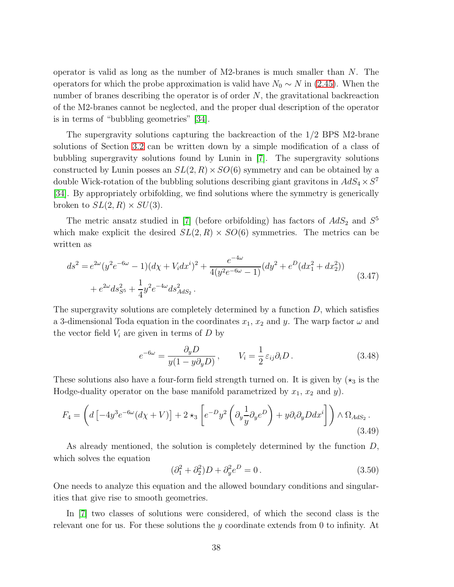operator is valid as long as the number of  $M2$ -branes is much smaller than N. The operators for which the probe approximation is valid have  $N_0 \sim N$  in [\(2.45\)](#page-15-1). When the number of branes describing the operator is of order  $N$ , the gravitational backreaction of the M2-branes cannot be neglected, and the proper dual description of the operator is in terms of "bubbling geometries" [\[34\]](#page-62-9).

The supergravity solutions capturing the backreaction of the 1/2 BPS M2-brane solutions of Section [3.2](#page-27-0) can be written down by a simple modification of a class of bubbling supergravity solutions found by Lunin in [\[7\]](#page-61-0). The supergravity solutions constructed by Lunin posses an  $SL(2, R) \times SO(6)$  symmetry and can be obtained by a double Wick-rotation of the bubbling solutions describing giant gravitons in  $AdS_4 \times S^7$ [\[34\]](#page-62-9). By appropriately orbifolding, we find solutions where the symmetry is generically broken to  $SL(2, R) \times SU(3)$ .

The metric ansatz studied in [\[7\]](#page-61-0) (before orbifolding) has factors of  $AdS_2$  and  $S^5$ which make explicit the desired  $SL(2, R) \times SO(6)$  symmetries. The metrics can be written as

<span id="page-38-0"></span>
$$
ds^{2} = e^{2\omega} (y^{2} e^{-6\omega} - 1)(d\chi + V_{i} dx^{i})^{2} + \frac{e^{-4\omega}}{4(y^{2} e^{-6\omega} - 1)} (dy^{2} + e^{D} (dx_{1}^{2} + dx_{2}^{2}))
$$
  
+  $e^{2\omega} ds_{S^{5}}^{2} + \frac{1}{4} y^{2} e^{-4\omega} ds_{AdS_{2}}^{2}$ . (3.47)

The supergravity solutions are completely determined by a function  $D$ , which satisfies a 3-dimensional Toda equation in the coordinates  $x_1, x_2$  and y. The warp factor  $\omega$  and the vector field  $V_i$  are given in terms of  $D$  by

$$
e^{-6\omega} = \frac{\partial_y D}{y(1 - y\partial_y D)}, \qquad V_i = \frac{1}{2} \varepsilon_{ij} \partial_i D. \qquad (3.48)
$$

These solutions also have a four-form field strength turned on. It is given by  $(\star_3$  is the Hodge-duality operator on the base manifold parametrized by  $x_1, x_2$  and  $y$ ).

$$
F_4 = \left(d\left[-4y^3e^{-6\omega}(d\chi + V)\right] + 2\star_3\left[e^{-D}y^2\left(\partial_y\frac{1}{y}\partial_y e^D\right) + y\partial_i\partial_y Ddx^i\right]\right) \wedge \Omega_{AdS_2}.
$$
\n(3.49)

As already mentioned, the solution is completely determined by the function D, which solves the equation

$$
(\partial_1^2 + \partial_2^2)D + \partial_y^2 e^D = 0.
$$
\n(3.50)

One needs to analyze this equation and the allowed boundary conditions and singularities that give rise to smooth geometries.

In [\[7\]](#page-61-0) two classes of solutions were considered, of which the second class is the relevant one for us. For these solutions the y coordinate extends from 0 to infinity. At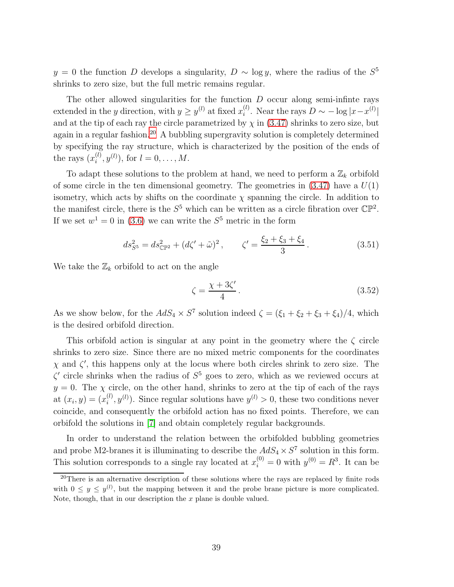$y = 0$  the function D develops a singularity,  $D \sim \log y$ , where the radius of the  $S^5$ shrinks to zero size, but the full metric remains regular.

The other allowed singularities for the function  $D$  occur along semi-infinite rays extended in the y direction, with  $y \ge y^{(l)}$  at fixed  $x_i^{(l)}$ <sup>(*l*</sup>). Near the rays  $D \sim -\log |x - x^{(l)}|$ and at the tip of each ray the circle parametrized by  $\chi$  in [\(3.47\)](#page-38-0) shrinks to zero size, but again in a regular fashion.<sup>[20](#page-39-0)</sup> A bubbling supergravity solution is completely determined by specifying the ray structure, which is characterized by the position of the ends of the rays  $(x_i^{(l)})$  $i^{(l)}, y^{(l)}$ , for  $l = 0, ..., M$ .

To adapt these solutions to the problem at hand, we need to perform a  $\mathbb{Z}_k$  orbifold of some circle in the ten dimensional geometry. The geometries in  $(3.47)$  have a  $U(1)$ isometry, which acts by shifts on the coordinate  $\chi$  spanning the circle. In addition to the manifest circle, there is the  $S^5$  which can be written as a circle fibration over  $\mathbb{CP}^2$ . If we set  $w^1 = 0$  in [\(3.6\)](#page-26-0) we can write the  $S^5$  metric in the form

$$
ds_{S^5}^2 = ds_{\mathbb{CP}^2}^2 + (d\zeta' + \tilde{\omega})^2, \qquad \zeta' = \frac{\xi_2 + \xi_3 + \xi_4}{3}.
$$
 (3.51)

We take the  $\mathbb{Z}_k$  orbifold to act on the angle

<span id="page-39-1"></span>
$$
\zeta = \frac{\chi + 3\zeta'}{4}.\tag{3.52}
$$

As we show below, for the  $AdS_4 \times S^7$  solution indeed  $\zeta = (\xi_1 + \xi_2 + \xi_3 + \xi_4)/4$ , which is the desired orbifold direction.

This orbifold action is singular at any point in the geometry where the  $\zeta$  circle shrinks to zero size. Since there are no mixed metric components for the coordinates  $\chi$  and  $\zeta'$ , this happens only at the locus where both circles shrink to zero size. The  $\zeta'$  circle shrinks when the radius of  $S^5$  goes to zero, which as we reviewed occurs at  $y = 0$ . The  $\chi$  circle, on the other hand, shrinks to zero at the tip of each of the rays at  $(x_i, y) = (x_i^{(l)})$  $i_j^{(l)}$ ,  $y^{(l)}$ ). Since regular solutions have  $y^{(l)} > 0$ , these two conditions never coincide, and consequently the orbifold action has no fixed points. Therefore, we can orbifold the solutions in [\[7\]](#page-61-0) and obtain completely regular backgrounds.

In order to understand the relation between the orbifolded bubbling geometries and probe M2-branes it is illuminating to describe the  $AdS_4 \times S^7$  solution in this form. This solution corresponds to a single ray located at  $x_i^{(0)} = 0$  with  $y^{(0)} = R^3$ . It can be

<span id="page-39-0"></span><sup>&</sup>lt;sup>20</sup>There is an alternative description of these solutions where the rays are replaced by finite rods with  $0 \leq y \leq y^{(l)}$ , but the mapping between it and the probe brane picture is more complicated. Note, though, that in our description the  $x$  plane is double valued.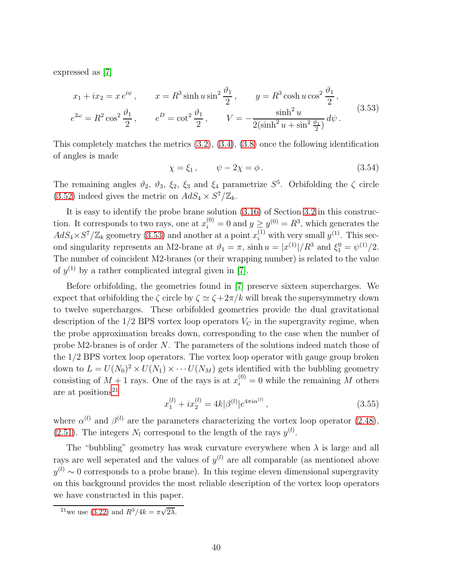expressed as [\[7\]](#page-61-0)

<span id="page-40-0"></span>
$$
x_1 + ix_2 = x e^{i\psi}, \t x = R^3 \sinh u \sin^2 \frac{\vartheta_1}{2}, \t y = R^3 \cosh u \cos^2 \frac{\vartheta_1}{2},
$$
  

$$
e^{2\omega} = R^2 \cos^2 \frac{\vartheta_1}{2}, \t e^D = \cot^2 \frac{\vartheta_1}{2}, \t V = -\frac{\sinh^2 u}{2(\sinh^2 u + \sin^2 \frac{\vartheta_1}{2})} d\psi.
$$
 (3.53)

This completely matches the metrics [\(3.2\)](#page-26-2), [\(3.4\)](#page-26-4), [\(3.8\)](#page-27-1) once the following identification of angles is made

$$
\chi = \xi_1, \qquad \psi - 2\chi = \phi. \tag{3.54}
$$

The remaining angles  $\vartheta_2$ ,  $\vartheta_3$ ,  $\xi_2$ ,  $\xi_3$  and  $\xi_4$  parametrize  $S^5$ . Orbifolding the  $\zeta$  circle [\(3.52\)](#page-39-1) indeed gives the metric on  $AdS_4 \times S^7/\mathbb{Z}_k$ .

It is easy to identify the probe brane solution [\(3.16\)](#page-29-1) of Section [3.2](#page-27-0) in this construction. It corresponds to two rays, one at  $x_i^{(0)} = 0$  and  $y \ge y^{(0)} = R^3$ , which generates the  $AdS_4 \times S^7/\mathbb{Z}_k$  geometry [\(3.53\)](#page-40-0) and another at a point  $x_i^{(1)}$  with very small  $y^{(1)}$ . This second singularity represents an M2-brane at  $\vartheta_1 = \pi$ , sinh  $u = |x^{(1)}|/R^3$  and  $\xi_1^0 = \psi^{(1)}/2$ . The number of coincident M2-branes (or their wrapping number) is related to the value of  $y^{(1)}$  by a rather complicated integral given in [\[7\]](#page-61-0).

Before orbifolding, the geometries found in [\[7\]](#page-61-0) preserve sixteen supercharges. We expect that orbifolding the  $\zeta$  circle by  $\zeta \simeq \zeta + 2\pi/k$  will break the supersymmetry down to twelve supercharges. These orbifolded geometries provide the dual gravitational description of the  $1/2$  BPS vortex loop operators  $V_C$  in the supergravity regime, when the probe approximation breaks down, corresponding to the case when the number of probe M2-branes is of order N. The parameters of the solutions indeed match those of the 1/2 BPS vortex loop operators. The vortex loop operator with gauge group broken down to  $L = U(N_0)^2 \times U(N_1) \times \cdots U(N_M)$  gets identified with the bubbling geometry consisting of  $M + 1$  rays. One of the rays is at  $x_i^{(0)} = 0$  while the remaining M others are at positions<sup>[21](#page-40-1)</sup>

$$
x_1^{(l)} + ix_2^{(l)} = 4k|\beta^{(l)}|e^{4\pi i \alpha^{(l)}},\tag{3.55}
$$

where  $\alpha^{(l)}$  and  $\beta^{(l)}$  are the parameters characterizing the vortex loop operator [\(2.48\)](#page-16-0), [\(2.51\)](#page-16-1). The integers  $N_l$  correspond to the length of the rays  $y^{(l)}$ .

The "bubbling" geometry has weak curvature everywhere when  $\lambda$  is large and all rays are well seperated and the values of  $y^{(l)}$  are all comparable (as mentioned above  $y^{(l)} \sim 0$  corresponds to a probe brane). In this regime eleven dimensional supergravity on this background provides the most reliable description of the vortex loop operators we have constructed in this paper.

<span id="page-40-1"></span><sup>&</sup>lt;sup>21</sup> we use [\(3.22\)](#page-31-2) and  $R^3/4k = \pi \sqrt{2\lambda}$ .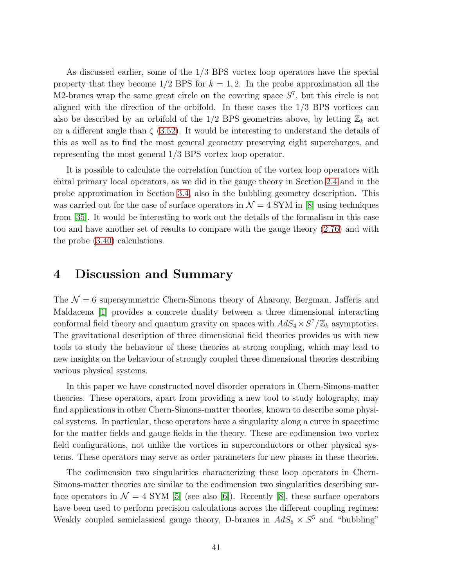As discussed earlier, some of the 1/3 BPS vortex loop operators have the special property that they become  $1/2$  BPS for  $k = 1, 2$ . In the probe approximation all the M2-branes wrap the same great circle on the covering space  $S^7$ , but this circle is not aligned with the direction of the orbifold. In these cases the 1/3 BPS vortices can also be described by an orbifold of the  $1/2$  BPS geometries above, by letting  $\mathbb{Z}_k$  act on a different angle than  $\zeta$  [\(3.52\)](#page-39-1). It would be interesting to understand the details of this as well as to find the most general geometry preserving eight supercharges, and representing the most general 1/3 BPS vortex loop operator.

It is possible to calculate the correlation function of the vortex loop operators with chiral primary local operators, as we did in the gauge theory in Section [2.4](#page-21-0) and in the probe approximation in Section [3.4,](#page-33-0) also in the bubbling geometry description. This was carried out for the case of surface operators in  $\mathcal{N} = 4$  SYM in [\[8\]](#page-61-1) using techniques from [\[35\]](#page-62-10). It would be interesting to work out the details of the formalism in this case too and have another set of results to compare with the gauge theory [\(2.76\)](#page-23-1) and with the probe [\(3.40\)](#page-36-0) calculations.

## <span id="page-41-0"></span>4 Discussion and Summary

The  $\mathcal{N}=6$  supersymmetric Chern-Simons theory of Aharony, Bergman, Jafferis and Maldacena [\[1\]](#page-60-0) provides a concrete duality between a three dimensional interacting conformal field theory and quantum gravity on spaces with  $AdS_4 \times S^7/\mathbb{Z}_k$  asymptotics. The gravitational description of three dimensional field theories provides us with new tools to study the behaviour of these theories at strong coupling, which may lead to new insights on the behaviour of strongly coupled three dimensional theories describing various physical systems.

In this paper we have constructed novel disorder operators in Chern-Simons-matter theories. These operators, apart from providing a new tool to study holography, may find applications in other Chern-Simons-matter theories, known to describe some physical systems. In particular, these operators have a singularity along a curve in spacetime for the matter fields and gauge fields in the theory. These are codimension two vortex field configurations, not unlike the vortices in superconductors or other physical systems. These operators may serve as order parameters for new phases in these theories.

The codimension two singularities characterizing these loop operators in Chern-Simons-matter theories are similar to the codimension two singularities describing surface operators in  $\mathcal{N} = 4$  SYM [\[5\]](#page-60-4) (see also [\[6\]](#page-60-5)). Recently [\[8\]](#page-61-1), these surface operators have been used to perform precision calculations across the different coupling regimes: Weakly coupled semiclassical gauge theory, D-branes in  $AdS_5 \times S^5$  and "bubbling"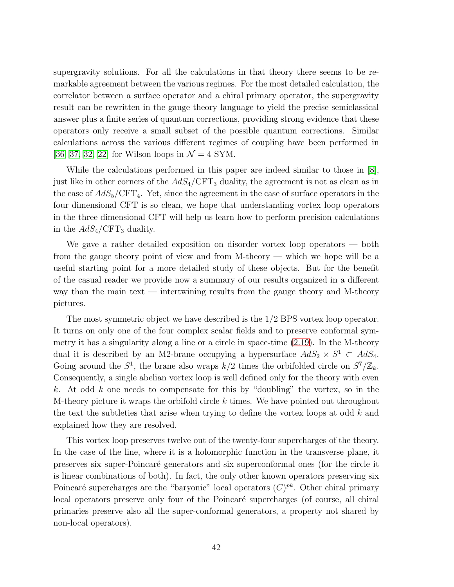supergravity solutions. For all the calculations in that theory there seems to be remarkable agreement between the various regimes. For the most detailed calculation, the correlator between a surface operator and a chiral primary operator, the supergravity result can be rewritten in the gauge theory language to yield the precise semiclassical answer plus a finite series of quantum corrections, providing strong evidence that these operators only receive a small subset of the possible quantum corrections. Similar calculations across the various different regimes of coupling have been performed in [\[36,](#page-62-11) [37,](#page-62-12) [32,](#page-62-7) [22\]](#page-61-15) for Wilson loops in  $\mathcal{N}=4$  SYM.

While the calculations performed in this paper are indeed similar to those in [\[8\]](#page-61-1), just like in other corners of the  $AdS_4/\text{CFT}_3$  duality, the agreement is not as clean as in the case of  $AdS_5/\text{CFT}_4$ . Yet, since the agreement in the case of surface operators in the four dimensional CFT is so clean, we hope that understanding vortex loop operators in the three dimensional CFT will help us learn how to perform precision calculations in the  $AdS_4/\text{CFT}_3$  duality.

We gave a rather detailed exposition on disorder vortex loop operators — both from the gauge theory point of view and from M-theory — which we hope will be a useful starting point for a more detailed study of these objects. But for the benefit of the casual reader we provide now a summary of our results organized in a different way than the main text — intertwining results from the gauge theory and M-theory pictures.

The most symmetric object we have described is the 1/2 BPS vortex loop operator. It turns on only one of the four complex scalar fields and to preserve conformal symmetry it has a singularity along a line or a circle in space-time [\(2.19\)](#page-8-1). In the M-theory dual it is described by an M2-brane occupying a hypersurface  $AdS_2 \times S^1 \subset AdS_4$ . Going around the  $S^1$ , the brane also wraps  $k/2$  times the orbifolded circle on  $S^7/\mathbb{Z}_k$ . Consequently, a single abelian vortex loop is well defined only for the theory with even k. At odd k one needs to compensate for this by "doubling" the vortex, so in the M-theory picture it wraps the orbifold circle  $k$  times. We have pointed out throughout the text the subtleties that arise when trying to define the vortex loops at odd  $k$  and explained how they are resolved.

This vortex loop preserves twelve out of the twenty-four supercharges of the theory. In the case of the line, where it is a holomorphic function in the transverse plane, it preserves six super-Poincar´e generators and six superconformal ones (for the circle it is linear combinations of both). In fact, the only other known operators preserving six Poincaré supercharges are the "baryonic" local operators  $(C)^{pk}$ . Other chiral primary local operators preserve only four of the Poincaré supercharges (of course, all chiral primaries preserve also all the super-conformal generators, a property not shared by non-local operators).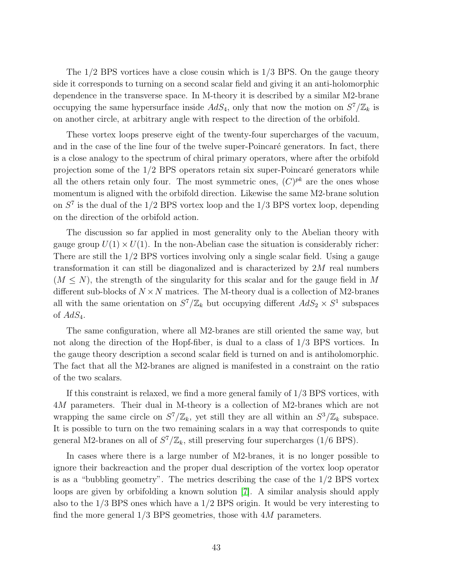The  $1/2$  BPS vortices have a close cousin which is  $1/3$  BPS. On the gauge theory side it corresponds to turning on a second scalar field and giving it an anti-holomorphic dependence in the transverse space. In M-theory it is described by a similar M2-brane occupying the same hypersurface inside  $AdS_4$ , only that now the motion on  $S^7/\mathbb{Z}_k$  is on another circle, at arbitrary angle with respect to the direction of the orbifold.

These vortex loops preserve eight of the twenty-four supercharges of the vacuum, and in the case of the line four of the twelve super-Poincaré generators. In fact, there is a close analogy to the spectrum of chiral primary operators, where after the orbifold projection some of the  $1/2$  BPS operators retain six super-Poincaré generators while all the others retain only four. The most symmetric ones,  $(C)^{pk}$  are the ones whose momentum is aligned with the orbifold direction. Likewise the same M2-brane solution on  $S<sup>7</sup>$  is the dual of the 1/2 BPS vortex loop and the 1/3 BPS vortex loop, depending on the direction of the orbifold action.

The discussion so far applied in most generality only to the Abelian theory with gauge group  $U(1) \times U(1)$ . In the non-Abelian case the situation is considerably richer: There are still the 1/2 BPS vortices involving only a single scalar field. Using a gauge transformation it can still be diagonalized and is characterized by 2M real numbers  $(M \leq N)$ , the strength of the singularity for this scalar and for the gauge field in M different sub-blocks of  $N \times N$  matrices. The M-theory dual is a collection of M2-branes all with the same orientation on  $S^7/\mathbb{Z}_k$  but occupying different  $AdS_2 \times S^1$  subspaces of  $AdS_4$ .

The same configuration, where all M2-branes are still oriented the same way, but not along the direction of the Hopf-fiber, is dual to a class of 1/3 BPS vortices. In the gauge theory description a second scalar field is turned on and is antiholomorphic. The fact that all the M2-branes are aligned is manifested in a constraint on the ratio of the two scalars.

If this constraint is relaxed, we find a more general family of 1/3 BPS vortices, with 4M parameters. Their dual in M-theory is a collection of M2-branes which are not wrapping the same circle on  $S^7/\mathbb{Z}_k$ , yet still they are all within an  $S^3/\mathbb{Z}_k$  subspace. It is possible to turn on the two remaining scalars in a way that corresponds to quite general M2-branes on all of  $S^7/\mathbb{Z}_k$ , still preserving four supercharges (1/6 BPS).

In cases where there is a large number of M2-branes, it is no longer possible to ignore their backreaction and the proper dual description of the vortex loop operator is as a "bubbling geometry". The metrics describing the case of the 1/2 BPS vortex loops are given by orbifolding a known solution [\[7\]](#page-61-0). A similar analysis should apply also to the 1/3 BPS ones which have a 1/2 BPS origin. It would be very interesting to find the more general 1/3 BPS geometries, those with 4M parameters.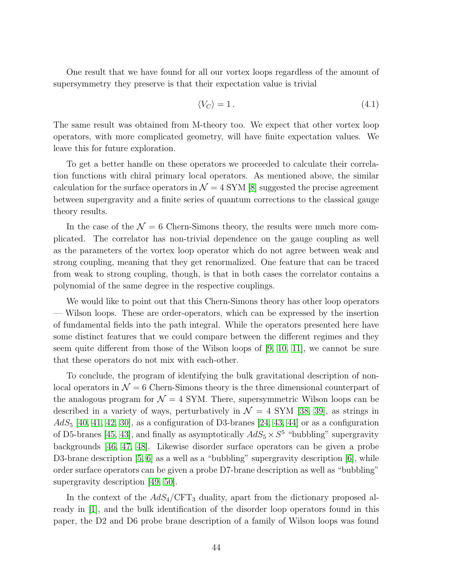One result that we have found for all our vortex loops regardless of the amount of supersymmetry they preserve is that their expectation value is trivial

$$
\langle V_C \rangle = 1. \tag{4.1}
$$

The same result was obtained from M-theory too. We expect that other vortex loop operators, with more complicated geometry, will have finite expectation values. We leave this for future exploration.

To get a better handle on these operators we proceeded to calculate their correlation functions with chiral primary local operators. As mentioned above, the similar calculation for the surface operators in  $\mathcal{N} = 4$  SYM [\[8\]](#page-61-1) suggested the precise agreement between supergravity and a finite series of quantum corrections to the classical gauge theory results.

In the case of the  $\mathcal{N} = 6$  Chern-Simons theory, the results were much more complicated. The correlator has non-trivial dependence on the gauge coupling as well as the parameters of the vortex loop operator which do not agree between weak and strong coupling, meaning that they get renormalized. One feature that can be traced from weak to strong coupling, though, is that in both cases the correlator contains a polynomial of the same degree in the respective couplings.

We would like to point out that this Chern-Simons theory has other loop operators — Wilson loops. These are order-operators, which can be expressed by the insertion of fundamental fields into the path integral. While the operators presented here have some distinct features that we could compare between the different regimes and they seem quite different from those of the Wilson loops of [\[9,](#page-61-2) [10,](#page-61-3) [11\]](#page-61-4), we cannot be sure that these operators do not mix with each-other.

To conclude, the program of identifying the bulk gravitational description of nonlocal operators in  $\mathcal{N} = 6$  Chern-Simons theory is the three dimensional counterpart of the analogous program for  $\mathcal{N} = 4$  SYM. There, supersymmetric Wilson loops can be described in a variety of ways, perturbatively in  $\mathcal{N} = 4$  SYM [\[38,](#page-62-13) [39\]](#page-62-14), as strings in  $AdS_5$  [\[40,](#page-62-15) [41,](#page-62-16) [42,](#page-63-0) [30\]](#page-62-5), as a configuration of D3-branes [\[24,](#page-61-17) [43,](#page-63-1) [44\]](#page-63-2) or as a configuration of D5-branes [\[45,](#page-63-3) [43\]](#page-63-1), and finally as asymptotically  $AdS_5 \times S^5$  "bubbling" supergravity backgrounds [\[46,](#page-63-4) [47,](#page-63-5) [48\]](#page-63-6). Likewise disorder surface operators can be given a probe D3-brane description [\[5,](#page-60-4) [6\]](#page-60-5) as a well as a "bubbling" supergravity description [\[6\]](#page-60-5), while order surface operators can be given a probe D7-brane description as well as "bubbling" supergravity description [\[49,](#page-63-7) [50\]](#page-63-8).

In the context of the  $AdS_4/\text{CFT}_3$  duality, apart from the dictionary proposed already in [\[1\]](#page-60-0), and the bulk identification of the disorder loop operators found in this paper, the D2 and D6 probe brane description of a family of Wilson loops was found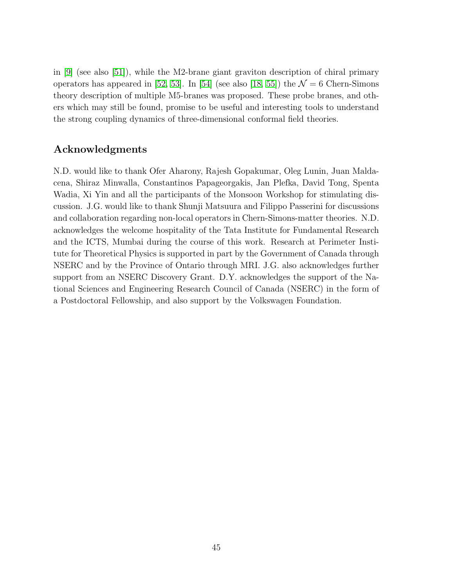in [\[9\]](#page-61-2) (see also [\[51\]](#page-63-9)), while the M2-brane giant graviton description of chiral primary operators has appeared in [\[52,](#page-63-10) [53\]](#page-63-11). In [\[54\]](#page-63-12) (see also [\[18,](#page-61-11) [55\]](#page-63-13)) the  $\mathcal{N}=6$  Chern-Simons theory description of multiple M5-branes was proposed. These probe branes, and others which may still be found, promise to be useful and interesting tools to understand the strong coupling dynamics of three-dimensional conformal field theories.

## Acknowledgments

N.D. would like to thank Ofer Aharony, Rajesh Gopakumar, Oleg Lunin, Juan Maldacena, Shiraz Minwalla, Constantinos Papageorgakis, Jan Plefka, David Tong, Spenta Wadia, Xi Yin and all the participants of the Monsoon Workshop for stimulating discussion. J.G. would like to thank Shunji Matsuura and Filippo Passerini for discussions and collaboration regarding non-local operators in Chern-Simons-matter theories. N.D. acknowledges the welcome hospitality of the Tata Institute for Fundamental Research and the ICTS, Mumbai during the course of this work. Research at Perimeter Institute for Theoretical Physics is supported in part by the Government of Canada through NSERC and by the Province of Ontario through MRI. J.G. also acknowledges further support from an NSERC Discovery Grant. D.Y. acknowledges the support of the National Sciences and Engineering Research Council of Canada (NSERC) in the form of a Postdoctoral Fellowship, and also support by the Volkswagen Foundation.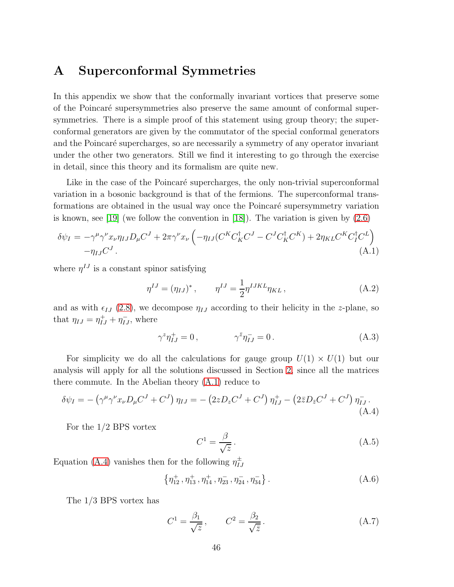# <span id="page-46-0"></span>A Superconformal Symmetries

In this appendix we show that the conformally invariant vortices that preserve some of the Poincar´e supersymmetries also preserve the same amount of conformal supersymmetries. There is a simple proof of this statement using group theory; the superconformal generators are given by the commutator of the special conformal generators and the Poincaré supercharges, so are necessarily a symmetry of any operator invariant under the other two generators. Still we find it interesting to go through the exercise in detail, since this theory and its formalism are quite new.

Like in the case of the Poincaré supercharges, the only non-trivial superconformal variation in a bosonic background is that of the fermions. The superconformal transformations are obtained in the usual way once the Poincaré supersymmetry variation is known, see [\[19\]](#page-61-12) (we follow the convention in [\[18\]](#page-61-11)). The variation is given by  $(2.6)$ 

<span id="page-46-1"></span>
$$
\delta\psi_{I} = -\gamma^{\mu}\gamma^{\nu}x_{\nu}\eta_{IJ}D_{\mu}C^{J} + 2\pi\gamma^{\nu}x_{\nu}\left(-\eta_{IJ}(C^{K}C_{K}^{\dagger}C^{J} - C^{J}C_{K}^{\dagger}C^{K}) + 2\eta_{KL}C^{K}C_{I}^{\dagger}C^{L}\right) - \eta_{IJ}C^{J}.
$$
\n(A.1)

where  $\eta^{IJ}$  is a constant spinor satisfying

$$
\eta^{IJ} = (\eta_{IJ})^*, \qquad \eta^{IJ} = \frac{1}{2} \eta^{IJKL} \eta_{KL}, \qquad (A.2)
$$

and as with  $\epsilon_{IJ}$  [\(2.8\)](#page-6-4), we decompose  $\eta_{IJ}$  according to their helicity in the z-plane, so that  $\eta_{IJ} = \eta_{IJ}^+ + \eta_{IJ}^-$ , where

$$
\gamma^z \eta_{IJ}^+ = 0, \qquad \qquad \gamma^{\bar{z}} \eta_{IJ}^- = 0. \qquad (A.3)
$$

For simplicity we do all the calculations for gauge group  $U(1) \times U(1)$  but our analysis will apply for all the solutions discussed in Section [2,](#page-4-0) since all the matrices there commute. In the Abelian theory [\(A.1\)](#page-46-1) reduce to

<span id="page-46-2"></span>
$$
\delta \psi_I = -\left(\gamma^{\mu} \gamma^{\nu} x_{\nu} D_{\mu} C^{J} + C^{J}\right) \eta_{IJ} = -\left(2z D_z C^{J} + C^{J}\right) \eta_{IJ}^{+} - \left(2\bar{z} D_{\bar{z}} C^{J} + C^{J}\right) \eta_{IJ}^{-}.
$$
\n(A.4)

For the 1/2 BPS vortex

$$
C^1 = \frac{\beta}{\sqrt{z}}.\tag{A.5}
$$

Equation [\(A.4\)](#page-46-2) vanishes then for the following  $\eta_L^{\pm}$ IJ

$$
\{\eta_{12}^+, \eta_{13}^+, \eta_{14}^+, \eta_{23}^-, \eta_{24}^-, \eta_{34}^-\}.
$$
 (A.6)

The 1/3 BPS vortex has

$$
C^1 = \frac{\beta_1}{\sqrt{z}}, \qquad C^2 = \frac{\beta_2}{\sqrt{\bar{z}}}.
$$
\n(A.7)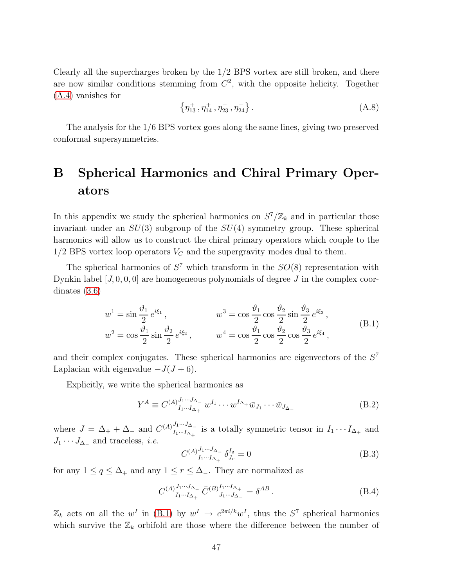Clearly all the supercharges broken by the 1/2 BPS vortex are still broken, and there are now similar conditions stemming from  $C<sup>2</sup>$ , with the opposite helicity. Together [\(A.4\)](#page-46-2) vanishes for

$$
\{\eta_{13}^+, \eta_{14}^+, \eta_{23}^-, \eta_{24}^-\} \,. \tag{A.8}
$$

The analysis for the 1/6 BPS vortex goes along the same lines, giving two preserved conformal supersymmetries.

# <span id="page-47-0"></span>B Spherical Harmonics and Chiral Primary Operators

In this appendix we study the spherical harmonics on  $S^7/\mathbb{Z}_k$  and in particular those invariant under an  $SU(3)$  subgroup of the  $SU(4)$  symmetry group. These spherical harmonics will allow us to construct the chiral primary operators which couple to the  $1/2$  BPS vortex loop operators  $V_C$  and the supergravity modes dual to them.

The spherical harmonics of  $S^7$  which transform in the  $SO(8)$  representation with Dynkin label  $[J, 0, 0, 0]$  are homogeneous polynomials of degree  $J$  in the complex coordinates [\(3.6\)](#page-26-0)

<span id="page-47-2"></span>
$$
w^{1} = \sin \frac{\vartheta_{1}}{2} e^{i\xi_{1}}, \qquad w^{3} = \cos \frac{\vartheta_{1}}{2} \cos \frac{\vartheta_{2}}{2} \sin \frac{\vartheta_{3}}{2} e^{i\xi_{3}},
$$
  

$$
w^{2} = \cos \frac{\vartheta_{1}}{2} \sin \frac{\vartheta_{2}}{2} e^{i\xi_{2}}, \qquad w^{4} = \cos \frac{\vartheta_{1}}{2} \cos \frac{\vartheta_{2}}{2} \cos \frac{\vartheta_{3}}{2} e^{i\xi_{4}},
$$
(B.1)

and their complex conjugates. These spherical harmonics are eigenvectors of the  $S<sup>7</sup>$ Laplacian with eigenvalue  $-J(J+6)$ .

Explicitly, we write the spherical harmonics as

<span id="page-47-1"></span>
$$
Y^{A} \equiv C^{(A)}^{J_{1}...J_{\Delta_{-}}}_{I_{1}...I_{\Delta_{+}}} w^{I_{1}} \cdots w^{I_{\Delta_{+}}}\bar{w}_{J_{1}} \cdots \bar{w}_{J_{\Delta_{-}}}
$$
(B.2)

where  $J = \Delta_+ + \Delta_-$  and  $C^{(A)}_{I_1 \cdots I_{\Delta_-}}^{J_1 \cdots J_{\Delta_-}}$  $I_1 \cdots I_{\Delta_+}$  is a totally symmetric tensor in  $I_1 \cdots I_{\Delta_+}$  and  $J_1 \cdots J_{\Delta_-}$  and traceless, *i.e.* 

$$
C^{(A)}{}_{I_1\cdots I_{\Delta_+}}^{J_1\cdots J_{\Delta_-}} \delta_{J_r}^{I_q} = 0
$$
\n(B.3)

for any  $1 \le q \le \Delta_+$  and any  $1 \le r \le \Delta_-$ . They are normalized as

<span id="page-47-3"></span>
$$
C^{(A)}{}_{I_1\cdots I_{\Delta_+}}^{J_1\cdots J_{\Delta_-}} \bar{C}^{(B)}{}_{J_1\cdots J_{\Delta_-}}^{I_1\cdots I_{\Delta_+}} = \delta^{AB}.
$$
 (B.4)

 $\mathbb{Z}_k$  acts on all the  $w^I$  in [\(B.1\)](#page-47-2) by  $w^I \to e^{2\pi i/k} w^I$ , thus the  $S^7$  spherical harmonics which survive the  $\mathbb{Z}_k$  orbifold are those where the difference between the number of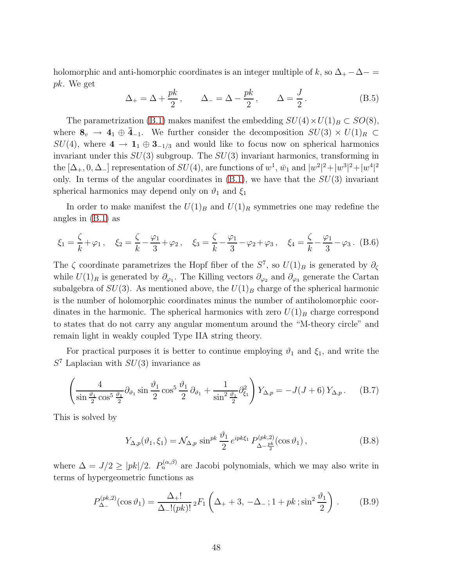holomorphic and anti-homorphic coordinates is an integer multiple of k, so  $\Delta_+ - \Delta_- =$ pk. We get

$$
\Delta_{+} = \Delta + \frac{pk}{2}, \qquad \Delta_{-} = \Delta - \frac{pk}{2}, \qquad \Delta = \frac{J}{2}.
$$
 (B.5)

The parametrization [\(B.1\)](#page-47-2) makes manifest the embedding  $SU(4) \times U(1)_B \subset SO(8)$ , where  $\mathbf{8}_v \to \mathbf{4}_1 \oplus \mathbf{4}_{-1}$ . We further consider the decomposition  $SU(3) \times U(1)_R \subset$  $SU(4)$ , where  $4 \rightarrow 1_1 \oplus 3_{-1/3}$  and would like to focus now on spherical harmonics invariant under this  $SU(3)$  subgroup. The  $SU(3)$  invariant harmonics, transforming in the  $[\Delta_+, 0, \Delta_-]$  representation of  $SU(4)$ , are functions of  $w^1$ ,  $\bar{w}_1$  and  $|w^2|^2 + |w^3|^2 + |w^4|^2$ only. In terms of the angular coordinates in  $(B.1)$ , we have that the  $SU(3)$  invariant spherical harmonics may depend only on  $\vartheta_1$  and  $\xi_1$ 

In order to make manifest the  $U(1)_B$  and  $U(1)_R$  symmetries one may redefine the angles in [\(B.1\)](#page-47-2) as

$$
\xi_1 = \frac{\zeta}{k} + \varphi_1, \quad \xi_2 = \frac{\zeta}{k} - \frac{\varphi_1}{3} + \varphi_2, \quad \xi_3 = \frac{\zeta}{k} - \frac{\varphi_1}{3} - \varphi_2 + \varphi_3, \quad \xi_4 = \frac{\zeta}{k} - \frac{\varphi_1}{3} - \varphi_3. \quad (B.6)
$$

The  $\zeta$  coordinate parametrizes the Hopf fiber of the  $S^7$ , so  $U(1)_B$  is generated by  $\partial_{\zeta}$ while  $U(1)_R$  is generated by  $\partial_{\varphi_1}$ . The Killing vectors  $\partial_{\varphi_2}$  and  $\partial_{\varphi_3}$  generate the Cartan subalgebra of  $SU(3)$ . As mentioned above, the  $U(1)_B$  charge of the spherical harmonic is the number of holomorphic coordinates minus the number of antiholomorphic coordinates in the harmonic. The spherical harmonics with zero  $U(1)_B$  charge correspond to states that do not carry any angular momentum around the "M-theory circle" and remain light in weakly coupled Type IIA string theory.

For practical purposes it is better to continue employing  $\vartheta_1$  and  $\xi_1$ , and write the  $S<sup>7</sup>$  Laplacian with  $SU(3)$  invariance as

<span id="page-48-1"></span>
$$
\left(\frac{4}{\sin\frac{\vartheta_1}{2}\cos^5\frac{\vartheta_1}{2}}\partial_{\vartheta_1}\sin\frac{\vartheta_1}{2}\cos^5\frac{\vartheta_1}{2}\partial_{\vartheta_1}+\frac{1}{\sin^2\frac{\vartheta_1}{2}}\partial_{\xi_1}^2\right)Y_{\Delta,p}=-J(J+6)Y_{\Delta,p}.\tag{B.7}
$$

This is solved by

<span id="page-48-0"></span>
$$
Y_{\Delta,p}(\vartheta_1,\xi_1) = \mathcal{N}_{\Delta,p} \sin^{pk} \frac{\vartheta_1}{2} e^{ipk\xi_1} P_{\Delta - \frac{pk}{2}}^{(pk,2)}(\cos \vartheta_1), \tag{B.8}
$$

where  $\Delta = J/2 \ge |pk|/2$ .  $P_n^{(\alpha,\beta)}$  are Jacobi polynomials, which we may also write in terms of hypergeometric functions as

$$
P_{\Delta_{-}}^{(pk,2)}(\cos\vartheta_{1}) = \frac{\Delta_{+}!}{\Delta_{-}!(pk)!} {}_{2}F_{1}\left(\Delta_{+}+3,-\Delta_{-};1+pk;\sin^{2}\frac{\vartheta_{1}}{2}\right). \tag{B.9}
$$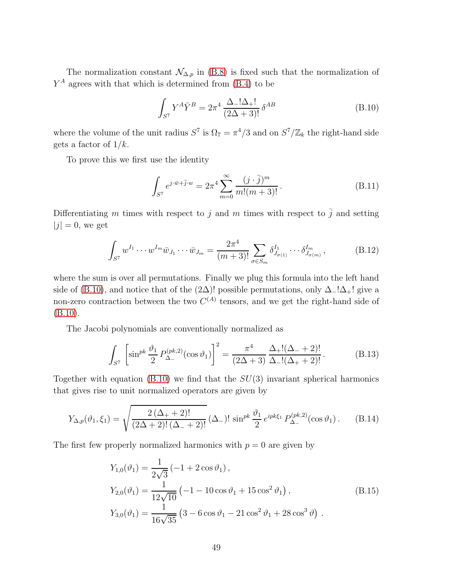The normalization constant  $\mathcal{N}_{\Delta,p}$  in [\(B.8\)](#page-48-0) is fixed such that the normalization of  $Y^A$  agrees with that which is determined from  $(B.4)$  to be

<span id="page-49-1"></span>
$$
\int_{S^7} Y^A \bar{Y}^B = 2\pi^4 \frac{\Delta_-! \Delta_+!}{(2\Delta + 3)!} \delta^{AB}
$$
\n(B.10)

where the volume of the unit radius  $S^7$  is  $\Omega_7 = \pi^4/3$  and on  $S^7/\mathbb{Z}_k$  the right-hand side gets a factor of  $1/k$ .

To prove this we first use the identity

$$
\int_{S^7} e^{j \cdot \bar{w} + \bar{j} \cdot w} = 2\pi^4 \sum_{m=0}^{\infty} \frac{(j \cdot \bar{j})^m}{m!(m+3)!}.
$$
\n(B.11)

Differentiating m times with respect to j and m times with respect to  $\bar{j}$  and setting  $|j| = 0$ , we get

$$
\int_{S^7} w^{I_1} \cdots w^{I_m} \bar{w}_{J_1} \cdots \bar{w}_{J_m} = \frac{2\pi^4}{(m+3)!} \sum_{\sigma \in S_m} \delta_{J_{\sigma(1)}}^{I_1} \cdots \delta_{J_{\sigma(m)}}^{I_m}, \qquad (B.12)
$$

where the sum is over all permutations. Finally we plug this formula into the left hand side of [\(B.10\)](#page-49-1), and notice that of the  $(2\Delta)!$  possible permutations, only  $\Delta_-\Delta_+!$  give a non-zero contraction between the two  $C^{(A)}$  tensors, and we get the right-hand side of [\(B.10\)](#page-49-1).

The Jacobi polynomials are conventionally normalized as

$$
\int_{S^7} \left[ \sin^{pk} \frac{\vartheta_1}{2} P_{\Delta_-}^{(pk,2)}(\cos \vartheta_1) \right]^2 = \frac{\pi^4}{(2\Delta + 3)} \frac{\Delta_+!(\Delta_- + 2)!}{\Delta_-!(\Delta_+ + 2)!}.
$$
 (B.13)

Together with equation  $(B.10)$  we find that the  $SU(3)$  invariant spherical harmonics that gives rise to unit normalized operators are given by

<span id="page-49-0"></span>
$$
Y_{\Delta,p}(\vartheta_1,\xi_1) = \sqrt{\frac{2\left(\Delta_+ + 2\right)!}{\left(2\Delta + 2\right)!\left(\Delta_- + 2\right)!}} \left(\Delta_-\right)! \sin^{pk} \frac{\vartheta_1}{2} e^{ipk\xi_1} P_{\Delta_-}^{(pk,2)}(\cos \vartheta_1). \tag{B.14}
$$

The first few properly normalized harmonics with  $p = 0$  are given by

<span id="page-49-2"></span>
$$
Y_{1,0}(\vartheta_1) = \frac{1}{2\sqrt{3}} \left( -1 + 2 \cos \vartheta_1 \right),
$$
  
\n
$$
Y_{2,0}(\vartheta_1) = \frac{1}{12\sqrt{10}} \left( -1 - 10 \cos \vartheta_1 + 15 \cos^2 \vartheta_1 \right),
$$
  
\n
$$
Y_{3,0}(\vartheta_1) = \frac{1}{16\sqrt{35}} \left( 3 - 6 \cos \vartheta_1 - 21 \cos^2 \vartheta_1 + 28 \cos^3 \vartheta \right).
$$
\n(B.15)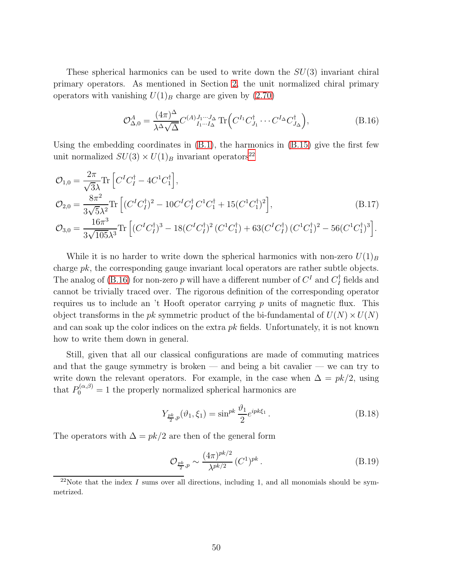These spherical harmonics can be used to write down the  $SU(3)$  invariant chiral primary operators. As mentioned in Section [2,](#page-4-0) the unit normalized chiral primary operators with vanishing  $U(1)_B$  charge are given by [\(2.70\)](#page-22-3)

<span id="page-50-2"></span><span id="page-50-0"></span>
$$
\mathcal{O}^A_{\Delta,0} = \frac{(4\pi)^{\Delta}}{\lambda^{\Delta}\sqrt{\Delta}} C^{(A)}{}^{J_1\cdots J_{\Delta}}_{I_1\cdots I_{\Delta}} \operatorname{Tr}\left( C^{I_1} C^{\dagger}_{J_1} \cdots C^{I_{\Delta}} C^{\dagger}_{J_{\Delta}} \right),\tag{B.16}
$$

Using the embedding coordinates in  $(B.1)$ , the harmonics in  $(B.15)$  give the first few unit normalized  $SU(3) \times U(1)_B$  invariant operators<sup>[22](#page-50-1)</sup>

$$
\mathcal{O}_{1,0} = \frac{2\pi}{\sqrt{3}\lambda} \text{Tr} \left[ C^I C_I^\dagger - 4C^1 C_1^\dagger \right],
$$
  
\n
$$
\mathcal{O}_{2,0} = \frac{8\pi^2}{3\sqrt{5}\lambda^2} \text{Tr} \left[ (C^I C_I^\dagger)^2 - 10C^I C_I^\dagger C^1 C_1^\dagger + 15(C^1 C_1^\dagger)^2 \right],
$$
\n
$$
\mathcal{O}_{3,0} = \frac{16\pi^3}{3\sqrt{105}\lambda^3} \text{Tr} \left[ (C^I C_I^\dagger)^3 - 18(C^I C_I^\dagger)^2 (C^1 C_1^\dagger) + 63(C^I C_I^\dagger) (C^1 C_1^\dagger)^2 - 56(C^1 C_1^\dagger)^3 \right].
$$
\n(B.17)

While it is no harder to write down the spherical harmonics with non-zero  $U(1)_B$ charge  $pk$ , the corresponding gauge invariant local operators are rather subtle objects. The analog of [\(B.16\)](#page-50-2) for non-zero p will have a different number of  $C<sup>I</sup>$  and  $C<sup>\dagger</sup>$  fields and cannot be trivially traced over. The rigorous definition of the corresponding operator requires us to include an 't Hooft operator carrying  $p$  units of magnetic flux. This object transforms in the pk symmetric product of the bi-fundamental of  $U(N) \times U(N)$ and can soak up the color indices on the extra  $pk$  fields. Unfortunately, it is not known how to write them down in general.

Still, given that all our classical configurations are made of commuting matrices and that the gauge symmetry is broken — and being a bit cavalier — we can try to write down the relevant operators. For example, in the case when  $\Delta = pk/2$ , using that  $P_0^{(\alpha,\beta)} = 1$  the properly normalized spherical harmonics are

$$
Y_{\frac{pk}{2},p}(\vartheta_1,\xi_1) = \sin^{pk} \frac{\vartheta_1}{2} e^{ipk\xi_1}.
$$
 (B.18)

The operators with  $\Delta = pk/2$  are then of the general form

$$
\mathcal{O}_{\frac{pk}{2},p} \sim \frac{(4\pi)^{pk/2}}{\lambda^{pk/2}} \left( C^1 \right)^{pk} . \tag{B.19}
$$

<span id="page-50-1"></span><sup>&</sup>lt;sup>22</sup>Note that the index I sums over all directions, including 1, and all monomials should be symmetrized.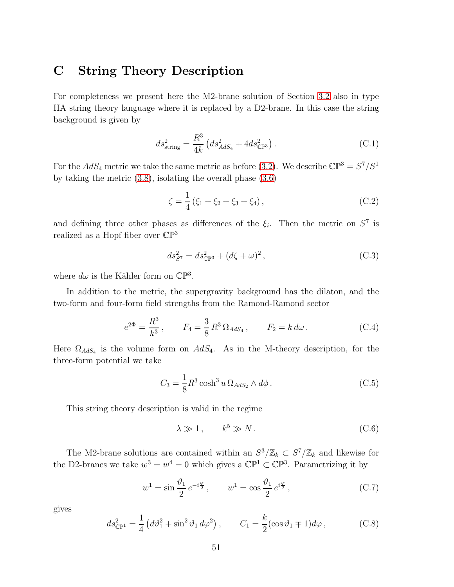# <span id="page-51-0"></span>C String Theory Description

For completeness we present here the M2-brane solution of Section [3.2](#page-27-0) also in type IIA string theory language where it is replaced by a D2-brane. In this case the string background is given by

$$
ds_{\text{string}}^2 = \frac{R^3}{4k} \left( ds_{AdS_4}^2 + 4ds_{\mathbb{CP}^3}^2 \right). \tag{C.1}
$$

For the  $AdS_4$  metric we take the same metric as before [\(3.2\)](#page-26-2). We describe  $\mathbb{CP}^3 = S^7/S^1$ by taking the metric [\(3.8\)](#page-27-1), isolating the overall phase [\(3.6\)](#page-26-0)

$$
\zeta = \frac{1}{4} \left( \xi_1 + \xi_2 + \xi_3 + \xi_4 \right), \tag{C.2}
$$

and defining three other phases as differences of the  $\xi_i$ . Then the metric on  $S^7$  is realized as a Hopf fiber over  $\mathbb{CP}^3$ 

$$
ds_{S^7}^2 = ds_{\mathbb{CP}^3}^2 + (d\zeta + \omega)^2, \tag{C.3}
$$

where  $d\omega$  is the Kähler form on  $\mathbb{CP}^3$ .

In addition to the metric, the supergravity background has the dilaton, and the two-form and four-form field strengths from the Ramond-Ramond sector

$$
e^{2\Phi} = \frac{R^3}{k^3}, \qquad F_4 = \frac{3}{8} R^3 \Omega_{AdS_4}, \qquad F_2 = k \, d\omega \,. \tag{C.4}
$$

Here  $\Omega_{AdS_4}$  is the volume form on  $AdS_4$ . As in the M-theory description, for the three-form potential we take

$$
C_3 = \frac{1}{8}R^3 \cosh^3 u \Omega_{AdS_2} \wedge d\phi. \tag{C.5}
$$

This string theory description is valid in the regime

$$
\lambda \gg 1, \qquad k^5 \gg N. \tag{C.6}
$$

The M2-brane solutions are contained within an  $S^3/\mathbb{Z}_k \subset S^7/\mathbb{Z}_k$  and likewise for the D2-branes we take  $w^3 = w^4 = 0$  which gives a  $\mathbb{CP}^1 \subset \mathbb{CP}^3$ . Parametrizing it by

$$
w^{1} = \sin \frac{\vartheta_{1}}{2} e^{-i\frac{\varphi}{2}}, \qquad w^{1} = \cos \frac{\vartheta_{1}}{2} e^{i\frac{\varphi}{2}}, \qquad (C.7)
$$

gives

<span id="page-51-1"></span>
$$
ds_{\mathbb{CP}^1}^2 = \frac{1}{4} \left( d\vartheta_1^2 + \sin^2 \vartheta_1 \, d\varphi^2 \right), \qquad C_1 = \frac{k}{2} (\cos \vartheta_1 \mp 1) d\varphi, \tag{C.8}
$$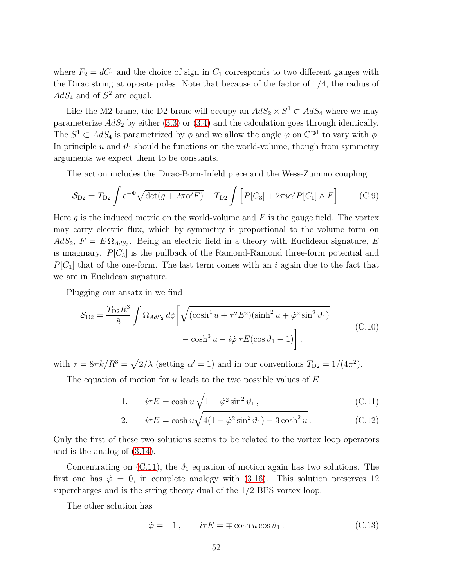where  $F_2 = dC_1$  and the choice of sign in  $C_1$  corresponds to two different gauges with the Dirac string at oposite poles. Note that because of the factor of 1/4, the radius of  $AdS_4$  and of  $S^2$  are equal.

Like the M2-brane, the D2-brane will occupy an  $AdS_2 \times S^1 \subset AdS_4$  where we may parameterize  $AdS_2$  by either [\(3.3\)](#page-26-3) or [\(3.4\)](#page-26-4) and the calculation goes through identically. The  $S^1 \subset AdS_4$  is parametrized by  $\phi$  and we allow the angle  $\varphi$  on  $\mathbb{CP}^1$  to vary with  $\phi$ . In principle u and  $\vartheta_1$  should be functions on the world-volume, though from symmetry arguments we expect them to be constants.

The action includes the Dirac-Born-Infeld piece and the Wess-Zumino coupling

$$
S_{\text{D2}} = T_{\text{D2}} \int e^{-\Phi} \sqrt{\det(g + 2\pi \alpha' F)} - T_{\text{D2}} \int \left[ P[C_3] + 2\pi i \alpha' P[C_1] \wedge F \right]. \tag{C.9}
$$

Here g is the induced metric on the world-volume and  $F$  is the gauge field. The vortex may carry electric flux, which by symmetry is proportional to the volume form on  $AdS_2$ ,  $F = E \Omega_{AdS_2}$ . Being an electric field in a theory with Euclidean signature, E is imaginary.  $P[C_3]$  is the pullback of the Ramond-Ramond three-form potential and  $P[C_1]$  that of the one-form. The last term comes with an i again due to the fact that we are in Euclidean signature.

Plugging our ansatz in we find

$$
S_{D2} = \frac{T_{D2}R^3}{8} \int \Omega_{AdS_2} d\phi \left[ \sqrt{(\cosh^4 u + \tau^2 E^2)(\sinh^2 u + \dot{\varphi}^2 \sin^2 \theta_1)} - \cosh^3 u - i\dot{\varphi} \tau E(\cos \theta_1 - 1) \right],
$$
 (C.10)

with  $\tau = 8\pi k/R^3 = \sqrt{2/\lambda}$  (setting  $\alpha' = 1$ ) and in our conventions  $T_{D2} = 1/(4\pi^2)$ .

The equation of motion for u leads to the two possible values of  $E$ 

<span id="page-52-0"></span>1. 
$$
i\tau E = \cosh u \sqrt{1 - \dot{\varphi}^2 \sin^2 \theta_1},
$$
 (C.11)

2. 
$$
i\tau E = \cosh u \sqrt{4(1 - \dot{\varphi}^2 \sin^2 \theta_1) - 3\cosh^2 u}
$$
. (C.12)

Only the first of these two solutions seems to be related to the vortex loop operators and is the analog of [\(3.14\)](#page-29-0).

Concentrating on [\(C.11\)](#page-52-0), the  $\vartheta_1$  equation of motion again has two solutions. The first one has  $\dot{\varphi} = 0$ , in complete analogy with [\(3.16\)](#page-29-1). This solution preserves 12 supercharges and is the string theory dual of the 1/2 BPS vortex loop.

The other solution has

$$
\dot{\varphi} = \pm 1, \qquad i\tau E = \mp \cosh u \cos \vartheta_1. \tag{C.13}
$$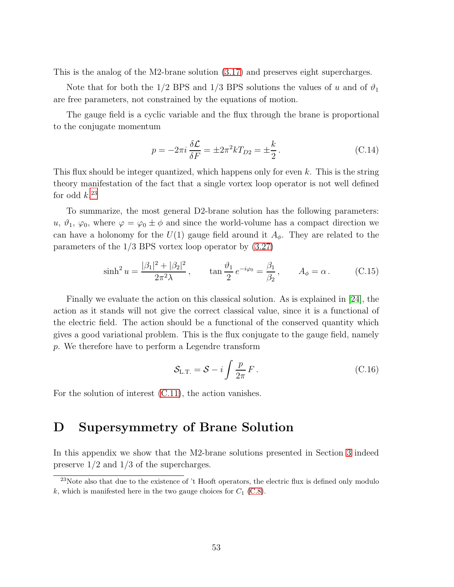This is the analog of the M2-brane solution [\(3.17\)](#page-29-3) and preserves eight supercharges.

Note that for both the 1/2 BPS and 1/3 BPS solutions the values of u and of  $\vartheta_1$ are free parameters, not constrained by the equations of motion.

The gauge field is a cyclic variable and the flux through the brane is proportional to the conjugate momentum

$$
p = -2\pi i \frac{\delta \mathcal{L}}{\delta F} = \pm 2\pi^2 k T_{D2} = \pm \frac{k}{2}.
$$
 (C.14)

This flux should be integer quantized, which happens only for even k. This is the string theory manifestation of the fact that a single vortex loop operator is not well defined for odd  $k^{23}$  $k^{23}$  $k^{23}$ 

To summarize, the most general D2-brane solution has the following parameters: u,  $\vartheta_1$ ,  $\varphi_0$ , where  $\varphi = \varphi_0 \pm \varphi$  and since the world-volume has a compact direction we can have a holonomy for the  $U(1)$  gauge field around it  $A_{\phi}$ . They are related to the parameters of the 1/3 BPS vortex loop operator by [\(3.27\)](#page-32-0)

$$
\sinh^2 u = \frac{|\beta_1|^2 + |\beta_2|^2}{2\pi^2 \lambda}, \qquad \tan\frac{\vartheta_1}{2} e^{-i\varphi_0} = \frac{\beta_1}{\beta_2}, \qquad A_\phi = \alpha. \tag{C.15}
$$

Finally we evaluate the action on this classical solution. As is explained in [\[24\]](#page-61-17), the action as it stands will not give the correct classical value, since it is a functional of the electric field. The action should be a functional of the conserved quantity which gives a good variational problem. This is the flux conjugate to the gauge field, namely p. We therefore have to perform a Legendre transform

$$
\mathcal{S}_{\text{L.T.}} = \mathcal{S} - i \int \frac{p}{2\pi} F \,. \tag{C.16}
$$

<span id="page-53-0"></span>For the solution of interest [\(C.11\)](#page-52-0), the action vanishes.

## D Supersymmetry of Brane Solution

In this appendix we show that the M2-brane solutions presented in Section [3](#page-25-0) indeed preserve 1/2 and 1/3 of the supercharges.

<span id="page-53-1"></span><sup>&</sup>lt;sup>23</sup>Note also that due to the existence of 't Hooft operators, the electric flux is defined only modulo k, which is manifested here in the two gauge choices for  $C_1$  [\(C.8\)](#page-51-1).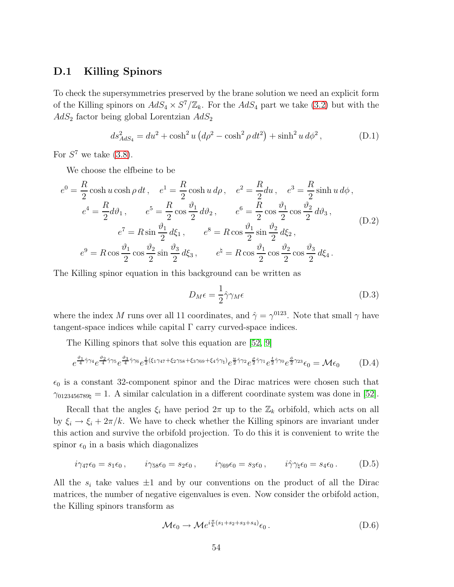## <span id="page-54-0"></span>D.1 Killing Spinors

To check the supersymmetries preserved by the brane solution we need an explicit form of the Killing spinors on  $AdS_4 \times S^7/\mathbb{Z}_k$ . For the  $AdS_4$  part we take [\(3.2\)](#page-26-2) but with the  $AdS_2$  factor being global Lorentzian  $AdS_2$ 

$$
ds_{AdS_4}^2 = du^2 + \cosh^2 u \left( d\rho^2 - \cosh^2 \rho \, dt^2 \right) + \sinh^2 u \, d\phi^2 \,, \tag{D.1}
$$

For  $S^7$  we take  $(3.8)$ .

We choose the elfbeine to be

$$
e^{0} = \frac{R}{2} \cosh u \cosh \rho \, dt, \quad e^{1} = \frac{R}{2} \cosh u \, d\rho, \quad e^{2} = \frac{R}{2} du, \quad e^{3} = \frac{R}{2} \sinh u \, d\phi,
$$
  
\n
$$
e^{4} = \frac{R}{2} d\vartheta_{1}, \quad e^{5} = \frac{R}{2} \cos \frac{\vartheta_{1}}{2} d\vartheta_{2}, \quad e^{6} = \frac{R}{2} \cos \frac{\vartheta_{1}}{2} \cos \frac{\vartheta_{2}}{2} d\vartheta_{3},
$$
  
\n
$$
e^{7} = R \sin \frac{\vartheta_{1}}{2} d\xi_{1}, \quad e^{8} = R \cos \frac{\vartheta_{1}}{2} \sin \frac{\vartheta_{2}}{2} d\xi_{2},
$$
  
\n
$$
e^{9} = R \cos \frac{\vartheta_{1}}{2} \cos \frac{\vartheta_{2}}{2} \sin \frac{\vartheta_{3}}{2} d\xi_{3}, \quad e^{\natural} = R \cos \frac{\vartheta_{1}}{2} \cos \frac{\vartheta_{2}}{2} \cos \frac{\vartheta_{3}}{2} d\xi_{4}.
$$
  
\n(D.2)

The Killing spinor equation in this background can be written as

$$
D_M \epsilon = \frac{1}{2} \hat{\gamma} \gamma_M \epsilon \tag{D.3}
$$

where the index M runs over all 11 coordinates, and  $\hat{\gamma} = \gamma^{0123}$ . Note that small  $\gamma$  have tangent-space indices while capital  $\Gamma$  carry curved-space indices.

The Killing spinors that solve this equation are [\[52,](#page-63-10) [9\]](#page-61-2)

$$
e^{\frac{\vartheta_{1}}{4}\hat{\gamma}\gamma_{4}}e^{\frac{\vartheta_{2}}{4}\hat{\gamma}\gamma_{5}}e^{\frac{\vartheta_{3}}{4}\hat{\gamma}\gamma_{6}}e^{\frac{1}{2}(\xi_{1}\gamma_{47}+\xi_{2}\gamma_{58}+\xi_{3}\gamma_{69}+\xi_{4}\hat{\gamma}\gamma_{4})}e^{\frac{u}{2}\hat{\gamma}\gamma_{2}}e^{\frac{\rho}{2}\hat{\gamma}\gamma_{1}}e^{\frac{t}{2}\hat{\gamma}\gamma_{0}}e^{\frac{\varphi}{2}\gamma_{23}}\epsilon_{0} = \mathcal{M}\epsilon_{0}
$$
 (D.4)

 $\epsilon_0$  is a constant 32-component spinor and the Dirac matrices were chosen such that  $\gamma_{0123456789\natural} = 1.$  A similar calculation in a different coordinate system was done in [\[52\]](#page-63-10).

Recall that the angles  $\xi_i$  have period  $2\pi$  up to the  $\mathbb{Z}_k$  orbifold, which acts on all by  $\xi_i \to \xi_i + 2\pi/k$ . We have to check whether the Killing spinors are invariant under this action and survive the orbifold projection. To do this it is convenient to write the spinor  $\epsilon_0$  in a basis which diagonalizes

<span id="page-54-1"></span>
$$
i\gamma_{47}\epsilon_0 = s_1\epsilon_0, \qquad i\gamma_{58}\epsilon_0 = s_2\epsilon_0, \qquad i\gamma_{69}\epsilon_0 = s_3\epsilon_0, \qquad i\hat{\gamma}\gamma_{\natural}\epsilon_0 = s_4\epsilon_0. \qquad (D.5)
$$

All the  $s_i$  take values  $\pm 1$  and by our conventions on the product of all the Dirac matrices, the number of negative eigenvalues is even. Now consider the orbifold action, the Killing spinors transform as

$$
\mathcal{M}\epsilon_0 \to \mathcal{M}e^{i\frac{\pi}{k}(s_1+s_2+s_3+s_4)}\epsilon_0.
$$
 (D.6)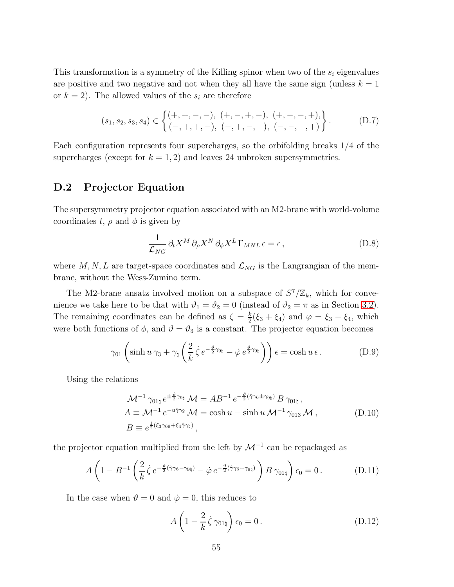This transformation is a symmetry of the Killing spinor when two of the  $s_i$  eigenvalues are positive and two negative and not when they all have the same sign (unless  $k = 1$ ) or  $k = 2$ ). The allowed values of the  $s_i$  are therefore

<span id="page-55-2"></span>
$$
(s_1, s_2, s_3, s_4) \in \left\{ \begin{matrix} (+, +, -, -), (+, -, +, -), (+, -, -, +), \\ (-, +, +, -), (-, +, -, +), (-, -, +, +) \end{matrix} \right\}.
$$
 (D.7)

Each configuration represents four supercharges, so the orbifolding breaks 1/4 of the supercharges (except for  $k = 1, 2$ ) and leaves 24 unbroken supersymmetries.

### <span id="page-55-0"></span>D.2 Projector Equation

The supersymmetry projector equation associated with an M2-brane with world-volume coordinates t,  $\rho$  and  $\phi$  is given by

$$
\frac{1}{\mathcal{L}_{NG}} \partial_t X^M \partial_\rho X^N \partial_\phi X^L \Gamma_{MNL} \epsilon = \epsilon, \qquad (D.8)
$$

where  $M, N, L$  are target-space coordinates and  $\mathcal{L}_{NG}$  is the Langrangian of the membrane, without the Wess-Zumino term.

The M2-brane ansatz involved motion on a subspace of  $S^7/\mathbb{Z}_k$ , which for convenience we take here to be that with  $\vartheta_1 = \vartheta_2 = 0$  (instead of  $\vartheta_2 = \pi$  as in Section [3.2\)](#page-27-0). The remaining coordinates can be defined as  $\zeta = \frac{k}{2}$  $\frac{k}{2}(\xi_3 + \xi_4)$  and  $\varphi = \xi_3 - \xi_4$ , which were both functions of  $\phi$ , and  $\vartheta = \vartheta_3$  is a constant. The projector equation becomes

$$
\gamma_{01}\left(\sinh u \gamma_3 + \gamma_\natural \left(\frac{2}{k}\dot{\zeta}e^{-\frac{\vartheta}{2}\gamma_{9\natural}} - \dot{\varphi}e^{\frac{\vartheta}{2}\gamma_{9\natural}}\right)\right)\epsilon = \cosh u \epsilon. \tag{D.9}
$$

Using the relations

$$
\mathcal{M}^{-1} \gamma_{01\natural} e^{\pm \frac{\vartheta}{2} \gamma_{9\natural}} \mathcal{M} = AB^{-1} e^{-\frac{\vartheta}{2} (\hat{\gamma} \gamma_6 \pm \gamma_{9\natural})} B \gamma_{01\natural},
$$
\n
$$
A \equiv \mathcal{M}^{-1} e^{-u\hat{\gamma}\gamma_2} \mathcal{M} = \cosh u - \sinh u \mathcal{M}^{-1} \gamma_{013} \mathcal{M}, \tag{D.10}
$$
\n
$$
B \equiv e^{\frac{1}{2} (\xi_3 \gamma_{69} + \xi_4 \hat{\gamma} \gamma_{\sharp})},
$$

the projector equation multiplied from the left by  $\mathcal{M}^{-1}$  can be repackaged as

<span id="page-55-3"></span>
$$
A\left(1 - B^{-1}\left(\frac{2}{k}\dot{\zeta}e^{-\frac{\vartheta}{2}(\hat{\gamma}\gamma_6 - \gamma_{9\natural})} - \dot{\varphi}e^{-\frac{\vartheta}{2}(\hat{\gamma}\gamma_6 + \gamma_{9\natural})}\right)B\gamma_{01\natural}\right)\epsilon_0 = 0. \tag{D.11}
$$

In the case when  $\vartheta = 0$  and  $\dot{\varphi} = 0$ , this reduces to

<span id="page-55-1"></span>
$$
A\left(1-\frac{2}{k}\dot{\zeta}\gamma_{01\natural}\right)\epsilon_0=0.
$$
 (D.12)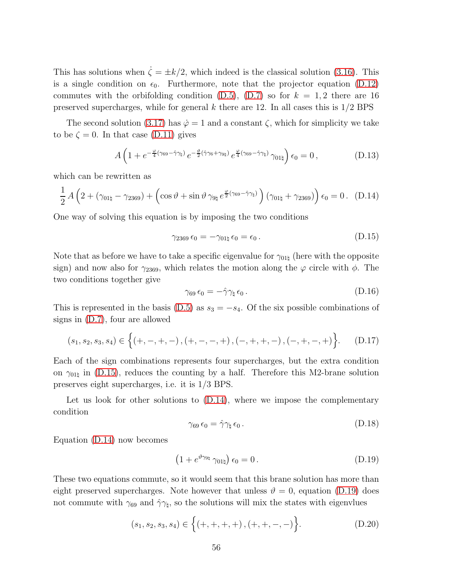This has solutions when  $\dot{\zeta} = \pm k/2$ , which indeed is the classical solution [\(3.16\)](#page-29-1). This is a single condition on  $\epsilon_0$ . Furthermore, note that the projector equation [\(D.12\)](#page-55-1) commutes with the orbifolding condition  $(D.5)$ ,  $(D.7)$  so for  $k = 1, 2$  there are 16 preserved supercharges, while for general k there are 12. In all cases this is  $1/2$  BPS

The second solution [\(3.17\)](#page-29-3) has  $\dot{\varphi} = 1$  and a constant  $\zeta$ , which for simplicity we take to be  $\zeta = 0$ . In that case [\(D.11\)](#page-55-3) gives

$$
A\left(1+e^{-\frac{\varphi}{4}(\gamma_{69}-\hat{\gamma}\gamma_{\natural})}e^{-\frac{\vartheta}{2}(\hat{\gamma}\gamma_{6}+\gamma_{9\natural})}e^{\frac{\varphi}{4}(\gamma_{69}-\hat{\gamma}\gamma_{\natural})}\gamma_{01\natural}\right)\epsilon_{0}=0,
$$
\n(D.13)

which can be rewritten as

<span id="page-56-1"></span>
$$
\frac{1}{2}A\left(2+(\gamma_{01\natural}-\gamma_{2369})+\left(\cos\vartheta+\sin\vartheta\,\gamma_{9\natural}\,e^{\frac{\varphi}{2}(\gamma_{69}-\hat{\gamma}\gamma_{\natural})}\right)(\gamma_{01\natural}+\gamma_{2369})\right)\epsilon_0=0.\quad(D.14)
$$

One way of solving this equation is by imposing the two conditions

<span id="page-56-0"></span>
$$
\gamma_{2369} \epsilon_0 = -\gamma_{01\natural} \epsilon_0 = \epsilon_0. \tag{D.15}
$$

Note that as before we have to take a specific eigenvalue for  $\gamma_{01}$  (here with the opposite sign) and now also for  $\gamma_{2369}$ , which relates the motion along the  $\varphi$  circle with  $\phi$ . The two conditions together give

$$
\gamma_{69} \,\epsilon_0 = -\hat{\gamma}\gamma_{\natural} \,\epsilon_0 \,. \tag{D.16}
$$

This is represented in the basis [\(D.5\)](#page-54-1) as  $s_3 = -s_4$ . Of the six possible combinations of signs in [\(D.7\)](#page-55-2), four are allowed

$$
(s_1, s_2, s_3, s_4) \in \left\{ (+, -, +, -), (+, -, -, +), (-, +, +, -), (-, +, -, +) \right\}.
$$
 (D.17)

Each of the sign combinations represents four supercharges, but the extra condition on  $\gamma_{01\sharp}$  in [\(D.15\)](#page-56-0), reduces the counting by a half. Therefore this M2-brane solution preserves eight supercharges, i.e. it is 1/3 BPS.

Let us look for other solutions to  $(D.14)$ , where we impose the complementary condition

$$
\gamma_{69} \epsilon_0 = \hat{\gamma} \gamma_{\natural} \epsilon_0. \tag{D.18}
$$

Equation [\(D.14\)](#page-56-1) now becomes

<span id="page-56-2"></span>
$$
(1 + e^{\vartheta \gamma_{9\natural}} \gamma_{01\natural}) \epsilon_0 = 0. \tag{D.19}
$$

These two equations commute, so it would seem that this brane solution has more than eight preserved supercharges. Note however that unless  $\vartheta = 0$ , equation [\(D.19\)](#page-56-2) does not commute with  $\gamma_{69}$  and  $\hat{\gamma}\gamma_{5}$ , so the solutions will mix the states with eigenvlues

$$
(s_1, s_2, s_3, s_4) \in \Big\{ (+, +, +, +), (+, +, -, -) \Big\}.
$$
 (D.20)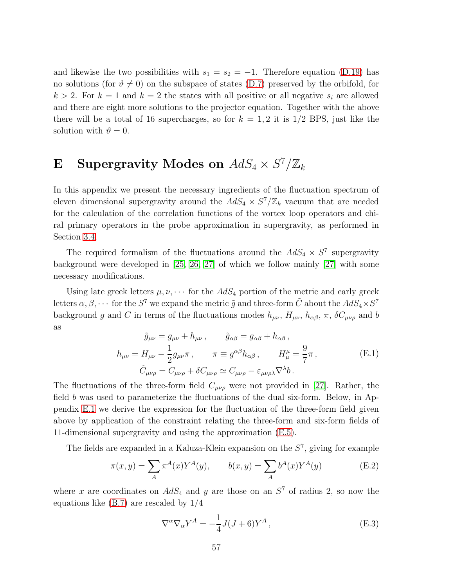and likewise the two possibilities with  $s_1 = s_2 = -1$ . Therefore equation [\(D.19\)](#page-56-2) has no solutions (for  $\vartheta \neq 0$ ) on the subspace of states [\(D.7\)](#page-55-2) preserved by the orbifold, for  $k > 2$ . For  $k = 1$  and  $k = 2$  the states with all positive or all negative  $s_i$  are allowed and there are eight more solutions to the projector equation. Together with the above there will be a total of 16 supercharges, so for  $k = 1, 2$  it is  $1/2$  BPS, just like the solution with  $\vartheta = 0$ .

# <span id="page-57-0"></span>E Supergravity Modes on  $AdS_4 \times S^7/\mathbb{Z}_k$

In this appendix we present the necessary ingredients of the fluctuation spectrum of eleven dimensional supergravity around the  $AdS_4 \times S^7/\mathbb{Z}_k$  vacuum that are needed for the calculation of the correlation functions of the vortex loop operators and chiral primary operators in the probe approximation in supergravity, as performed in Section [3.4.](#page-33-0)

The required formalism of the fluctuations around the  $AdS_4 \times S^7$  supergravity background were developed in [\[25,](#page-62-0) [26,](#page-62-1) [27\]](#page-62-2) of which we follow mainly [\[27\]](#page-62-2) with some necessary modifications.

Using late greek letters  $\mu, \nu, \cdots$  for the  $AdS_4$  portion of the metric and early greek letters  $\alpha, \beta, \cdots$  for the  $S^7$  we expand the metric  $\tilde{g}$  and three-form  $\tilde{C}$  about the  $AdS_4 \times S^7$ background g and C in terms of the fluctuations modes  $h_{\mu\nu}$ ,  $H_{\mu\nu}$ ,  $h_{\alpha\beta}$ ,  $\pi$ ,  $\delta C_{\mu\nu\rho}$  and b as

<span id="page-57-1"></span>
$$
\tilde{g}_{\mu\nu} = g_{\mu\nu} + h_{\mu\nu}, \qquad \tilde{g}_{\alpha\beta} = g_{\alpha\beta} + h_{\alpha\beta},
$$
\n
$$
h_{\mu\nu} = H_{\mu\nu} - \frac{1}{2} g_{\mu\nu} \pi, \qquad \pi \equiv g^{\alpha\beta} h_{\alpha\beta}, \qquad H_{\mu}^{\mu} = \frac{9}{7} \pi,
$$
\n
$$
\tilde{C}_{\mu\nu\rho} = C_{\mu\nu\rho} + \delta C_{\mu\nu\rho} \simeq C_{\mu\nu\rho} - \varepsilon_{\mu\nu\rho\lambda} \nabla^{\lambda} b.
$$
\n(E.1)

The fluctuations of the three-form field  $C_{\mu\nu\rho}$  were not provided in [\[27\]](#page-62-2). Rather, the field b was used to parameterize the fluctuations of the dual six-form. Below, in Appendix [E.1](#page-59-0) we derive the expression for the fluctuation of the three-form field given above by application of the constraint relating the three-form and six-form fields of 11-dimensional supergravity and using the approximation [\(E.5\)](#page-58-0).

The fields are expanded in a Kaluza-Klein expansion on the  $S<sup>7</sup>$ , giving for example

$$
\pi(x, y) = \sum_{A} \pi^{A}(x) Y^{A}(y), \qquad b(x, y) = \sum_{A} b^{A}(x) Y^{A}(y)
$$
 (E.2)

where x are coordinates on  $AdS_4$  and y are those on an  $S^7$  of radius 2, so now the equations like [\(B.7\)](#page-48-1) are rescaled by 1/4

$$
\nabla^{\alpha}\nabla_{\alpha}Y^{A} = -\frac{1}{4}J(J+6)Y^{A},\qquad (E.3)
$$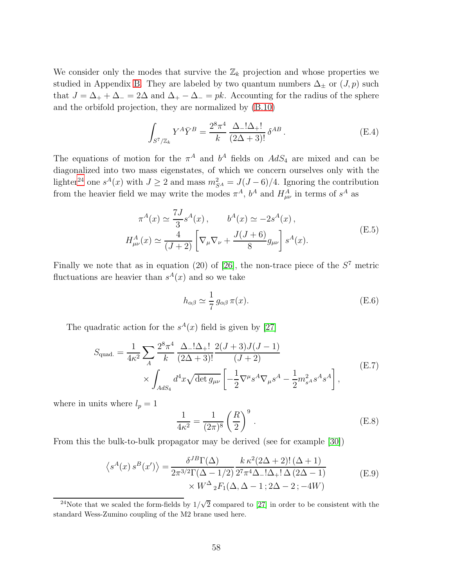We consider only the modes that survive the  $\mathbb{Z}_k$  projection and whose properties we studied in Appendix [B.](#page-47-0) They are labeled by two quantum numbers  $\Delta_{\pm}$  or  $(J, p)$  such that  $J = \Delta_+ + \Delta_- = 2\Delta$  and  $\Delta_+ - \Delta_- = pk$ . Accounting for the radius of the sphere and the orbifold projection, they are normalized by [\(B.10\)](#page-49-1)

$$
\int_{S^7/\mathbb{Z}_k} Y^A \bar{Y}^B = \frac{2^8 \pi^4}{k} \frac{\Delta_-! \Delta_+!}{(2\Delta + 3)!} \delta^{AB} .
$$
 (E.4)

The equations of motion for the  $\pi^A$  and  $b^A$  fields on  $AdS_4$  are mixed and can be diagonalized into two mass eigenstates, of which we concern ourselves only with the lighter<sup>[24](#page-58-1)</sup> one  $s^A(x)$  with  $J \ge 2$  and mass  $m_{S^A}^2 = J(J-6)/4$ . Ignoring the contribution from the heavier field we may write the modes  $\pi^A$ ,  $b^A$  and  $H^A_{\mu\nu}$  in terms of  $s^A$  as

<span id="page-58-0"></span>
$$
\pi^{A}(x) \simeq \frac{7J}{3} s^{A}(x) , \qquad b^{A}(x) \simeq -2s^{A}(x) ,
$$
  
\n
$$
H^{A}_{\mu\nu}(x) \simeq \frac{4}{(J+2)} \left[ \nabla_{\mu} \nabla_{\nu} + \frac{J(J+6)}{8} g_{\mu\nu} \right] s^{A}(x) . \tag{E.5}
$$

Finally we note that as in equation (20) of [\[26\]](#page-62-1), the non-trace piece of the  $S^7$  metric fluctuations are heavier than  $s^A(x)$  and so we take

$$
h_{\alpha\beta} \simeq \frac{1}{7} g_{\alpha\beta} \pi(x). \tag{E.6}
$$

The quadratic action for the  $s^A(x)$  field is given by [\[27\]](#page-62-2)

Squad. = 1 4κ 2 X A 2 8π 4 k ∆−!∆+! (2∆ + 3)! 2(J + 3)J(J − 1) (J + 2) × Z AdS<sup>4</sup> d 4x p det <sup>g</sup>µν − 1 2 ∇µ s <sup>A</sup>∇µ<sup>s</sup> <sup>A</sup> <sup>−</sup> 1 2 m<sup>2</sup> <sup>s</sup><sup>A</sup> s A s A , (E.7)

where in units where  $l_p = 1$ 

$$
\frac{1}{4\kappa^2} = \frac{1}{(2\pi)^8} \left(\frac{R}{2}\right)^9.
$$
 (E.8)

From this the bulk-to-bulk propagator may be derived (see for example [\[30\]](#page-62-5))

$$
\langle s^A(x) s^B(x') \rangle = \frac{\delta^{JB} \Gamma(\Delta)}{2\pi^{3/2} \Gamma(\Delta - 1/2)} \frac{k \kappa^2 (2\Delta + 2)! (\Delta + 1)}{2^7 \pi^4 \Delta_-! \Delta_+! \Delta (2\Delta - 1)} \times W^{\Delta}{}_2 F_1(\Delta, \Delta - 1; 2\Delta - 2; -4W)
$$
(E.9)

<span id="page-58-1"></span><sup>&</sup>lt;sup>24</sup>Note that we scaled the form-fields by  $1/\sqrt{2}$  compared to [\[27\]](#page-62-2) in order to be consistent with the standard Wess-Zumino coupling of the M2 brane used here.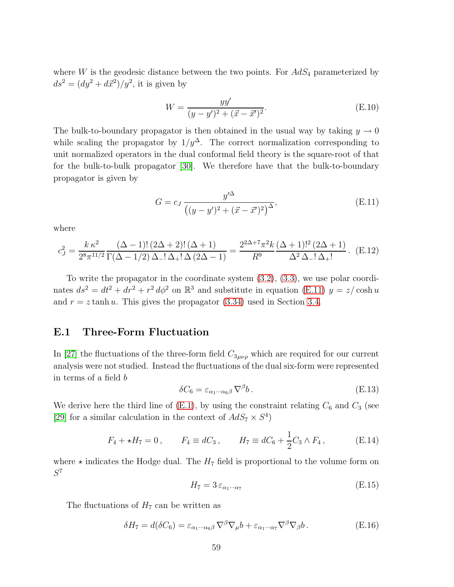where W is the geodesic distance between the two points. For  $AdS_4$  parameterized by  $ds^2 = (dy^2 + d\vec{x}^2)/y^2$ , it is given by

$$
W = \frac{yy'}{(y - y')^2 + (\vec{x} - \vec{x}')^2}.
$$
 (E.10)

The bulk-to-boundary propagator is then obtained in the usual way by taking  $y \to 0$ while scaling the propagator by  $1/y^{\Delta}$ . The correct normalization corresponding to unit normalized operators in the dual conformal field theory is the square-root of that for the bulk-to-bulk propagator [\[30\]](#page-62-5). We therefore have that the bulk-to-boundary propagator is given by

<span id="page-59-2"></span>
$$
G = c_J \frac{y'^{\Delta}}{\left( (y - y')^2 + (\vec{x} - \vec{x}')^2 \right)^{\Delta}},
$$
(E.11)

where

<span id="page-59-1"></span>
$$
c_J^2 = \frac{k \kappa^2}{2^8 \pi^{11/2}} \frac{(\Delta - 1)! (2\Delta + 2)! (\Delta + 1)}{\Gamma(\Delta - 1/2) \Delta_-! \Delta_+! \Delta (2\Delta - 1)} = \frac{2^{2\Delta + 7} \pi^2 k}{R^9} \frac{(\Delta + 1)!^2 (2\Delta + 1)}{\Delta^2 \Delta_-! \Delta_+!}.
$$
 (E.12)

To write the propagator in the coordinate system [\(3.2\)](#page-26-2), [\(3.3\)](#page-26-3), we use polar coordinates  $ds^2 = dt^2 + dr^2 + r^2 d\phi^2$  on  $\mathbb{R}^3$  and substitute in equation [\(E.11\)](#page-59-2)  $y = z/\cosh u$ and  $r = z \tanh u$ . This gives the propagator [\(3.34\)](#page-35-1) used in Section [3.4.](#page-33-0)

### <span id="page-59-0"></span>E.1 Three-Form Fluctuation

In [\[27\]](#page-62-2) the fluctuations of the three-form field  $C_{3\mu\nu\rho}$  which are required for our current analysis were not studied. Instead the fluctuations of the dual six-form were represented in terms of a field b

$$
\delta C_6 = \varepsilon_{\alpha_1 \cdots \alpha_6 \beta} \nabla^{\beta} b. \tag{E.13}
$$

We derive here the third line of  $(E.1)$ , by using the constraint relating  $C_6$  and  $C_3$  (see [\[29\]](#page-62-4) for a similar calculation in the context of  $AdS_7 \times S^4$ )

<span id="page-59-3"></span>
$$
F_4 + \star H_7 = 0
$$
,  $F_4 \equiv dC_3$ ,  $H_7 \equiv dC_6 + \frac{1}{2}C_3 \wedge F_4$ , (E.14)

where  $\star$  indicates the Hodge dual. The  $H_7$  field is proportional to the volume form on  $S^7$ 

$$
H_7 = 3 \, \varepsilon_{\alpha_1 \cdots \alpha_7} \tag{E.15}
$$

The fluctuations of  $H_7$  can be written as

<span id="page-59-4"></span>
$$
\delta H_7 = d(\delta C_6) = \varepsilon_{\alpha_1 \cdots \alpha_6 \beta} \nabla^\beta \nabla_\mu b + \varepsilon_{\alpha_1 \cdots \alpha_7} \nabla^\beta \nabla_\beta b \,. \tag{E.16}
$$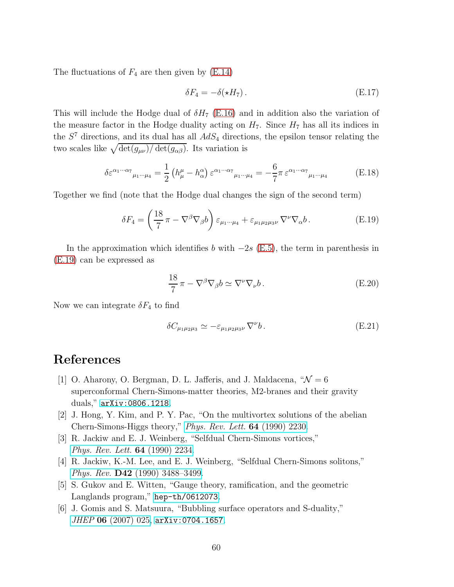The fluctuations of  $F_4$  are then given by [\(E.14\)](#page-59-3)

$$
\delta F_4 = -\delta(\star H_7). \tag{E.17}
$$

This will include the Hodge dual of  $\delta H_7$  [\(E.16\)](#page-59-4) and in addition also the variation of the measure factor in the Hodge duality acting on  $H_7$ . Since  $H_7$  has all its indices in the  $S<sup>7</sup>$  directions, and its dual has all  $AdS<sub>4</sub>$  directions, the epsilon tensor relating the two scales like  $\sqrt{\det(g_{\mu\nu})/\det(g_{\alpha\beta})}$ . Its variation is

$$
\delta \varepsilon^{\alpha_1 \cdots \alpha_7}{}_{\mu_1 \cdots \mu_4} = \frac{1}{2} \left( h_{\mu}^{\mu} - h_{\alpha}^{\alpha} \right) \varepsilon^{\alpha_1 \cdots \alpha_7}{}_{\mu_1 \cdots \mu_4} = -\frac{6}{7} \pi \varepsilon^{\alpha_1 \cdots \alpha_7}{}_{\mu_1 \cdots \mu_4}
$$
(E.18)

Together we find (note that the Hodge dual changes the sign of the second term)

<span id="page-60-6"></span>
$$
\delta F_4 = \left(\frac{18}{7}\pi - \nabla^{\beta}\nabla_{\beta}b\right)\varepsilon_{\mu_1\cdots\mu_4} + \varepsilon_{\mu_1\mu_2\mu_3\nu}\nabla^{\nu}\nabla_{\alpha}b. \tag{E.19}
$$

In the approximation which identifies b with  $-2s$  [\(E.5\)](#page-58-0), the term in parenthesis in [\(E.19\)](#page-60-6) can be expressed as

$$
\frac{18}{7}\pi - \nabla^{\beta}\nabla_{\beta}b \simeq \nabla^{\nu}\nabla_{\nu}b. \tag{E.20}
$$

Now we can integrate  $\delta F_4$  to find

$$
\delta C_{\mu_1 \mu_2 \mu_3} \simeq -\varepsilon_{\mu_1 \mu_2 \mu_3 \nu} \nabla^{\nu} b. \tag{E.21}
$$

## <span id="page-60-0"></span>References

- [1] O. Aharony, O. Bergman, D. L. Jafferis, and J. Maldacena,  $\mathcal{N} = 6$ superconformal Chern-Simons-matter theories, M2-branes and their gravity duals," [arXiv:0806.1218](http://arxiv.org/abs/0806.1218).
- <span id="page-60-1"></span>[2] J. Hong, Y. Kim, and P. Y. Pac, "On the multivortex solutions of the abelian Chern-Simons-Higgs theory," [Phys. Rev. Lett.](http://dx.doi.org/10.1103/PhysRevLett.64.2230) 64 (1990) 2230.
- <span id="page-60-2"></span>[3] R. Jackiw and E. J. Weinberg, "Selfdual Chern-Simons vortices," [Phys. Rev. Lett.](http://dx.doi.org/10.1103/PhysRevLett.64.2234) 64 (1990) 2234.
- <span id="page-60-3"></span>[4] R. Jackiw, K.-M. Lee, and E. J. Weinberg, "Selfdual Chern-Simons solitons," Phys. Rev. D42 [\(1990\) 3488–3499.](http://dx.doi.org/10.1103/PhysRevD.42.3488)
- <span id="page-60-4"></span>[5] S. Gukov and E. Witten, "Gauge theory, ramification, and the geometric Langlands program," [hep-th/0612073](http://arxiv.org/abs/hep-th/0612073).
- <span id="page-60-5"></span>[6] J. Gomis and S. Matsuura, "Bubbling surface operators and S-duality," JHEP 06 [\(2007\) 025,](http://dx.doi.org/10.1088/1126-6708/2007/06/025) [arXiv:0704.1657](http://arxiv.org/abs/0704.1657).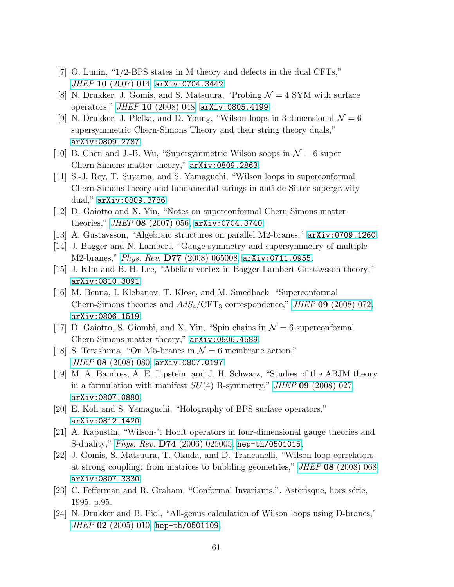- <span id="page-61-1"></span><span id="page-61-0"></span>[7] O. Lunin, "1/2-BPS states in M theory and defects in the dual CFTs," JHEP 10 [\(2007\) 014,](http://dx.doi.org/10.1088/1126-6708/2007/10/014) [arXiv:0704.3442](http://arxiv.org/abs/0704.3442).
- [8] N. Drukker, J. Gomis, and S. Matsuura, "Probing  $\mathcal{N}=4$  SYM with surface operators," JHEP 10 [\(2008\) 048,](http://dx.doi.org/10.1088/1126-6708/2008/10/048) [arXiv:0805.4199](http://arxiv.org/abs/0805.4199).
- <span id="page-61-2"></span>[9] N. Drukker, J. Plefka, and D. Young, "Wilson loops in 3-dimensional  $\mathcal{N}=6$ supersymmetric Chern-Simons Theory and their string theory duals," [arXiv:0809.2787](http://arxiv.org/abs/0809.2787).
- <span id="page-61-4"></span><span id="page-61-3"></span>[10] B. Chen and J.-B. Wu, "Supersymmetric Wilson soops in  $\mathcal{N}=6$  super Chern-Simons-matter theory," [arXiv:0809.2863](http://arxiv.org/abs/0809.2863).
- [11] S.-J. Rey, T. Suyama, and S. Yamaguchi, "Wilson loops in superconformal Chern-Simons theory and fundamental strings in anti-de Sitter supergravity dual," [arXiv:0809.3786](http://arxiv.org/abs/0809.3786).
- <span id="page-61-5"></span>[12] D. Gaiotto and X. Yin, "Notes on superconformal Chern-Simons-matter theories," JHEP 08 [\(2007\) 056,](http://dx.doi.org/10.1088/1126-6708/2007/08/056)  $arXiv:0704.3740$ .
- <span id="page-61-8"></span><span id="page-61-7"></span>[13] A. Gustavsson, "Algebraic structures on parallel M2-branes," [arXiv:0709.1260](http://arxiv.org/abs/0709.1260).
- [14] J. Bagger and N. Lambert, "Gauge symmetry and supersymmetry of multiple M2-branes," *Phys. Rev.* **D77** [\(2008\) 065008,](http://dx.doi.org/10.1103/PhysRevD.77.065008) [arXiv:0711.0955](http://arxiv.org/abs/0711.0955).
- <span id="page-61-9"></span><span id="page-61-6"></span>[15] J. KIm and B.-H. Lee, "Abelian vortex in Bagger-Lambert-Gustavsson theory," [arXiv:0810.3091](http://arxiv.org/abs/0810.3091).
- [16] M. Benna, I. Klebanov, T. Klose, and M. Smedback, "Superconformal Chern-Simons theories and  $AdS_4/\text{CFT}_3$  correspondence," JHEP 09 [\(2008\) 072,](http://dx.doi.org/10.1088/1126-6708/2008/09/072) [arXiv:0806.1519](http://arxiv.org/abs/0806.1519).
- <span id="page-61-10"></span>[17] D. Gaiotto, S. Giombi, and X. Yin, "Spin chains in  $\mathcal{N}=6$  superconformal Chern-Simons-matter theory," [arXiv:0806.4589](http://arxiv.org/abs/0806.4589).
- <span id="page-61-11"></span>[18] S. Terashima, "On M5-branes in  $\mathcal{N}=6$  membrane action," JHEP 08 [\(2008\) 080,](http://dx.doi.org/10.1088/1126-6708/2008/08/080) [arXiv:0807.0197](http://arxiv.org/abs/0807.0197).
- <span id="page-61-12"></span>[19] M. A. Bandres, A. E. Lipstein, and J. H. Schwarz, "Studies of the ABJM theory in a formulation with manifest  $SU(4)$  R-symmetry," JHEP 09 [\(2008\) 027,](http://dx.doi.org/10.1088/1126-6708/2008/09/027) [arXiv:0807.0880](http://arxiv.org/abs/0807.0880).
- <span id="page-61-14"></span><span id="page-61-13"></span>[20] E. Koh and S. Yamaguchi, "Holography of BPS surface operators," [arXiv:0812.1420](http://arxiv.org/abs/0812.1420).
- [21] A. Kapustin, "Wilson-'t Hooft operators in four-dimensional gauge theories and S-duality," Phys. Rev. D74 [\(2006\) 025005,](http://dx.doi.org/10.1103/PhysRevD.74.025005) [hep-th/0501015](http://arxiv.org/abs/hep-th/0501015).
- <span id="page-61-15"></span>[22] J. Gomis, S. Matsuura, T. Okuda, and D. Trancanelli, "Wilson loop correlators at strong coupling: from matrices to bubbling geometries," JHEP 08 [\(2008\) 068,](http://dx.doi.org/10.1088/1126-6708/2008/08/068) [arXiv:0807.3330](http://arxiv.org/abs/0807.3330).
- <span id="page-61-16"></span>[23] C. Fefferman and R. Graham, "Conformal Invariants,". Astèrisque, hors série, 1995, p.95.
- <span id="page-61-17"></span>[24] N. Drukker and B. Fiol, "All-genus calculation of Wilson loops using D-branes," JHEP 02 [\(2005\) 010,](http://dx.doi.org/10.1088/1126-6708/2005/02/010) [hep-th/0501109](http://arxiv.org/abs/hep-th/0501109).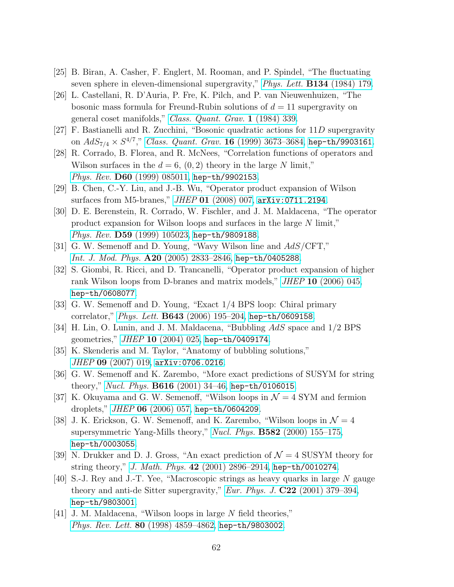- <span id="page-62-1"></span><span id="page-62-0"></span>[25] B. Biran, A. Casher, F. Englert, M. Rooman, and P. Spindel, "The fluctuating seven sphere in eleven-dimensional supergravity," *[Phys. Lett.](http://dx.doi.org/10.1016/0370-2693(84)90666-X)* **B134** (1984) 179.
- [26] L. Castellani, R. D'Auria, P. Fre, K. Pilch, and P. van Nieuwenhuizen, "The bosonic mass formula for Freund-Rubin solutions of  $d = 11$  supergravity on general coset manifolds," [Class. Quant. Grav.](http://dx.doi.org/10.1088/0264-9381/1/4/006) 1 (1984) 339.
- <span id="page-62-2"></span>[27] F. Bastianelli and R. Zucchini, "Bosonic quadratic actions for 11D supergravity on  $AdS_{7/4} \times S^{4/7}$ ," *[Class. Quant. Grav.](http://dx.doi.org/10.1088/0264-9381/16/11/313)* **16** (1999) 3673–3684, [hep-th/9903161](http://arxiv.org/abs/hep-th/9903161).
- <span id="page-62-3"></span>[28] R. Corrado, B. Florea, and R. McNees, "Correlation functions of operators and Wilson surfaces in the  $d = 6$ ,  $(0, 2)$  theory in the large N limit," Phys. Rev. **D60** [\(1999\) 085011,](http://dx.doi.org/10.1103/PhysRevD.60.085011) [hep-th/9902153](http://arxiv.org/abs/hep-th/9902153).
- <span id="page-62-4"></span>[29] B. Chen, C.-Y. Liu, and J.-B. Wu, "Operator product expansion of Wilson surfaces from M5-branes," JHEP 01 [\(2008\) 007,](http://dx.doi.org/10.1088/1126-6708/2008/01/007) arXiv: 0711.2194.
- <span id="page-62-5"></span>[30] D. E. Berenstein, R. Corrado, W. Fischler, and J. M. Maldacena, "The operator product expansion for Wilson loops and surfaces in the large N limit," Phys. Rev. **D59** [\(1999\) 105023,](http://dx.doi.org/10.1103/PhysRevD.59.105023) [hep-th/9809188](http://arxiv.org/abs/hep-th/9809188).
- <span id="page-62-6"></span>[31] G. W. Semenoff and D. Young, "Wavy Wilson line and  $AdS/CFT$ ," [Int. J. Mod. Phys.](http://dx.doi.org/10.1142/S0217751X0502077X) A20 (2005) 2833-2846, [hep-th/0405288](http://arxiv.org/abs/hep-th/0405288).
- <span id="page-62-7"></span>[32] S. Giombi, R. Ricci, and D. Trancanelli, "Operator product expansion of higher rank Wilson loops from D-branes and matrix models," JHEP 10 [\(2006\) 045,](http://dx.doi.org/10.1088/1126-6708/2006/10/045) [hep-th/0608077](http://arxiv.org/abs/hep-th/0608077).
- <span id="page-62-8"></span>[33] G. W. Semenoff and D. Young, "Exact 1/4 BPS loop: Chiral primary correlator," *Phys. Lett.* **B643** (2006) 195-204, [hep-th/0609158](http://arxiv.org/abs/hep-th/0609158).
- <span id="page-62-9"></span>[34] H. Lin, O. Lunin, and J. M. Maldacena, "Bubbling AdS space and 1/2 BPS geometries," JHEP 10 [\(2004\) 025,](http://dx.doi.org/10.1088/1126-6708/2004/10/025) [hep-th/0409174](http://arxiv.org/abs/hep-th/0409174).
- <span id="page-62-10"></span>[35] K. Skenderis and M. Taylor, "Anatomy of bubbling solutions," JHEP 09 [\(2007\) 019,](http://dx.doi.org/10.1088/1126-6708/2007/09/019) [arXiv:0706.0216](http://arxiv.org/abs/0706.0216).
- <span id="page-62-11"></span>[36] G. W. Semenoff and K. Zarembo, "More exact predictions of SUSYM for string theory," *Nucl. Phys.* **B616** (2001) 34-46, [hep-th/0106015](http://arxiv.org/abs/hep-th/0106015).
- <span id="page-62-12"></span>[37] K. Okuyama and G. W. Semenoff, "Wilson loops in  $\mathcal{N}=4$  SYM and fermion droplets," JHEP 06 [\(2006\) 057,](http://dx.doi.org/10.1088/1126-6708/2006/06/057) [hep-th/0604209](http://arxiv.org/abs/hep-th/0604209).
- <span id="page-62-13"></span>[38] J. K. Erickson, G. W. Semenoff, and K. Zarembo, "Wilson loops in  $\mathcal{N}=4$ supersymmetric Yang-Mills theory," Nucl. Phys. B582 [\(2000\) 155–175,](http://dx.doi.org/10.1016/S0550-3213(00)00300-X) [hep-th/0003055](http://arxiv.org/abs/hep-th/0003055).
- <span id="page-62-14"></span>[39] N. Drukker and D. J. Gross, "An exact prediction of  $\mathcal{N}=4$  SUSYM theory for string theory," J. Math. Phys. 42 (2001) 2896-2914, [hep-th/0010274](http://arxiv.org/abs/hep-th/0010274).
- <span id="page-62-15"></span>[40] S.-J. Rey and J.-T. Yee, "Macroscopic strings as heavy quarks in large N gauge theory and anti-de Sitter supergravity," Eur. Phys. J.  $C22$  [\(2001\) 379–394,](http://dx.doi.org/10.1007/s100520100799) [hep-th/9803001](http://arxiv.org/abs/hep-th/9803001).
- <span id="page-62-16"></span>[41] J. M. Maldacena, "Wilson loops in large N field theories," Phys. Rev. Lett. 80 [\(1998\) 4859–4862,](http://dx.doi.org/10.1103/PhysRevLett.80.4859) [hep-th/9803002](http://arxiv.org/abs/hep-th/9803002).